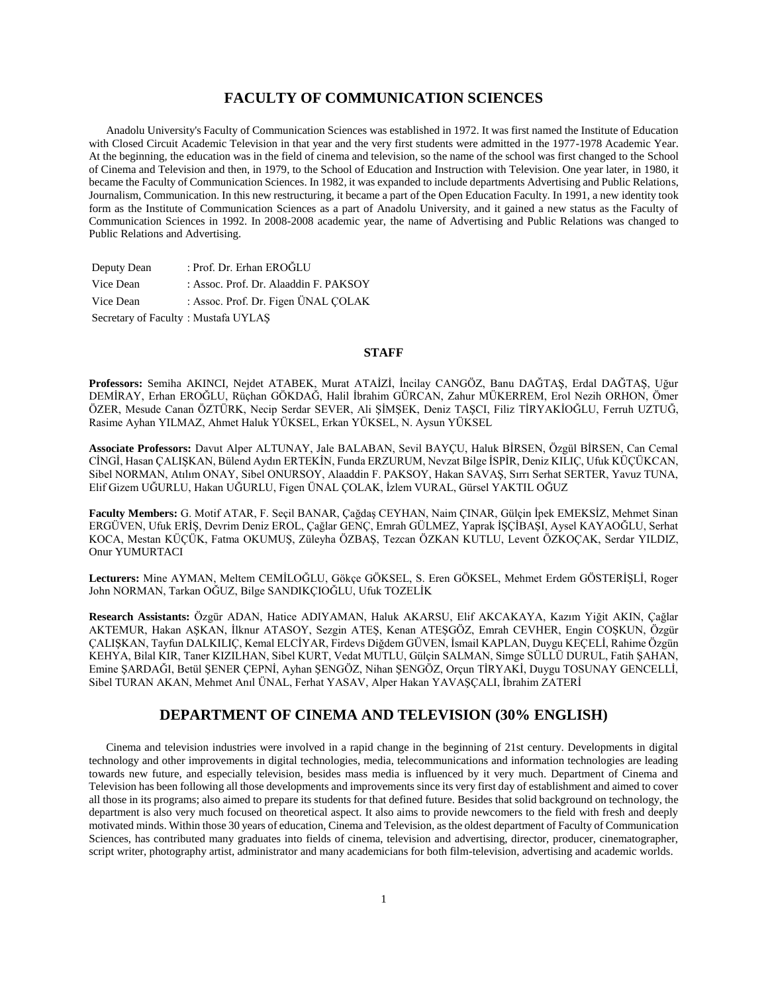# **FACULTY OF COMMUNICATION SCIENCES**

 Anadolu University's Faculty of Communication Sciences was established in 1972. It was first named the Institute of Education with Closed Circuit Academic Television in that year and the very first students were admitted in the 1977-1978 Academic Year. At the beginning, the education was in the field of cinema and television, so the name of the school was first changed to the School of Cinema and Television and then, in 1979, to the School of Education and Instruction with Television. One year later, in 1980, it became the Faculty of Communication Sciences. In 1982, it was expanded to include departments Advertising and Public Relations, Journalism, Communication. In this new restructuring, it became a part of the Open Education Faculty. In 1991, a new identity took form as the Institute of Communication Sciences as a part of Anadolu University, and it gained a new status as the Faculty of Communication Sciences in 1992. In 2008-2008 academic year, the name of Advertising and Public Relations was changed to Public Relations and Advertising.

| Deputy Dean                         | : Prof. Dr. Erhan EROĞLU              |
|-------------------------------------|---------------------------------------|
| Vice Dean                           | : Assoc. Prof. Dr. Alaaddin F. PAKSOY |
| Vice Dean                           | : Assoc. Prof. Dr. Figen ÜNAL COLAK   |
| Secretary of Faculty: Mustafa UYLAS |                                       |

# **STAFF**

**Professors:** Semiha AKINCI, Nejdet ATABEK, Murat ATAİZİ, İncilay CANGÖZ, Banu DAĞTAŞ, Erdal DAĞTAŞ, Uğur DEMİRAY, Erhan EROĞLU, Rüçhan GÖKDAĞ, Halil İbrahim GÜRCAN, Zahur MÜKERREM, Erol Nezih ORHON, Ömer ÖZER, Mesude Canan ÖZTÜRK, Necip Serdar SEVER, Ali ŞİMŞEK, Deniz TAŞCI, Filiz TİRYAKİOĞLU, Ferruh UZTUĞ, Rasime Ayhan YILMAZ, Ahmet Haluk YÜKSEL, Erkan YÜKSEL, N. Aysun YÜKSEL

**Associate Professors:** Davut Alper ALTUNAY, Jale BALABAN, Sevil BAYÇU, Haluk BİRSEN, Özgül BİRSEN, Can Cemal CİNGİ, Hasan ÇALIŞKAN, Bülend Aydın ERTEKİN, Funda ERZURUM, Nevzat Bilge İSPİR, Deniz KILIÇ, Ufuk KÜÇÜKCAN, Sibel NORMAN, Atılım ONAY, Sibel ONURSOY, Alaaddin F. PAKSOY, Hakan SAVAŞ, Sırrı Serhat SERTER, Yavuz TUNA, Elif Gizem UĞURLU, Hakan UĞURLU, Figen ÜNAL ÇOLAK, İzlem VURAL, Gürsel YAKTIL OĞUZ

**Faculty Members:** G. Motif ATAR, F. Seçil BANAR, Çağdaş CEYHAN, Naim ÇINAR, Gülçin İpek EMEKSİZ, Mehmet Sinan ERGÜVEN, Ufuk ERİŞ, Devrim Deniz EROL, Çağlar GENÇ, Emrah GÜLMEZ, Yaprak İŞÇİBAŞI, Aysel KAYAOĞLU, Serhat KOCA, Mestan KÜÇÜK, Fatma OKUMUŞ, Züleyha ÖZBAŞ, Tezcan ÖZKAN KUTLU, Levent ÖZKOÇAK, Serdar YILDIZ, Onur YUMURTACI

**Lecturers:** Mine AYMAN, Meltem CEMİLOĞLU, Gökçe GÖKSEL, S. Eren GÖKSEL, Mehmet Erdem GÖSTERİŞLİ, Roger John NORMAN, Tarkan OĞUZ, Bilge SANDIKÇIOĞLU, Ufuk TOZELİK

**Research Assistants:** Özgür ADAN, Hatice ADIYAMAN, Haluk AKARSU, Elif AKCAKAYA, Kazım Yiğit AKIN, Çağlar AKTEMUR, Hakan AŞKAN, İlknur ATASOY, Sezgin ATEŞ, Kenan ATEŞGÖZ, Emrah CEVHER, Engin COŞKUN, Özgür ÇALIŞKAN, Tayfun DALKILIÇ, Kemal ELCİYAR, Firdevs Diğdem GÜVEN, İsmail KAPLAN, Duygu KEÇELİ, Rahime Özgün KEHYA, Bilal KIR, Taner KIZILHAN, Sibel KURT, Vedat MUTLU, Gülçin SALMAN, Simge SÜLLÜ DURUL, Fatih ŞAHAN, Emine ŞARDAĞI, Betül ŞENER ÇEPNİ, Ayhan ŞENGÖZ, Nihan ŞENGÖZ, Orçun TİRYAKİ, Duygu TOSUNAY GENCELLİ, Sibel TURAN AKAN, Mehmet Anıl ÜNAL, Ferhat YASAV, Alper Hakan YAVAŞÇALI, İbrahim ZATERİ

# **DEPARTMENT OF CINEMA AND TELEVISION (30% ENGLISH)**

 Cinema and television industries were involved in a rapid change in the beginning of 21st century. Developments in digital technology and other improvements in digital technologies, media, telecommunications and information technologies are leading towards new future, and especially television, besides mass media is influenced by it very much. Department of Cinema and Television has been following all those developments and improvements since its very first day of establishment and aimed to cover all those in its programs; also aimed to prepare its students for that defined future. Besides that solid background on technology, the department is also very much focused on theoretical aspect. It also aims to provide newcomers to the field with fresh and deeply motivated minds. Within those 30 years of education, Cinema and Television, as the oldest department of Faculty of Communication Sciences, has contributed many graduates into fields of cinema, television and advertising, director, producer, cinematographer, script writer, photography artist, administrator and many academicians for both film-television, advertising and academic worlds.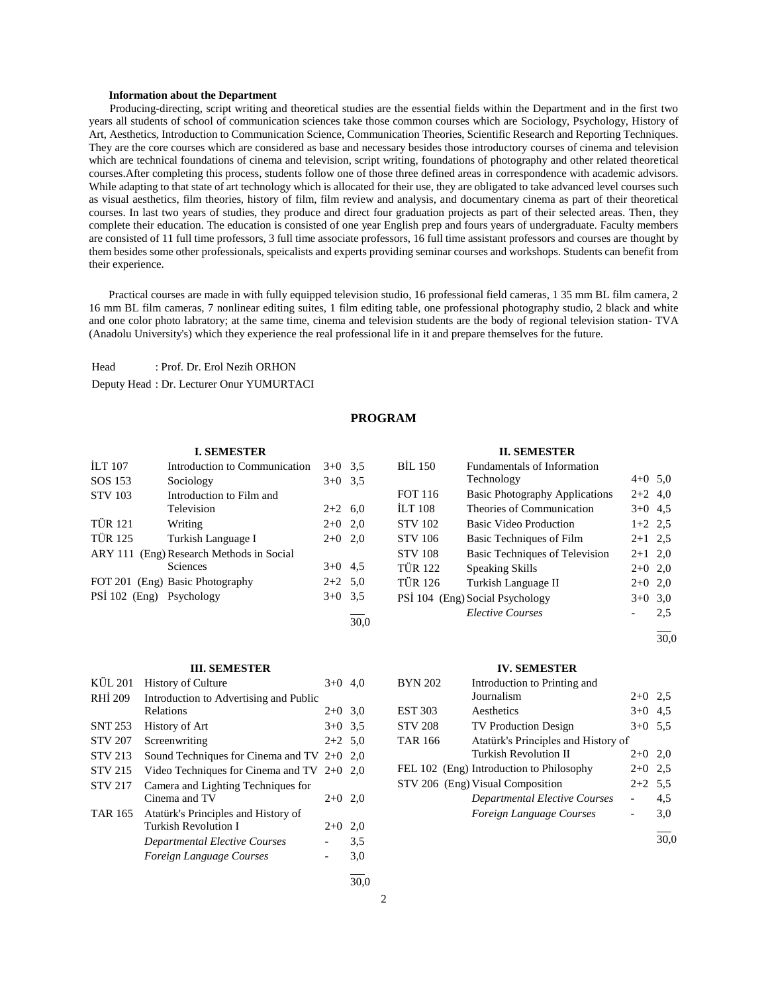### **Information about the Department**

 Producing-directing, script writing and theoretical studies are the essential fields within the Department and in the first two years all students of school of communication sciences take those common courses which are Sociology, Psychology, History of Art, Aesthetics, Introduction to Communication Science, Communication Theories, Scientific Research and Reporting Techniques. They are the core courses which are considered as base and necessary besides those introductory courses of cinema and television which are technical foundations of cinema and television, script writing, foundations of photography and other related theoretical courses.After completing this process, students follow one of those three defined areas in correspondence with academic advisors. While adapting to that state of art technology which is allocated for their use, they are obligated to take advanced level courses such as visual aesthetics, film theories, history of film, film review and analysis, and documentary cinema as part of their theoretical courses. In last two years of studies, they produce and direct four graduation projects as part of their selected areas. Then, they complete their education. The education is consisted of one year English prep and fours years of undergraduate. Faculty members are consisted of 11 full time professors, 3 full time associate professors, 16 full time assistant professors and courses are thought by them besides some other professionals, speicalists and experts providing seminar courses and workshops. Students can benefit from their experience.

 Practical courses are made in with fully equipped television studio, 16 professional field cameras, 1 35 mm BL film camera, 2 16 mm BL film cameras, 7 nonlinear editing suites, 1 film editing table, one professional photography studio, 2 black and white and one color photo labratory; at the same time, cinema and television students are the body of regional television station- TVA (Anadolu University's) which they experience the real professional life in it and prepare themselves for the future.

Head : Prof. Dr. Erol Nezih ORHON Deputy Head : Dr. Lecturer Onur YUMURTACI

# **PROGRAM**

#### **I. SEMESTER** İLT 107 Introduction to Communication 3+0 3,5 SOS 153 Sociology 3+0 3,5 STV 103 Introduction to Film and Television 2+2 6,0 TÜR 121 Writing 2+0 2,0 TÜR 125 Turkish Language I 2+0 2,0 ARY 111 (Eng) Research Methods in Social Sciences  $3+0$  4,5 FOT 201 (Eng) Basic Photography 2+2 5,0 PSİ 102 (Eng) Psychology 3+0 3,5 l 30,0 **II. SEMESTER** BİL 150 Fundamentals of Information Technology 4+0 5,0 FOT 116 Basic Photography Applications 2+2 4,0 İLT 108 Theories of Communication 3+0 4,5 STV 102 Basic Video Production 1+2 2,5 STV 106 Basic Techniques of Film 2+1 2,5 STV 108 Basic Techniques of Television 2+1 2,0 TÜR 122 Speaking Skills 2+0 2,0 TÜR 126 Turkish Language II 2+0 2,0 PSİ 104 (Eng) Social Psychology 3+0 3,0 *Elective Courses* - 2,5 l

## 30,0

#### **IV. SEMESTER**

| <b>BYN 202</b> | Introduction to Printing and             |           |     |
|----------------|------------------------------------------|-----------|-----|
|                | Journalism                               | $2+0$     | 2.5 |
| <b>EST 303</b> | Aesthetics                               | $3+0$     | 4.5 |
| <b>STV 208</b> | <b>TV Production Design</b>              | $3+0$ 5.5 |     |
| <b>TAR 166</b> | Atatürk's Principles and History of      |           |     |
|                | Turkish Revolution II                    | $2+0$     | 2,0 |
|                | FEL 102 (Eng) Introduction to Philosophy | $2+0$     | 2.5 |
|                | STV 206 (Eng) Visual Composition         | $2+2$ 5.5 |     |
|                | Departmental Elective Courses            |           | 4.5 |
|                | Foreign Language Courses                 |           | 3,0 |
|                |                                          |           |     |

30,0

# **III. SEMESTER**

| <b>KÜL 201</b> | <b>History of Culture</b>                    | $3+0$     | 4.0 |
|----------------|----------------------------------------------|-----------|-----|
| RHI 209        | Introduction to Advertising and Public       |           |     |
|                | Relations                                    | $2+0$ 3.0 |     |
| <b>SNT 253</b> | History of Art                               | $3+0$ 3.5 |     |
| <b>STV 207</b> | Screenwriting                                | $2+2$ 5.0 |     |
| <b>STV 213</b> | Sound Techniques for Cinema and TV $2+0$ 2,0 |           |     |
| <b>STV 215</b> | Video Techniques for Cinema and TV $2+0$ 2,0 |           |     |
| <b>STV 217</b> | Camera and Lighting Techniques for           |           |     |
|                | Cinema and TV                                | $2+0$     | 2,0 |
| <b>TAR 165</b> | Atatürk's Principles and History of          |           |     |
|                | Turkish Revolution I                         | $2+0$     | 2,0 |
|                | Departmental Elective Courses                |           | 3.5 |
|                | Foreign Language Courses                     |           | 3,0 |
|                |                                              |           |     |

30,0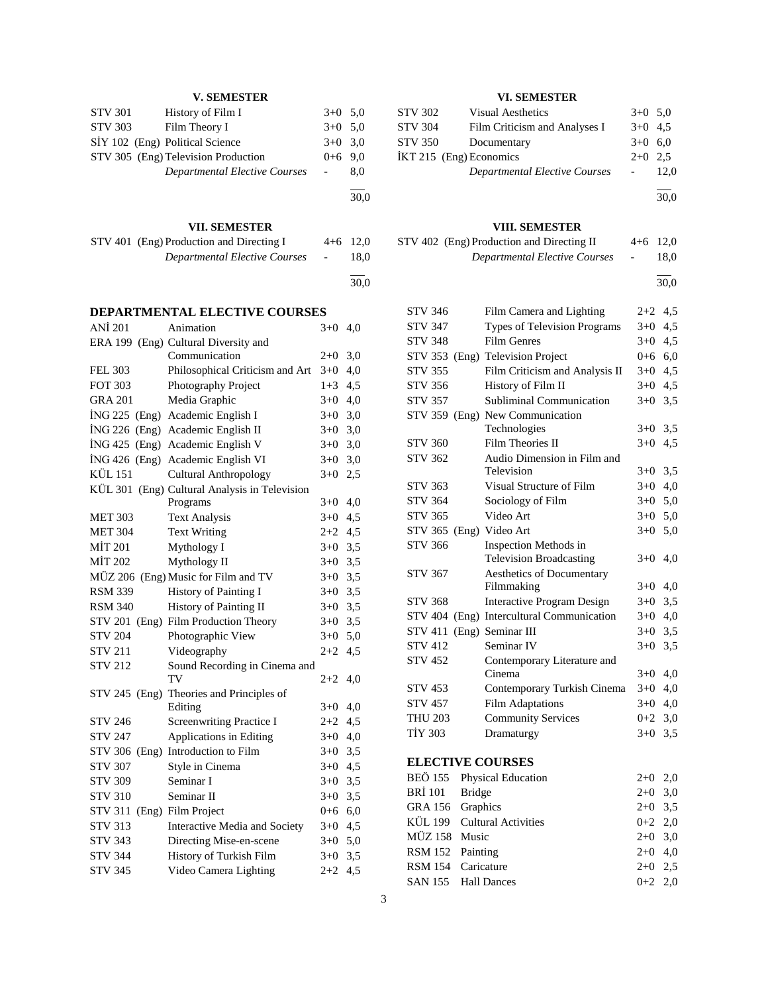| <b>V. SEMESTER</b>         |                                               |                          |      |
|----------------------------|-----------------------------------------------|--------------------------|------|
| STV 301                    | History of Film I                             | $3+0$                    | 5,0  |
| <b>STV 303</b>             | Film Theory I                                 | $3+0$                    | 5,0  |
|                            | SİY 102 (Eng) Political Science               | $3+0$                    | 3,0  |
|                            | STV 305 (Eng) Television Production           | $0 + 6$                  | 9,0  |
|                            | <b>Departmental Elective Courses</b>          | $\overline{\phantom{0}}$ | 8,0  |
|                            |                                               |                          |      |
|                            |                                               |                          | 30,0 |
|                            |                                               |                          |      |
|                            | VII. SEMESTER                                 |                          |      |
|                            | STV 401 (Eng) Production and Directing I      | $4 + 6$                  | 12,0 |
|                            | <b>Departmental Elective Courses</b>          |                          | 18,0 |
|                            |                                               |                          | 30,0 |
|                            |                                               |                          |      |
|                            | <b>DEPARTMENTAL ELECTIVE COURSES</b>          |                          |      |
| <b>ANİ</b> 201             | Animation                                     | $3+0$                    | 4,0  |
|                            | ERA 199 (Eng) Cultural Diversity and          |                          |      |
|                            | Communication                                 | $2 + 0$                  | 3,0  |
| <b>FEL 303</b>             | Philosophical Criticism and Art               | $3+0$                    | 4,0  |
| <b>FOT 303</b>             | Photography Project                           | $1 + 3$                  | 4,5  |
| <b>GRA 201</b>             | Media Graphic                                 | $3+0$ 4,0                |      |
|                            | İNG 225 (Eng) Academic English I              | $3+0$ 3,0                |      |
|                            | İNG 226 (Eng) Academic English II             | $3+0$ 3,0                |      |
|                            | İNG 425 (Eng) Academic English V              | $3+0$ 3,0                |      |
|                            | İNG 426 (Eng) Academic English VI             | $3+0$                    | 3,0  |
| KÜL 151                    | <b>Cultural Anthropology</b>                  | $3+0$                    | 2,5  |
|                            | KÜL 301 (Eng) Cultural Analysis in Television |                          |      |
|                            | Programs                                      | $3+0$ 4,0                |      |
| <b>MET 303</b>             | <b>Text Analysis</b>                          | $3+0$ 4,5                |      |
| <b>MET 304</b>             | <b>Text Writing</b>                           | $2+2$ 4,5                |      |
| <b>MİT 201</b>             | Mythology I                                   | $3+0$ 3,5                |      |
| <b>MİT 202</b>             | Mythology II                                  | $3+0$ 3,5                |      |
|                            | MÜZ 206 (Eng) Music for Film and TV           | $3+0$ 3,5                |      |
| <b>RSM 339</b>             | History of Painting I                         | $3+0$ 3,5                |      |
| <b>RSM 340</b>             | History of Painting II                        | $3+0$ 3,5                |      |
|                            | STV 201 (Eng) Film Production Theory          | $3+0$ 3,5                |      |
| <b>STV 204</b>             | Photographic View                             | $3+0$ 5,0                |      |
| <b>STV 211</b>             | Videography                                   | $2+2$ 4,5                |      |
| <b>STV 212</b>             | Sound Recording in Cinema and                 |                          |      |
|                            | TV                                            | $2+2$ 4,0                |      |
|                            | STV 245 (Eng) Theories and Principles of      |                          |      |
|                            | Editing                                       | $3+0$ 4,0                |      |
| STV 246                    | <b>Screenwriting Practice I</b>               | $2+2$ 4,5                |      |
| <b>STV 247</b>             | Applications in Editing                       | $3+0$ 4,0                |      |
|                            | STV 306 (Eng) Introduction to Film            | $3+0$ 3,5                |      |
| <b>STV 307</b>             | Style in Cinema                               | $3+0$ 4,5                |      |
| <b>STV 309</b>             | Seminar I                                     | $3+0$ 3,5                |      |
| <b>STV 310</b>             | Seminar II                                    | $3+0$ 3,5                |      |
| STV 311 (Eng) Film Project |                                               | $0+6$ 6,0                |      |
| <b>STV 313</b>             | Interactive Media and Society                 | $3+0$ 4,5                |      |
| <b>STV 343</b>             | Directing Mise-en-scene                       | $3+0$ 5,0                |      |
| <b>STV 344</b>             | History of Turkish Film                       | $3+0$ 3,5                |      |
| <b>STV 345</b>             | Video Camera Lighting                         | 2+2                      | 4,5  |

# **VI. SEMESTER**

| <b>STV 302</b>          | <b>Visual Aesthetics</b>             | $3+0$ 5.0 |      |
|-------------------------|--------------------------------------|-----------|------|
| <b>STV 304</b>          | Film Criticism and Analyses I        | $3+0$ 4.5 |      |
| <b>STV 350</b>          | Documentary                          | $3+0$ 6.0 |      |
| IKT 215 (Eng) Economics |                                      | $2+0$ 2.5 |      |
|                         | <b>Departmental Elective Courses</b> |           | 12.0 |

l 30,0

# **VIII. SEMESTER**

| STV 402 (Eng) Production and Directing II | $4+6$ 12.0     |      |
|-------------------------------------------|----------------|------|
| Departmental Elective Courses             | $\overline{a}$ | 18.0 |

l 30,0

| <b>STV 346</b> | Film Camera and Lighting                  | $2 + 2$ | 4,5 |
|----------------|-------------------------------------------|---------|-----|
| <b>STV 347</b> | Types of Television Programs              | $3+0$   | 4,5 |
| <b>STV 348</b> | <b>Film Genres</b>                        | $3+0$   | 4,5 |
| <b>STV 353</b> | (Eng) Television Project                  | $0+6$   | 6,0 |
| <b>STV 355</b> | Film Criticism and Analysis II            | $3+0$   | 4,5 |
| <b>STV 356</b> | History of Film II                        | $3+0$   | 4,5 |
| <b>STV 357</b> | Subliminal Communication                  | $3+0$   | 3,5 |
|                | STV 359 (Eng) New Communication           |         |     |
|                | Technologies                              | $3+0$   | 3,5 |
| <b>STV 360</b> | Film Theories II                          | $3+0$   | 4,5 |
| <b>STV 362</b> | Audio Dimension in Film and               |         |     |
|                | Television                                | $3+0$   | 3,5 |
| <b>STV 363</b> | Visual Structure of Film                  | $3+0$   | 4,0 |
| <b>STV 364</b> | Sociology of Film                         | $3+0$   | 5,0 |
| <b>STV 365</b> | Video Art                                 | $3+0$   | 5,0 |
|                | STV 365 (Eng) Video Art                   | $3+0$   | 5,0 |
| <b>STV 366</b> | Inspection Methods in                     |         |     |
|                | <b>Television Broadcasting</b>            | $3+0$   | 4,0 |
| <b>STV 367</b> | Aesthetics of Documentary                 |         |     |
|                | Filmmaking                                | $3+0$   | 4,0 |
| <b>STV 368</b> | <b>Interactive Program Design</b>         | $3+0$   | 3,5 |
|                | STV 404 (Eng) Intercultural Communication | $3+0$   | 4,0 |
| <b>STV 411</b> | (Eng) Seminar III                         | $3+0$   | 3,5 |
| <b>STV 412</b> | Seminar IV                                | $3+0$   | 3,5 |
| <b>STV 452</b> | Contemporary Literature and               |         |     |
|                | Cinema                                    | $3+0$   | 4,0 |
| <b>STV 453</b> | Contemporary Turkish Cinema               | $3+0$   | 4,0 |
| <b>STV 457</b> | <b>Film Adaptations</b>                   | $3+0$   | 4,0 |
| <b>THU 203</b> | <b>Community Services</b>                 | $0 + 2$ | 3,0 |
| <b>TİY 303</b> | Dramaturgy                                | $3+0$   | 3,5 |
|                | <b>ELECTIVE COURSES</b>                   |         |     |
|                |                                           |         |     |
| <b>BEÖ 155</b> | Physical Education                        | $2+0$   | 2,0 |

|                  | BEO 155 Physical Education  | 2+0 2,0   |  |
|------------------|-----------------------------|-----------|--|
| BRİ 101 Bridge   |                             | $2+0$ 3,0 |  |
| GRA 156 Graphics |                             | $2+0$ 3.5 |  |
|                  | KÜL 199 Cultural Activities | $0+2$ 2,0 |  |
| MÜZ 158 Music    |                             | $2+0$ 3.0 |  |
| RSM 152 Painting |                             | $2+0$ 4,0 |  |
|                  | RSM 154 Caricature          | $2+0$ 2.5 |  |
|                  | SAN 155 Hall Dances         | $0+2$ 2.0 |  |
|                  |                             |           |  |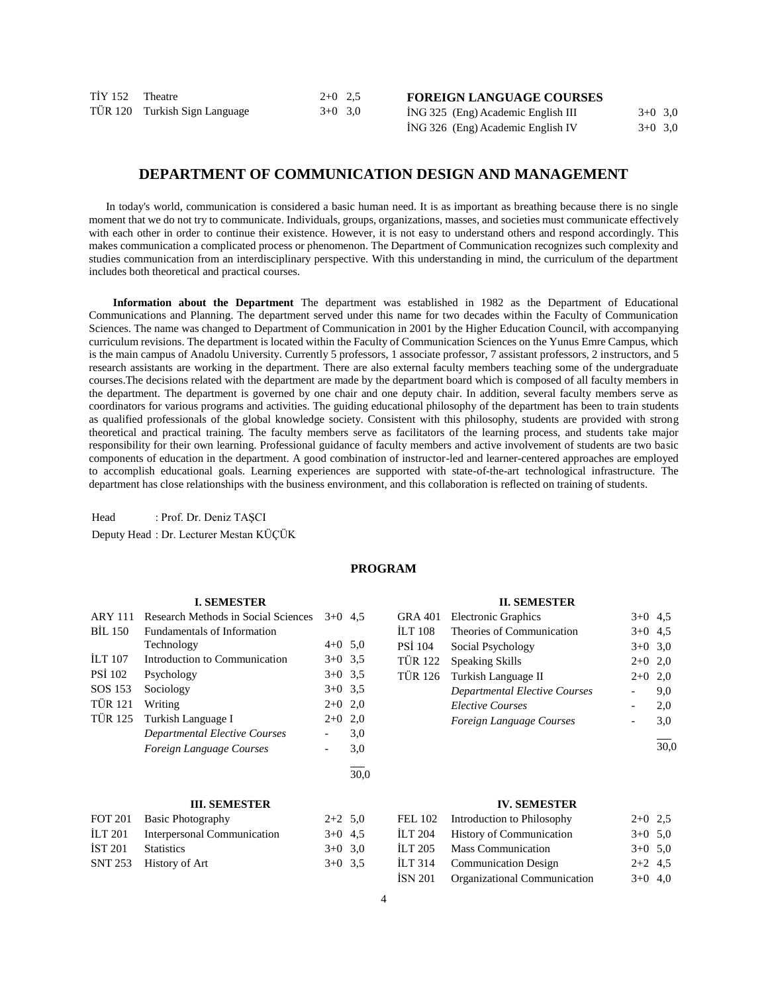| TİY 152 Theatre |                               | $2+0$ 2.5 |  |
|-----------------|-------------------------------|-----------|--|
|                 | TÜR 120 Turkish Sign Language | $3+0$ 3,0 |  |

**FOREIGN LANGUAGE COURSES**

| ING 325 (Eng) Academic English III | $3+0$ 3.0 |  |
|------------------------------------|-----------|--|
| İNG 326 (Eng) Academic English IV  | $3+0$ 3.0 |  |

# **DEPARTMENT OF COMMUNICATION DESIGN AND MANAGEMENT**

 In today's world, communication is considered a basic human need. It is as important as breathing because there is no single moment that we do not try to communicate. Individuals, groups, organizations, masses, and societies must communicate effectively with each other in order to continue their existence. However, it is not easy to understand others and respond accordingly. This makes communication a complicated process or phenomenon. The Department of Communication recognizes such complexity and studies communication from an interdisciplinary perspective. With this understanding in mind, the curriculum of the department includes both theoretical and practical courses.

 **Information about the Department** The department was established in 1982 as the Department of Educational Communications and Planning. The department served under this name for two decades within the Faculty of Communication Sciences. The name was changed to Department of Communication in 2001 by the Higher Education Council, with accompanying curriculum revisions. The department is located within the Faculty of Communication Sciences on the Yunus Emre Campus, which is the main campus of Anadolu University. Currently 5 professors, 1 associate professor, 7 assistant professors, 2 instructors, and 5 research assistants are working in the department. There are also external faculty members teaching some of the undergraduate courses.The decisions related with the department are made by the department board which is composed of all faculty members in the department. The department is governed by one chair and one deputy chair. In addition, several faculty members serve as coordinators for various programs and activities. The guiding educational philosophy of the department has been to train students as qualified professionals of the global knowledge society. Consistent with this philosophy, students are provided with strong theoretical and practical training. The faculty members serve as facilitators of the learning process, and students take major responsibility for their own learning. Professional guidance of faculty members and active involvement of students are two basic components of education in the department. A good combination of instructor-led and learner-centered approaches are employed to accomplish educational goals. Learning experiences are supported with state-of-the-art technological infrastructure. The department has close relationships with the business environment, and this collaboration is reflected on training of students.

Head : Prof. Dr. Deniz TAŞCI

Deputy Head : Dr. Lecturer Mestan KÜÇÜK

# **PROGRAM**

|                | <b>I. SEMESTER</b>                   |           |     |
|----------------|--------------------------------------|-----------|-----|
| <b>ARY 111</b> | Research Methods in Social Sciences  | $3+0$     | 4.5 |
| BIL 150        | <b>Fundamentals of Information</b>   |           |     |
|                | Technology                           | $4+0$ 5.0 |     |
| <b>ILT 107</b> | Introduction to Communication        | $3+0$ 3.5 |     |
| <b>PSI 102</b> | Psychology                           | $3+0$ 3.5 |     |
| SOS 153        | Sociology                            | $3+0$ 3.5 |     |
| <b>TÜR 121</b> | Writing                              | $2+0$ 2,0 |     |
| <b>TÜR 125</b> | Turkish Language I                   | $2+0$     | 2,0 |
|                | <b>Departmental Elective Courses</b> |           | 3,0 |
|                | Foreign Language Courses             |           | 3,0 |
|                |                                      |           |     |

# **III. SEMESTER**

| $2+2$ 5.0 |  |
|-----------|--|
| $3+0$ 4.5 |  |
| $3+0$ 3.0 |  |
| $3+0$ 3.5 |  |
|           |  |

# **II. SEMESTER**

| <b>GRA 401</b> | <b>Electronic Graphics</b>           | $3+0$ 4.5 |     |
|----------------|--------------------------------------|-----------|-----|
| <b>ILT 108</b> | Theories of Communication            | $3+0$     | 4.5 |
| <b>PSI 104</b> | Social Psychology                    | $3+0$ 3.0 |     |
| TÜR 122        | Speaking Skills                      | $2+0$     | 2,0 |
| <b>TÜR 126</b> | Turkish Language II                  | $2+0$     | 2,0 |
|                | <b>Departmental Elective Courses</b> |           | 9.0 |
|                | <b>Elective Courses</b>              |           | 2,0 |
|                | Foreign Language Courses             |           | 3,0 |
|                |                                      |           |     |

30,0

#### **IV. SEMESTER**

|         | FEL 102 Introduction to Philosophy   | $2+0$ 2.5 |  |
|---------|--------------------------------------|-----------|--|
| İLT 204 | <b>History of Communication</b>      | $3+0$ 5.0 |  |
|         | İLT 205 Mass Communication           | $3+0$ 5.0 |  |
|         | İLT 314 Communication Design         | $2+2$ 4.5 |  |
|         | ISN 201 Organizational Communication | $3+0$ 4,0 |  |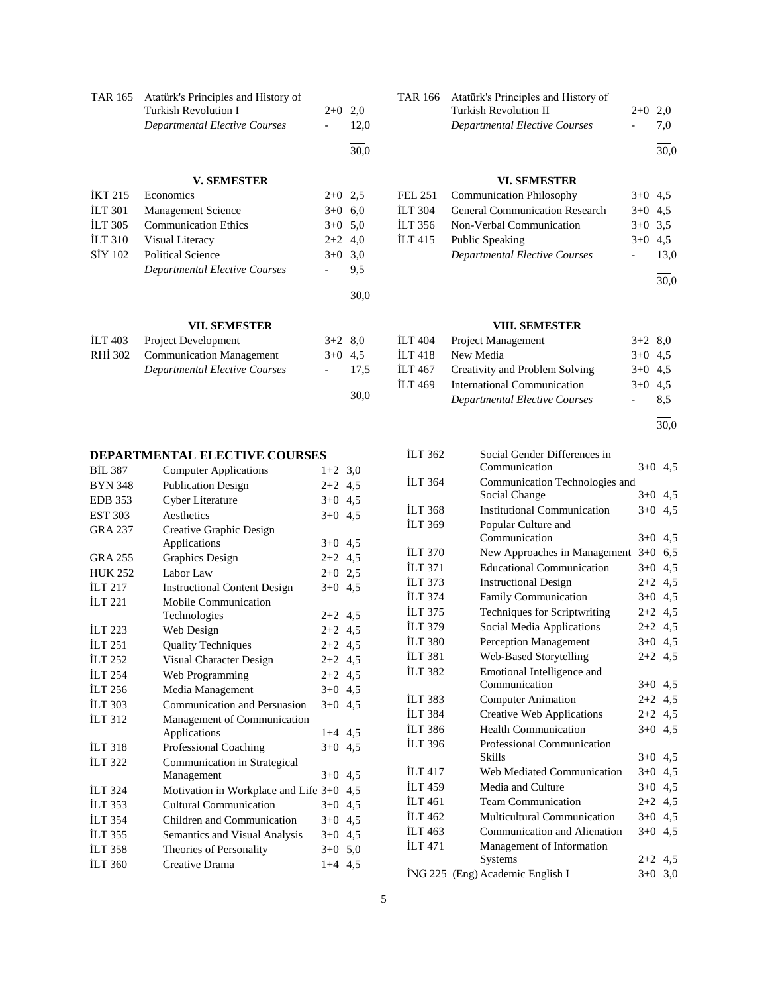| TAR 165 Atatürk's Principles and History of |           |      |
|---------------------------------------------|-----------|------|
| Turkish Revolution I                        | $2+0$ 2.0 |      |
| Departmental Elective Courses               |           | 12.0 |
|                                             |           | 30.0 |

# **V. SEMESTER**

| IKT 215        | Economics                            | $2+0$ 2.5 |      |
|----------------|--------------------------------------|-----------|------|
| $ILT$ 301      | <b>Management Science</b>            | $3+0$ 6.0 |      |
| <b>ILT 305</b> | <b>Communication Ethics</b>          | $3+0$ 5.0 |      |
| <b>İLT 310</b> | Visual Literacy                      | $2+2$ 4,0 |      |
| <b>SİY 102</b> | <b>Political Science</b>             | $3+0$ 3.0 |      |
|                | <b>Departmental Elective Courses</b> |           | 9.5  |
|                |                                      |           |      |
|                |                                      |           | 30,0 |

# **VII. SEMESTER**

| ILT 403 | <b>Project Development</b>           | $3+2$ 8.0 |      |
|---------|--------------------------------------|-----------|------|
| RHI 302 | <b>Communication Management</b>      | $3+0$ 4.5 |      |
|         | <b>Departmental Elective Courses</b> |           | 17.5 |
|         |                                      |           |      |

# **DEPARTMENTAL ELECTIVE COURSES**

| <b>BIL 387</b>        | <b>Computer Applications</b>           | $1+2$     | 3,0 |
|-----------------------|----------------------------------------|-----------|-----|
| <b>BYN 348</b>        | <b>Publication Design</b>              | $2 + 2$   | 4,5 |
| <b>EDB</b> 353        | Cyber Literature                       | $3+0$     | 4,5 |
| <b>EST 303</b>        | Aesthetics                             | $3+0$     | 4,5 |
| <b>GRA 237</b>        | Creative Graphic Design                |           |     |
|                       | Applications                           | $3+0$     | 4,5 |
| <b>GRA 255</b>        | Graphics Design                        | $2+2$ 4.5 |     |
| <b>HUK 252</b>        | Labor Law                              | $2+0$     | 2,5 |
| <b>ILT 217</b>        | <b>Instructional Content Design</b>    | $3+0$ 4.5 |     |
| $\overline{11}$ T 221 | Mobile Communication                   |           |     |
|                       | Technologies                           | $2+2$ 4.5 |     |
| <b>ILT 223</b>        | Web Design                             | $2+2$     | 4,5 |
| <b>ILT 251</b>        | <b>Quality Techniques</b>              | $2+2$ 4,5 |     |
| <b>ILT 252</b>        | Visual Character Design                | $2+2$ 4.5 |     |
| <b>ILT 254</b>        | Web Programming                        | $2+2$ 4,5 |     |
| ILT 256               | Media Management                       | $3+0$     | 4,5 |
| <b>ILT 303</b>        | Communication and Persuasion           | $3+0$     | 4.5 |
| <b>ILT 312</b>        | Management of Communication            |           |     |
|                       | Applications                           | $1+4$ 4.5 |     |
| ILT <sub>318</sub>    | Professional Coaching                  | $3+0$     | 4.5 |
| <b>ILT 322</b>        | Communication in Strategical           |           |     |
|                       | Management                             | $3+0$     | 4,5 |
| İLT 324               | Motivation in Workplace and Life $3+0$ |           | 4,5 |
| <b>ILT 353</b>        | <b>Cultural Communication</b>          | $3+0$     | 4,5 |
| <b>ILT 354</b>        | Children and Communication             | $3+0$     | 4,5 |
| <b>ILT 355</b>        | Semantics and Visual Analysis          | $3+0$ 4.5 |     |
| <b>ILT 358</b>        | Theories of Personality                | $3+0$ 5.0 |     |
| <b>ILT 360</b>        | Creative Drama                         | $1+4$     | 4,5 |
|                       |                                        |           |     |

| TAR 166 Atatürk's Principles and History of |           |      |
|---------------------------------------------|-----------|------|
| Turkish Revolution II                       | $2+0$ 2.0 |      |
| Departmental Elective Courses               |           | 7.0  |
|                                             |           | 30.0 |

# **VI. SEMESTER**

| FEL 251 Communication Philosophy       | $3+0$ 4.5                  |           |
|----------------------------------------|----------------------------|-----------|
| ILT 304 General Communication Research | $3+0$ 4.5                  |           |
| ILT 356 Non-Verbal Communication       | $3+0$ 3.5                  |           |
| ILT 415 Public Speaking                |                            | $3+0$ 4.5 |
| <b>Departmental Elective Courses</b>   | $\mathcal{L}^{\text{max}}$ | 13.0      |
|                                        |                            |           |

30,0

# **VIII. SEMESTER**

| İLT 404 | <b>Project Management</b>            | $3+2$ 8.0 |     |
|---------|--------------------------------------|-----------|-----|
| İLT 418 | New Media                            | $3+0$ 4.5 |     |
| İLT 467 | Creativity and Problem Solving       | $3+0$ 4.5 |     |
| ILT 469 | International Communication          | $3+0$ 4.5 |     |
|         | <b>Departmental Elective Courses</b> |           | 8.5 |

l 30,0

| <b>ILT 362</b>        | Social Gender Differences in       |           |     |
|-----------------------|------------------------------------|-----------|-----|
|                       | Communication                      | $3+0$ 4.5 |     |
| <b>ILT 364</b>        | Communication Technologies and     |           |     |
|                       | Social Change                      | $3+0$     | 4,5 |
| <b>ILT 368</b>        | Institutional Communication        | $3+0$     | 4,5 |
| <b>ILT 369</b>        | Popular Culture and                |           |     |
|                       | Communication                      | $3+0$ 4.5 |     |
| <b>ILT 370</b>        | New Approaches in Management       | $3+0$     | 6,5 |
| İLT 371               | <b>Educational Communication</b>   | $3+0$     | 4,5 |
| <b>ILT 373</b>        | <b>Instructional Design</b>        | $2+2$ 4.5 |     |
| <b>ILT 374</b>        | <b>Family Communication</b>        | $3+0$     | 4,5 |
| ILT $375$             | Techniques for Scriptwriting       | $2+2$ 4,5 |     |
| <b>ILT 379</b>        | Social Media Applications          | $2+2$ 4,5 |     |
| <b>ILT 380</b>        | <b>Perception Management</b>       | $3+0$     | 4,5 |
| <b>ILT 381</b>        | Web-Based Storytelling             | $2+2$ 4.5 |     |
| <b>ILT 382</b>        | Emotional Intelligence and         |           |     |
|                       | Communication                      | $3+0$ 4.5 |     |
| <b>ILT 383</b>        | Computer Animation                 | $2+2$     | 4,5 |
| <b>ILT 384</b>        | <b>Creative Web Applications</b>   | $2+2$ 4.5 |     |
| <b>İLT 386</b>        | <b>Health Communication</b>        | $3+0$     | 4,5 |
| <b>İLT 396</b>        | Professional Communication         |           |     |
|                       | Skills                             | $3+0$ 4.5 |     |
| $\overline{11}$ T 417 | Web Mediated Communication         | $3+0$     | 4,5 |
| <b>ILT</b> 459        | Media and Culture                  | $3+0$     | 4,5 |
| <b>ILT</b> 461        | <b>Team Communication</b>          | $2+2$ 4.5 |     |
| <b>ILT</b> 462        | <b>Multicultural Communication</b> | $3+0$     | 4,5 |
| <b>ILT</b> 463        | Communication and Alienation       | $3+0$     | 4,5 |
| <b>ILT 471</b>        | Management of Information          |           |     |
|                       | Systems                            | $2+2$ 4.5 |     |
|                       | İNG 225 (Eng) Academic English I   | $3+0$     | 3,0 |
|                       |                                    |           |     |

30,0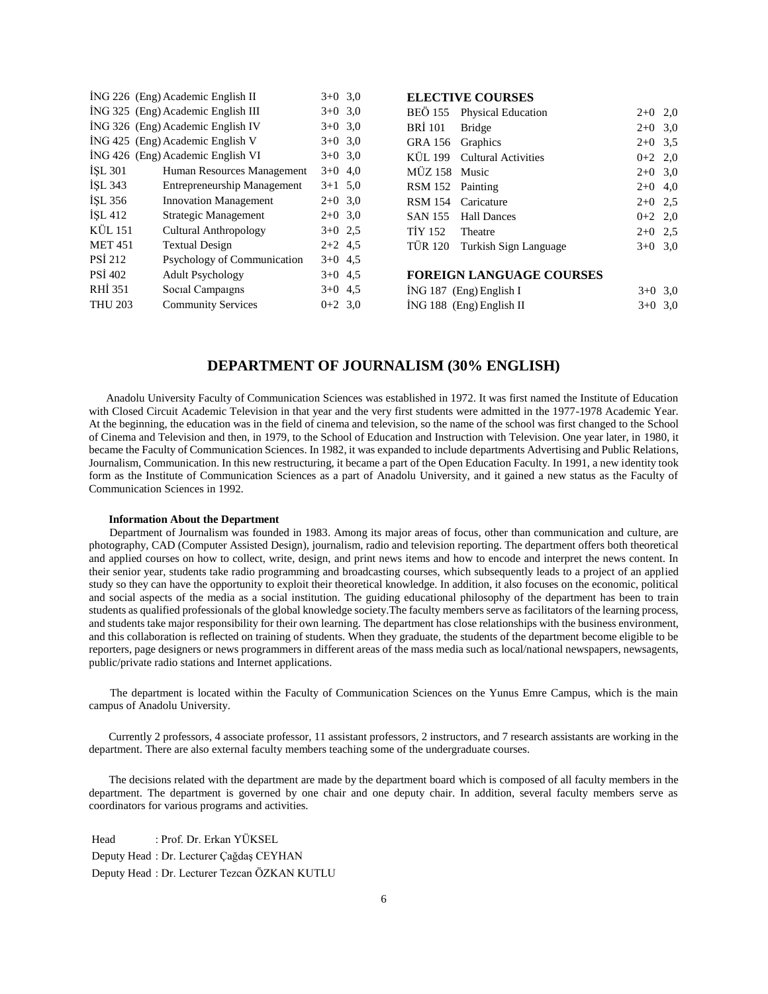|                | ING 226 (Eng) Academic English II  | $3+0$ 3.0 |     |
|----------------|------------------------------------|-----------|-----|
|                | ING 325 (Eng) Academic English III | $3+0$ 3,0 |     |
|                | ING 326 (Eng) Academic English IV  | $3+0$     | 3,0 |
|                | ING 425 (Eng) Academic English V   | $3+0$ 3.0 |     |
|                | ING 426 (Eng) Academic English VI  | $3+0$ 3.0 |     |
| <b>ISL 301</b> | Human Resources Management         | $3+0$     | 4,0 |
| ISL 343        | <b>Entrepreneurship Management</b> | $3+1$ 5.0 |     |
| ISL 356        | <b>Innovation Management</b>       | $2+0$ 3,0 |     |
| <b>İSL 412</b> | Strategic Management               | $2+0$ 3.0 |     |
| <b>KÜL 151</b> | <b>Cultural Anthropology</b>       | $3+0$ 2.5 |     |
| <b>MET 451</b> | <b>Textual Design</b>              | $2+2$ 4.5 |     |
| <b>PSI 212</b> | Psychology of Communication        | $3+0$ 4.5 |     |
| <b>PSI 402</b> | <b>Adult Psychology</b>            | $3+0$ 4.5 |     |
| <b>RHI 351</b> | Social Campaigns                   | $3+0$ 4.5 |     |
| <b>THU 203</b> | <b>Community Services</b>          | $0+2$ 3.0 |     |
|                |                                    |           |     |

| ELECTIVE COUNSES |                            |  |
|------------------|----------------------------|--|
|                  | BEÖ 155 Physical Education |  |
| BRİ 101 Bridge   |                            |  |
| GRA 156 Graphics |                            |  |

**ELECTIVE COURSES**

| GRA 156 Graphics |                               | $2+0$ 3.5 |  |
|------------------|-------------------------------|-----------|--|
|                  | KÜL 199 Cultural Activities   | $0+2$ 2,0 |  |
| MÜZ 158 Music    |                               | $2+0$ 3,0 |  |
| RSM 152 Painting |                               | $2+0$ 4,0 |  |
|                  | RSM 154 Caricature            | $2+0$ 2.5 |  |
|                  | SAN 155 Hall Dances           | $0+2$ 2,0 |  |
| TIY 152 Theatre  |                               | $2+0$ 2.5 |  |
|                  | TÜR 120 Turkish Sign Language | $3+0$ 3.0 |  |
|                  |                               |           |  |

 $2+0$  2,0  $2+0$  3,0

# **FOREIGN LANGUAGE COURSES**

| $ING 187$ (Eng) English I  | $3+0$ 3.0 |  |
|----------------------------|-----------|--|
| $ING 188$ (Eng) English II | $3+0$ 3.0 |  |

# **DEPARTMENT OF JOURNALISM (30% ENGLISH)**

 Anadolu University Faculty of Communication Sciences was established in 1972. It was first named the Institute of Education with Closed Circuit Academic Television in that year and the very first students were admitted in the 1977-1978 Academic Year. At the beginning, the education was in the field of cinema and television, so the name of the school was first changed to the School of Cinema and Television and then, in 1979, to the School of Education and Instruction with Television. One year later, in 1980, it became the Faculty of Communication Sciences. In 1982, it was expanded to include departments Advertising and Public Relations, Journalism, Communication. In this new restructuring, it became a part of the Open Education Faculty. In 1991, a new identity took form as the Institute of Communication Sciences as a part of Anadolu University, and it gained a new status as the Faculty of Communication Sciences in 1992.

#### **Information About the Department**

 Department of Journalism was founded in 1983. Among its major areas of focus, other than communication and culture, are photography, CAD (Computer Assisted Design), journalism, radio and television reporting. The department offers both theoretical and applied courses on how to collect, write, design, and print news items and how to encode and interpret the news content. In their senior year, students take radio programming and broadcasting courses, which subsequently leads to a project of an applied study so they can have the opportunity to exploit their theoretical knowledge. In addition, it also focuses on the economic, political and social aspects of the media as a social institution. The guiding educational philosophy of the department has been to train students as qualified professionals of the global knowledge society.The faculty members serve as facilitators of the learning process, and students take major responsibility for their own learning. The department has close relationships with the business environment, and this collaboration is reflected on training of students. When they graduate, the students of the department become eligible to be reporters, page designers or news programmers in different areas of the mass media such as local/national newspapers, newsagents, public/private radio stations and Internet applications.

 The department is located within the Faculty of Communication Sciences on the Yunus Emre Campus, which is the main campus of Anadolu University.

 Currently 2 professors, 4 associate professor, 11 assistant professors, 2 instructors, and 7 research assistants are working in the department. There are also external faculty members teaching some of the undergraduate courses.

 The decisions related with the department are made by the department board which is composed of all faculty members in the department. The department is governed by one chair and one deputy chair. In addition, several faculty members serve as coordinators for various programs and activities.

Head : Prof. Dr. Erkan YÜKSEL Deputy Head : Dr. Lecturer Çağdaş CEYHAN Deputy Head : Dr. Lecturer Tezcan ÖZKAN KUTLU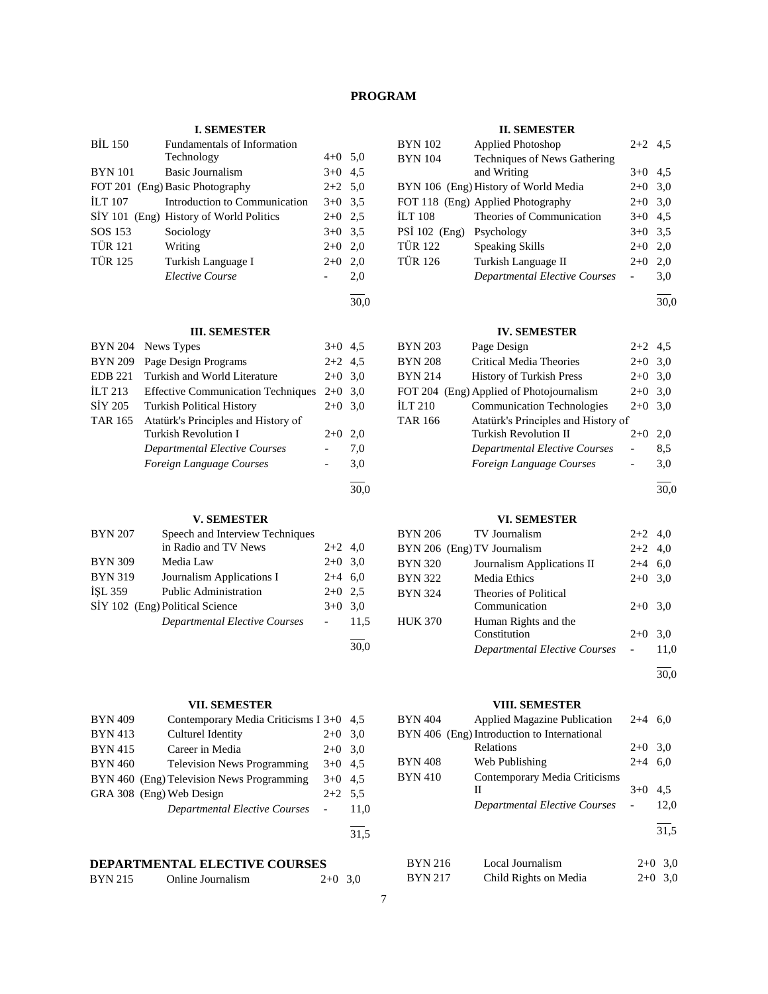# **PROGRAM**

# **I. SEMESTER**

| <b>BIL 150</b> | Fundamentals of Information             |           |     |
|----------------|-----------------------------------------|-----------|-----|
|                | Technology                              | $4+0$ 5.0 |     |
| <b>BYN</b> 101 | <b>Basic Journalism</b>                 | $3+0$ 4.5 |     |
|                | FOT 201 (Eng) Basic Photography         | $2+2$ 5,0 |     |
| <b>ILT 107</b> | Introduction to Communication           | $3+0$ 3.5 |     |
|                | SİY 101 (Eng) History of World Politics | $2+0$ 2.5 |     |
| SOS 153        | Sociology                               | $3+0$ 3.5 |     |
| <b>TÜR 121</b> | Writing                                 | $2+0$ 2,0 |     |
| TÜR 125        | Turkish Language I                      | $2+0$     | 2,0 |
|                | Elective Course                         |           | 2,0 |
|                |                                         |           |     |

30,0

30,0

30,0

#### **III. SEMESTER**

| <b>BYN 204</b> | News Types                                | $3+0$ 4.5 |     |
|----------------|-------------------------------------------|-----------|-----|
| <b>BYN 209</b> | Page Design Programs                      | $2+2$ 4.5 |     |
| <b>EDB</b> 221 | Turkish and World Literature              | $2+0$ 3,0 |     |
| ILT 213        | <b>Effective Communication Techniques</b> | $2+0$ 3.0 |     |
| SİY 205        | <b>Turkish Political History</b>          | $2+0$     | 3,0 |
| <b>TAR 165</b> | Atatürk's Principles and History of       |           |     |
|                | Turkish Revolution I                      | $2+0$     | 2.0 |
|                | Departmental Elective Courses             |           | 7,0 |
|                | Foreign Language Courses                  |           | 3,0 |
|                |                                           |           |     |

# **V. SEMESTER**

| <b>BYN 207</b>                  | Speech and Interview Techniques      |           |      |
|---------------------------------|--------------------------------------|-----------|------|
|                                 | in Radio and TV News                 | $2+2$ 4,0 |      |
| <b>BYN 309</b>                  | Media Law                            | $2+0$ 3.0 |      |
| <b>BYN 319</b>                  | Journalism Applications I            | $2+4$ 6.0 |      |
| <b>ISL 359</b>                  | <b>Public Administration</b>         | $2+0$ 2.5 |      |
| SİY 102 (Eng) Political Science |                                      | $3+0$ 3.0 |      |
|                                 | <b>Departmental Elective Courses</b> |           | 11.5 |
|                                 |                                      |           |      |

# **VII. SEMESTER**

| <b>BYN 409</b> | Contemporary Media Criticisms I 3+0 4,5   |           |      |
|----------------|-------------------------------------------|-----------|------|
| <b>BYN 413</b> | Culturel Identity                         | $2+0$     | 3,0  |
| <b>BYN 415</b> | Career in Media                           | $2+0$ 3.0 |      |
| <b>BYN 460</b> | <b>Television News Programming</b>        | $3+0$ 4.5 |      |
|                | BYN 460 (Eng) Television News Programming | $3+0$ 4.5 |      |
|                | GRA 308 (Eng) Web Design                  | $2+2$ 5.5 |      |
|                | <b>Departmental Elective Courses</b>      |           | 11.0 |
|                |                                           |           | 31,5 |

# **DEPARTMENTAL ELECTIVE COURSES**

| <b>BYN 215</b><br>Online Journalism | $2+0$ 3,0 |  |
|-------------------------------------|-----------|--|
|-------------------------------------|-----------|--|

## **II. SEMESTER**

| <b>Applied Photoshop</b>             |       |                                                               |
|--------------------------------------|-------|---------------------------------------------------------------|
| Techniques of News Gathering         |       |                                                               |
| and Writing                          |       |                                                               |
| BYN 106 (Eng) History of World Media |       |                                                               |
| FOT 118 (Eng) Applied Photography    | $2+0$ | 3,0                                                           |
| Theories of Communication            |       |                                                               |
| PSİ 102 (Eng) Psychology             |       |                                                               |
| <b>Speaking Skills</b>               | $2+0$ | 2,0                                                           |
| Turkish Language II                  | $2+0$ | 2.0                                                           |
| <b>Departmental Elective Courses</b> |       | 3,0                                                           |
|                                      |       | $2+2$ 4.5<br>$3+0$ 4.5<br>$2+0$ 3.0<br>$3+0$ 4.5<br>$3+0$ 3.5 |

l 30,0

# **IV. SEMESTER**

| BYN 203        | Page Design                              | $2+2$ 4.5 |     |
|----------------|------------------------------------------|-----------|-----|
| <b>BYN 208</b> | Critical Media Theories                  | $2+0$     | 3,0 |
| BYN 214        | <b>History of Turkish Press</b>          | $2+0$     | 3,0 |
|                | FOT 204 (Eng) Applied of Photojournalism | $2+0$     | 3,0 |
| İLT 210        | <b>Communication Technologies</b>        | $2+0$     | 3.0 |
| TAR 166        | Atatürk's Principles and History of      |           |     |
|                | Turkish Revolution II                    | $2+0$     | 2,0 |
|                | <b>Departmental Elective Courses</b>     |           | 8,5 |
|                | Foreign Language Courses                 |           | 3,0 |
|                |                                          |           |     |

30,0

# **VI. SEMESTER**

| BYN 206        | TV Journalism                 | $2+2$ 4,0 |      |
|----------------|-------------------------------|-----------|------|
|                | BYN 206 (Eng) TV Journalism   | $2+2$ 4,0 |      |
| <b>BYN 320</b> | Journalism Applications II    | $2+4$ 6,0 |      |
| <b>BYN 322</b> | Media Ethics                  | $2+0$ 3.0 |      |
| <b>BYN 324</b> | Theories of Political         |           |      |
|                | Communication                 | $2+0$ 3.0 |      |
| <b>HUK 370</b> | Human Rights and the          |           |      |
|                | Constitution                  | $2+0$     | 3,0  |
|                | Departmental Elective Courses |           | 11.0 |
|                |                               |           |      |

30,0

# **VIII. SEMESTER**

| 4,5  | <b>BYN 404</b> | <b>Applied Magazine Publication</b>         | $2 + 4$ | - 6.0     |
|------|----------------|---------------------------------------------|---------|-----------|
| 3,0  |                | BYN 406 (Eng) Introduction to International |         |           |
| 3,0  |                | Relations                                   | $2+0$   | 3,0       |
| 4,5  | <b>BYN 408</b> | Web Publishing                              | $2 + 4$ | 6,0       |
| 4,5  | <b>BYN 410</b> | Contemporary Media Criticisms               |         |           |
| 5,5  |                | Н                                           | $3+0$   | 4,5       |
| 11,0 |                | Departmental Elective Courses               |         | 12,0      |
|      |                |                                             |         |           |
| 31,5 |                |                                             |         | 31,5      |
|      |                |                                             |         |           |
|      | <b>BYN 216</b> | Local Journalism                            |         | $2+0$ 3.0 |
| 3.0  | <b>BYN 217</b> | Child Rights on Media                       | $2+0$   | 3.0       |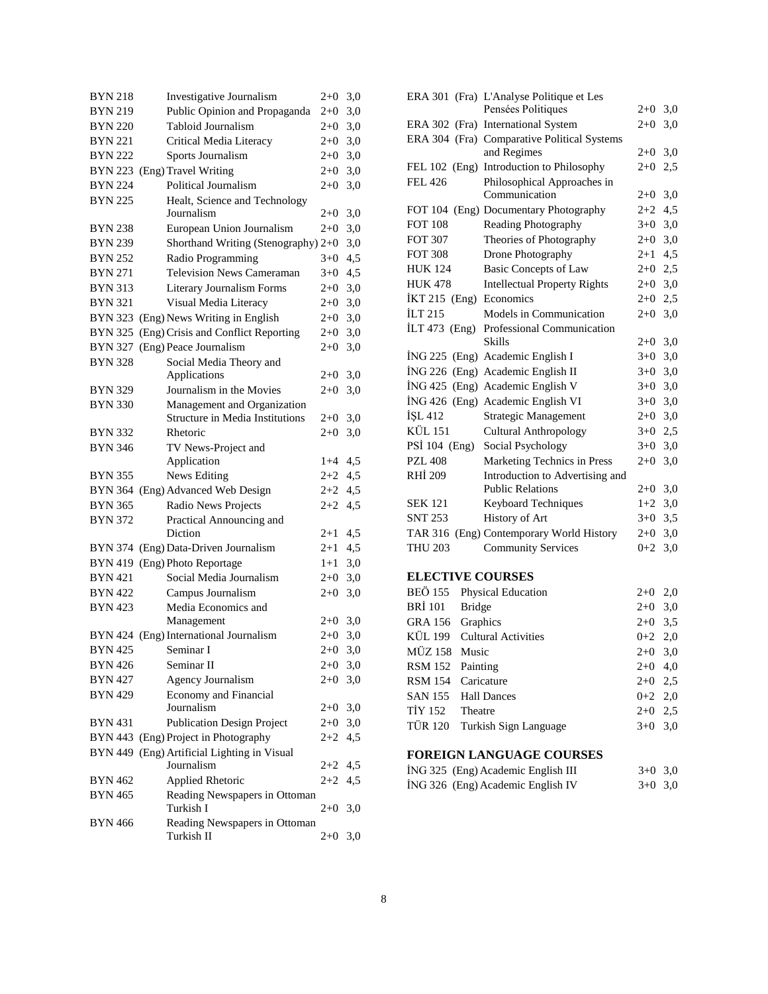| <b>BYN 218</b> | Investigative Journalism                    | $2+0$     | 3,0 |
|----------------|---------------------------------------------|-----------|-----|
| <b>BYN 219</b> | Public Opinion and Propaganda               | $2+0$     | 3,0 |
| <b>BYN 220</b> | Tabloid Journalism                          | $2+0$     | 3,0 |
| <b>BYN 221</b> | Critical Media Literacy                     | $2+0$     | 3,0 |
| <b>BYN 222</b> | Sports Journalism                           | $2 + 0$   | 3,0 |
|                | BYN 223 (Eng) Travel Writing                | $2 + 0$   | 3,0 |
| <b>BYN 224</b> | Political Journalism                        | $2+0$     | 3,0 |
| <b>BYN 225</b> | Healt, Science and Technology               |           |     |
|                | Journalism                                  | $2 + 0$   | 3,0 |
| <b>BYN 238</b> | European Union Journalism                   | $2+0$     | 3,0 |
| <b>BYN 239</b> | Shorthand Writing (Stenography) 2+0         |           | 3,0 |
| <b>BYN 252</b> | Radio Programming                           | $3+0$     | 4,5 |
| <b>BYN 271</b> | <b>Television News Cameraman</b>            | $3+0$     | 4,5 |
| <b>BYN 313</b> | Literary Journalism Forms                   | $2 + 0$   | 3,0 |
| <b>BYN 321</b> | Visual Media Literacy                       | $2 + 0$   | 3,0 |
| <b>BYN 323</b> | (Eng) News Writing in English               | $2+0$     | 3,0 |
| <b>BYN 325</b> | (Eng) Crisis and Conflict Reporting         | $2 + 0$   | 3,0 |
| BYN 327        | (Eng) Peace Journalism                      | $2+0$     | 3,0 |
| <b>BYN 328</b> | Social Media Theory and                     |           |     |
|                | Applications                                | 2+0       | 3,0 |
| <b>BYN 329</b> | Journalism in the Movies                    | $2+0$     | 3,0 |
| <b>BYN 330</b> | Management and Organization                 |           |     |
|                | <b>Structure in Media Institutions</b>      | 2+0       | 3,0 |
| BYN 332        | Rhetoric                                    | $2 + 0$   | 3,0 |
| <b>BYN 346</b> | TV News-Project and<br>Application          | $1+4$     | 4,5 |
|                |                                             | $2+2$     |     |
| <b>BYN 355</b> | News Editing                                |           | 4,5 |
|                | BYN 364 (Eng) Advanced Web Design           | $2 + 2$   | 4,5 |
| <b>BYN 365</b> | Radio News Projects                         | $2 + 2$   | 4,5 |
| <b>BYN 372</b> | Practical Announcing and<br>Diction         | $2 + 1$   | 4,5 |
|                | BYN 374 (Eng) Data-Driven Journalism        | $2 + 1$   | 4,5 |
|                | BYN 419 (Eng) Photo Reportage               | $1 + 1$   | 3,0 |
| <b>BYN 421</b> | Social Media Journalism                     | $2+0$     | 3,0 |
| <b>BYN 422</b> | Campus Journalism                           | $2 + 0$   | 3,0 |
| <b>BYN 423</b> | Media Economics and                         |           |     |
|                | Management                                  | $2 + 0$   | 3,0 |
|                | BYN 424 (Eng) International Journalism      | $2 + 0$   | 3,0 |
| BYN 425        | Seminar I                                   | $2 + 0$   | 3,0 |
| <b>BYN 426</b> | Seminar II                                  | $2+0$     | 3,0 |
| <b>BYN 427</b> | <b>Agency Journalism</b>                    | $2 + 0$   | 3,0 |
| <b>BYN 429</b> | Economy and Financial                       |           |     |
|                | Journalism                                  | $2+0$     | 3,0 |
| <b>BYN 431</b> | <b>Publication Design Project</b>           | $2+0$     | 3,0 |
|                | BYN 443 (Eng) Project in Photography        | 2+2       | 4,5 |
| BYN 449        | (Eng) Artificial Lighting in Visual         |           |     |
|                | Journalism                                  | $2+2$ 4,5 |     |
| <b>BYN 462</b> | <b>Applied Rhetoric</b>                     | $2+2$     | 4,5 |
| <b>BYN 465</b> | Reading Newspapers in Ottoman<br>Turkish I  | $2+0$     | 3,0 |
| <b>BYN 466</b> | Reading Newspapers in Ottoman<br>Turkish II | $2+0$     | 3,0 |

|                 | ERA 301 (Fra) L'Analyse Politique et Les    |           |     |
|-----------------|---------------------------------------------|-----------|-----|
|                 | Pensées Politiques                          | $2+0$     | 3,0 |
| ERA $302$ (Fra) | <b>International System</b>                 | $2+0$     | 3,0 |
|                 | ERA 304 (Fra) Comparative Political Systems |           |     |
|                 | and Regimes                                 | $2+0$     | 3,0 |
| FEL $102$ (Eng) | Introduction to Philosophy                  | $2+0$     | 2.5 |
| FEL 426         | Philosophical Approaches in                 |           |     |
|                 | Communication                               | $2+0$     | 3,0 |
|                 | FOT 104 (Eng) Documentary Photography       | $2+2$     | 4,5 |
| <b>FOT 108</b>  | Reading Photography                         | $3+0$ 3,0 |     |
| <b>FOT 307</b>  | Theories of Photography                     | $2+0$     | 3,0 |
| <b>FOT 308</b>  | Drone Photography                           | $2+1$     | 4,5 |
| <b>HUK 124</b>  | <b>Basic Concepts of Law</b>                | $2+0$ 2,5 |     |
| <b>HUK 478</b>  | <b>Intellectual Property Rights</b>         | $2+0$ 3,0 |     |
| $IKT 215$ (Eng) | Economics                                   | $2+0$ 2,5 |     |
| İLT 215         | Models in Communication                     | $2+0$     | 3,0 |
| $[LT 473$ (Eng) | Professional Communication                  |           |     |
|                 | <b>Skills</b>                               | $2+0$     | 3,0 |
|                 | ING 225 (Eng) Academic English I            | $3+0$     | 3,0 |
|                 | ING 226 (Eng) Academic English II           | $3+0$     | 3,0 |
|                 | ING 425 (Eng) Academic English V            | $3+0$ 3,0 |     |
|                 | İNG 426 (Eng) Academic English VI           | $3+0$     | 3,0 |
| <b>ISL 412</b>  | <b>Strategic Management</b>                 | $2+0$     | 3,0 |
| KÜL 151         | <b>Cultural Anthropology</b>                | $3+0$     | 2,5 |
| PSİ 104 (Eng)   | Social Psychology                           | $3+0$     | 3,0 |
| PZL 408         | Marketing Technics in Press                 | $2+0$     | 3,0 |
| <b>RHI 209</b>  | Introduction to Advertising and             |           |     |
|                 | <b>Public Relations</b>                     | $2+0$     | 3,0 |
| <b>SEK 121</b>  | Keyboard Techniques                         | $1+2$     | 3,0 |
| <b>SNT 253</b>  | History of Art                              | $3+0$     | 3,5 |
| <b>TAR 316</b>  | (Eng) Contemporary World History            | $2+0$     | 3,0 |
| <b>THU 203</b>  | <b>Community Services</b>                   | $0 + 2$   | 3,0 |
|                 |                                             |           |     |

# **ELECTIVE COURSES**

|                  | BEÖ 155 Physical Education    | $2+0$ 2,0 |  |
|------------------|-------------------------------|-----------|--|
| BRİ 101 Bridge   |                               | $2+0$ 3,0 |  |
| GRA 156 Graphics |                               | $2+0$ 3.5 |  |
|                  | KÜL 199 Cultural Activities   | $0+2$ 2,0 |  |
| MÜZ 158 Music    |                               | $2+0$ 3,0 |  |
| RSM 152 Painting |                               | $2+0$ 4,0 |  |
|                  | RSM 154 Caricature            | $2+0$ 2.5 |  |
|                  | SAN 155 Hall Dances           | $0+2$ 2,0 |  |
| TIY 152 Theatre  |                               | $2+0$ 2.5 |  |
|                  | TÜR 120 Turkish Sign Language | $3+0$ 3.0 |  |

# **FOREIGN LANGUAGE COURSES**

| ING 325 (Eng) Academic English III | $3+0$ 3.0 |  |
|------------------------------------|-----------|--|
| ING 326 (Eng) Academic English IV  | $3+0$ 3.0 |  |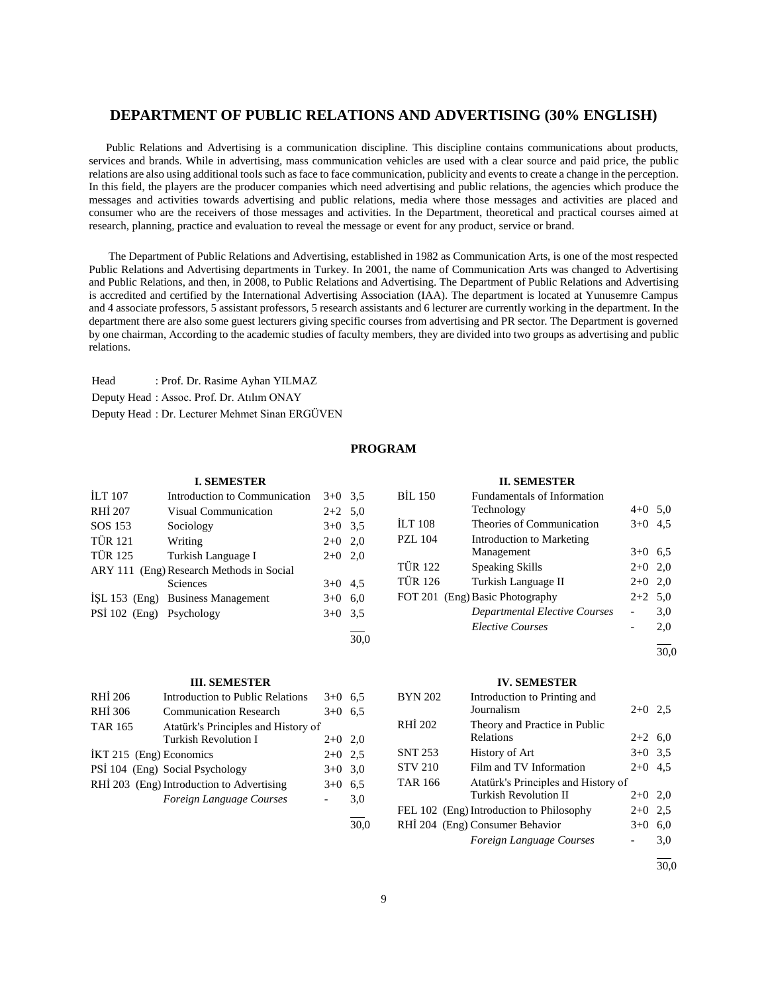# **DEPARTMENT OF PUBLIC RELATIONS AND ADVERTISING (30% ENGLISH)**

 Public Relations and Advertising is a communication discipline. This discipline contains communications about products, services and brands. While in advertising, mass communication vehicles are used with a clear source and paid price, the public relations are also using additional tools such as face to face communication, publicity and events to create a change in the perception. In this field, the players are the producer companies which need advertising and public relations, the agencies which produce the messages and activities towards advertising and public relations, media where those messages and activities are placed and consumer who are the receivers of those messages and activities. In the Department, theoretical and practical courses aimed at research, planning, practice and evaluation to reveal the message or event for any product, service or brand.

 The Department of Public Relations and Advertising, established in 1982 as Communication Arts, is one of the most respected Public Relations and Advertising departments in Turkey. In 2001, the name of Communication Arts was changed to Advertising and Public Relations, and then, in 2008, to Public Relations and Advertising. The Department of Public Relations and Advertising is accredited and certified by the International Advertising Association (IAA). The department is located at Yunusemre Campus and 4 associate professors, 5 assistant professors, 5 research assistants and 6 lecturer are currently working in the department. In the department there are also some guest lecturers giving specific courses from advertising and PR sector. The Department is governed by one chairman, According to the academic studies of faculty members, they are divided into two groups as advertising and public relations.

Head : Prof. Dr. Rasime Ayhan YILMAZ Deputy Head : Assoc. Prof. Dr. Atılım ONAY Deputy Head : Dr. Lecturer Mehmet Sinan ERGÜVEN

# **PROGRAM**

30,0

 $\frac{1}{30.0}$ 

| <b>I. SEMESTER</b>       |                                          |           |     |
|--------------------------|------------------------------------------|-----------|-----|
| <b>ILT</b> 107           | Introduction to Communication            | $3+0$ 3.5 |     |
| RHI 207                  | Visual Communication                     | $2+2$ 5.0 |     |
| SOS 153                  | Sociology                                | $3+0$ 3.5 |     |
| <b>TÜR 121</b>           | Writing                                  | $2+0$ 2,0 |     |
| <b>TÜR 125</b>           | Turkish Language I                       | $2+0$ 2,0 |     |
|                          | ARY 111 (Eng) Research Methods in Social |           |     |
|                          | <b>Sciences</b>                          | $3+0$ 4.5 |     |
|                          | ISL 153 (Eng) Business Management        | $3+0$     | 6.0 |
| PSİ 102 (Eng) Psychology |                                          | $3+0$ 3.5 |     |
|                          |                                          |           |     |

#### **III. SEMESTER**

| RHI 206                   | <b>Introduction to Public Relations</b>   | $3+0$     | 6,5 |
|---------------------------|-------------------------------------------|-----------|-----|
| RHI 306                   | <b>Communication Research</b>             | $3+0$     | 6.5 |
| <b>TAR 165</b>            | Atatürk's Principles and History of       |           |     |
|                           | <b>Turkish Revolution I</b>               | $2+0$ 2,0 |     |
| $IKT 215$ (Eng) Economics |                                           | $2+0$ 2.5 |     |
|                           | PSI 104 (Eng) Social Psychology           | $3+0$ 3,0 |     |
|                           | RHİ 203 (Eng) Introduction to Advertising | $3+0$     | 6,5 |
|                           | Foreign Language Courses                  |           | 3.0 |
|                           |                                           |           |     |

|                | <b>II. SEMESTER</b>                  |           |     |
|----------------|--------------------------------------|-----------|-----|
| <b>BIL 150</b> | <b>Fundamentals of Information</b>   |           |     |
|                | Technology                           | $4 + 0$   | 5.0 |
| <b>ILT 108</b> | Theories of Communication            | $3+0$     | 4,5 |
| PZL 104        | Introduction to Marketing            |           |     |
|                | Management                           | $3+0$     | 6,5 |
| <b>TÜR 122</b> | Speaking Skills                      | $2+0$ 2.0 |     |
| <b>TÜR 126</b> | Turkish Language II                  | $2+0$     | 2,0 |
|                | FOT 201 (Eng) Basic Photography      | $2+2$ 5,0 |     |
|                | <b>Departmental Elective Courses</b> |           | 3,0 |
|                | <b>Elective Courses</b>              |           | 2,0 |
|                |                                      |           |     |

30,0

#### **IV. SEMESTER**

| <b>BYN 202</b> | Introduction to Printing and             |           |     |
|----------------|------------------------------------------|-----------|-----|
|                | Journalism                               | $2+0$ 2.5 |     |
| RHÍ 202        | Theory and Practice in Public            |           |     |
|                | Relations                                | $2+2$ 6,0 |     |
| <b>SNT 253</b> | History of Art                           | $3+0$ 3.5 |     |
| <b>STV 210</b> | Film and TV Information                  | $2+0$     | 4,5 |
| TAR 166        | Atatürk's Principles and History of      |           |     |
|                | <b>Turkish Revolution II</b>             | $2+0$ 2,0 |     |
|                | FEL 102 (Eng) Introduction to Philosophy | $2+0$     | 2.5 |
|                | RHİ 204 (Eng) Consumer Behavior          | $3+0$     | 6,0 |
|                | Foreign Language Courses                 |           | 3,0 |
|                |                                          |           |     |

30,0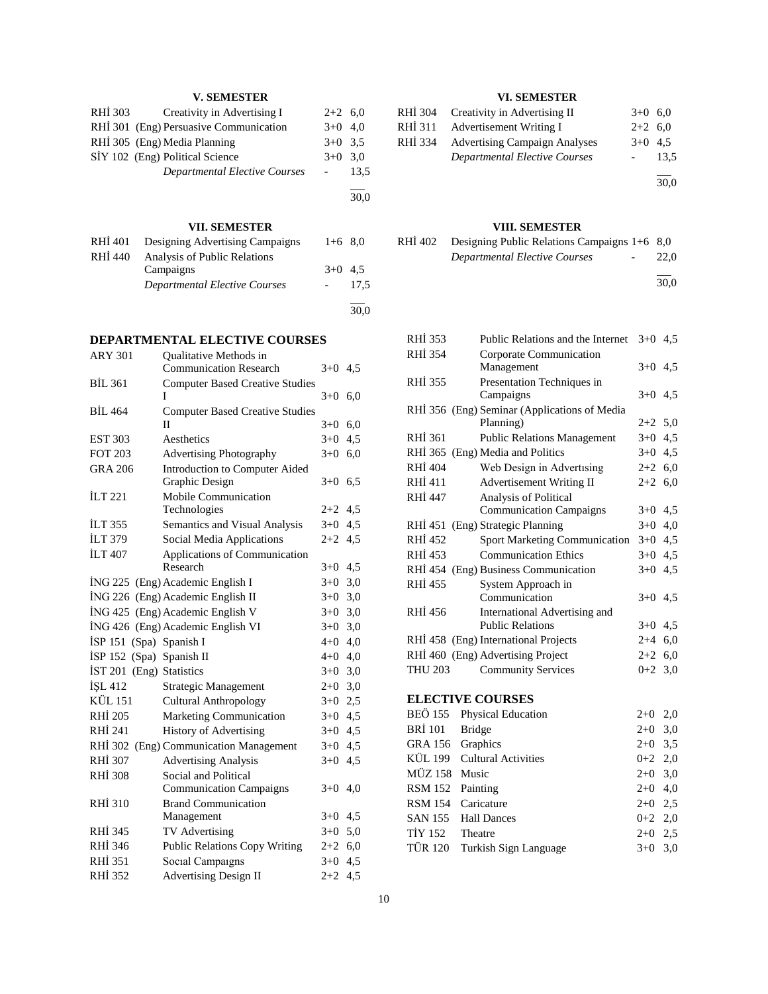# **V. SEMESTER**

| RHI 303 | Creativity in Advertising I            | $2+2$ 6,0 |      |
|---------|----------------------------------------|-----------|------|
|         | RHI 301 (Eng) Persuasive Communication | $3+0$ 4.0 |      |
|         | RHİ 305 (Eng) Media Planning           | $3+0$ 3.5 |      |
|         | SİY 102 (Eng) Political Science        | $3+0$     | 3.0  |
|         | Departmental Elective Courses          |           | 13.5 |
|         |                                        |           | 30,0 |

# **VII. SEMESTER**

| RHI 401 | Designing Advertising Campaigns      | $1+6$ 8.0 |      |
|---------|--------------------------------------|-----------|------|
| RHI 440 | Analysis of Public Relations         |           |      |
|         | Campaigns                            | $3+0$ 4.5 |      |
|         | <b>Departmental Elective Courses</b> |           | 17.5 |
|         |                                      |           |      |
|         |                                      |           | 30,0 |

# **DEPARTMENTAL ELECTIVE COURSES**

| <b>ARY 301</b>           | <b>Oualitative Methods in</b>          |           |     |
|--------------------------|----------------------------------------|-----------|-----|
|                          | <b>Communication Research</b>          | $3+0$ 4.5 |     |
| <b>BIL 361</b>           | <b>Computer Based Creative Studies</b> |           |     |
|                          | I                                      | $3+0$     | 6,0 |
| <b>BIL 464</b>           | <b>Computer Based Creative Studies</b> |           |     |
|                          | П                                      | $3+0$     | 6,0 |
| <b>EST 303</b>           | Aesthetics                             | $3+0$     | 4,5 |
| <b>FOT 203</b>           | <b>Advertising Photography</b>         | $3+0$     | 6,0 |
| <b>GRA 206</b>           | Introduction to Computer Aided         |           |     |
|                          | Graphic Design                         | $3+0$     | 6,5 |
| <b>ILT 221</b>           | Mobile Communication                   |           |     |
|                          | Technologies                           | $2+2$     | 4,5 |
| <b>ILT 355</b>           | Semantics and Visual Analysis          | $3+0$     | 4,5 |
| <b>İLT 379</b>           | Social Media Applications              | $2 + 2$   | 4,5 |
| <b>İLT 407</b>           | Applications of Communication          |           |     |
|                          | Research                               | $3+0$     | 4,5 |
|                          | İNG 225 (Eng) Academic English I       | $3+0$     | 3,0 |
|                          | İNG 226 (Eng) Academic English II      | $3+0$     | 3,0 |
|                          | İNG 425 (Eng) Academic English V       | $3+0$     | 3,0 |
|                          | İNG 426 (Eng) Academic English VI      | $3+0$     | 3,0 |
| İSP 151 (Spa) Spanish I  |                                        | $4 + 0$   | 4,0 |
| İSP 152 (Spa) Spanish II |                                        | $4 + 0$   | 4,0 |
| <b>IST 201</b>           | (Eng) Statistics                       | $3+0$     | 3,0 |
| İŞL 412                  | Strategic Management                   | $2+0$     | 3,0 |
| <b>KÜL 151</b>           | <b>Cultural Anthropology</b>           | $3+0$     | 2,5 |
| <b>RHİ 205</b>           | Marketing Communication                | $3 + 0$   | 4,5 |
| RHI 241                  | <b>History of Advertising</b>          | $3+0$     | 4,5 |
|                          | RHİ 302 (Eng) Communication Management | $3+0$     | 4,5 |
| <b>RHI 307</b>           | <b>Advertising Analysis</b>            | $3 + 0$   | 4,5 |
| <b>RHİ 308</b>           | Social and Political                   |           |     |
|                          | <b>Communication Campaigns</b>         | $3+0$     | 4,0 |
| <b>RHI 310</b>           | <b>Brand Communication</b>             |           |     |
|                          | Management                             | $3+0$     | 4,5 |
| <b>RHI 345</b>           | TV Advertising                         | $3+0$     | 5,0 |
| RHI 346                  | <b>Public Relations Copy Writing</b>   | $2+2$     | 6,0 |
| <b>RHI 351</b>           | Social Campaigns                       | $3 + 0$   | 4,5 |
| <b>RHİ 352</b>           | <b>Advertising Design II</b>           | $2 + 2$   | 4,5 |
|                          |                                        |           |     |

# **VI. SEMESTER**

| RHI 304 | Creativity in Advertising II         | $3+0$ 6.0 |      |
|---------|--------------------------------------|-----------|------|
| RHI 311 | Advertisement Writing I              | $2+2$ 6,0 |      |
| RHİ 334 | <b>Advertising Campaign Analyses</b> | $3+0$ 4.5 |      |
|         | Departmental Elective Courses        |           | 13.5 |
|         |                                      |           | 30,0 |

# **VIII. SEMESTER**

| RHI 402 | Designing Public Relations Campaigns $1+6$ 8,0 |        |      |
|---------|------------------------------------------------|--------|------|
|         | Departmental Elective Courses                  | $\sim$ | 22.0 |
|         |                                                |        |      |

30,0

| RHI 353                           | Public Relations and the Internet $3+0$ 4,5  |           |     |
|-----------------------------------|----------------------------------------------|-----------|-----|
| <b>RHI 354</b>                    | Corporate Communication                      |           |     |
|                                   | Management                                   | $3+0$ 4.5 |     |
| RHI 355                           | Presentation Techniques in                   |           |     |
|                                   | Campaigns                                    | $3+0$ 4.5 |     |
|                                   | RHİ 356 (Eng) Seminar (Applications of Media |           |     |
|                                   | Planning)                                    | $2+2$ 5,0 |     |
| RHI 361                           | <b>Public Relations Management</b>           | $3+0$ 4,5 |     |
| RHI 365                           | (Eng) Media and Politics                     | $3+0$ 4.5 |     |
| RHI 404                           | Web Design in Advertising                    | $2+2$ 6,0 |     |
| RHI 411                           | <b>Advertisement Writing II</b>              | $2+2$ 6,0 |     |
| <b>RHİ 447</b>                    | Analysis of Political                        |           |     |
|                                   | <b>Communication Campaigns</b>               | $3+0$ 4.5 |     |
| RHI 451                           | (Eng) Strategic Planning                     | $3+0$ 4,0 |     |
| RHI 452                           | <b>Sport Marketing Communication</b>         | $3+0$ 4.5 |     |
| RHI 453                           | <b>Communication Ethics</b>                  | $3+0$ 4.5 |     |
|                                   | RHI 454 (Eng) Business Communication         | $3+0$ 4.5 |     |
| <b>RHI 455</b>                    | System Approach in                           |           |     |
|                                   | Communication                                | $3+0$ 4.5 |     |
| RHI 456                           | International Advertising and                |           |     |
|                                   | <b>Public Relations</b>                      | $3+0$ 4.5 |     |
|                                   | RHI 458 (Eng) International Projects         | $2+4$ 6,0 |     |
| RHI 460 (Eng) Advertising Project |                                              | $2+2$ 6,0 |     |
| <b>THU 203</b>                    | <b>Community Services</b>                    | $0+2$ 3,0 |     |
|                                   |                                              |           |     |
| <b>ELECTIVE COURSES</b>           |                                              |           |     |
| BEÖ 155                           | Physical Education                           | $2+0$     | 2,0 |
| <b>BRI</b> 101<br><b>Bridge</b>   |                                              | $2+0$     | 3,0 |
| Graphics<br>GRA 156               |                                              | $2+0$     | 3.5 |
| KÜL 199 Cultural Activities       |                                              | $0+2$ 2,0 |     |
| <b>MÜZ 158</b><br>Music           |                                              | $2+0$     | 3,0 |
| <b>RSM 152</b><br>Painting        |                                              | $2+0$     | 4,0 |

RSM 154 Caricature 2+0 2,5 SAN 155 Hall Dances  $0+2$  2,0 TİY 152 Theatre  $2+0$  2,5 TÜR 120 Turkish Sign Language 3+0 3,0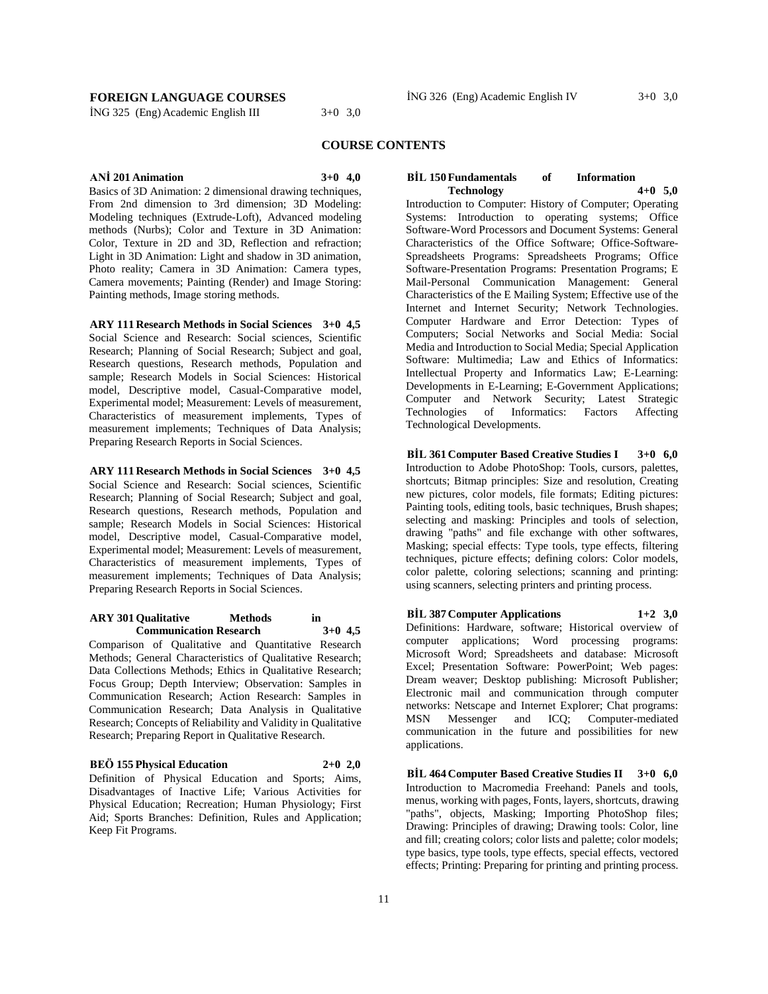# **FOREIGN LANGUAGE COURSES**

İNG 325 (Eng) Academic English III 3+0 3,0

# **COURSE CONTENTS**

**ANİ 201 Animation 3+0 4,0**

Basics of 3D Animation: 2 dimensional drawing techniques, From 2nd dimension to 3rd dimension; 3D Modeling: Modeling techniques (Extrude-Loft), Advanced modeling methods (Nurbs); Color and Texture in 3D Animation: Color, Texture in 2D and 3D, Reflection and refraction; Light in 3D Animation: Light and shadow in 3D animation, Photo reality; Camera in 3D Animation: Camera types, Camera movements; Painting (Render) and Image Storing: Painting methods, Image storing methods.

**ARY 111 Research Methods in Social Sciences 3+0 4,5** Social Science and Research: Social sciences, Scientific Research; Planning of Social Research; Subject and goal, Research questions, Research methods, Population and sample; Research Models in Social Sciences: Historical model, Descriptive model, Casual-Comparative model, Experimental model; Measurement: Levels of measurement, Characteristics of measurement implements, Types of measurement implements; Techniques of Data Analysis; Preparing Research Reports in Social Sciences.

**ARY 111 Research Methods in Social Sciences 3+0 4,5** Social Science and Research: Social sciences, Scientific Research; Planning of Social Research; Subject and goal, Research questions, Research methods, Population and sample; Research Models in Social Sciences: Historical model, Descriptive model, Casual-Comparative model, Experimental model; Measurement: Levels of measurement, Characteristics of measurement implements, Types of measurement implements; Techniques of Data Analysis; Preparing Research Reports in Social Sciences.

#### **ARY 301 Qualitative Methods in Communication Research 3+0 4,5**

Comparison of Qualitative and Quantitative Research Methods; General Characteristics of Qualitative Research; Data Collections Methods; Ethics in Qualitative Research; Focus Group; Depth Interview; Observation: Samples in Communication Research; Action Research: Samples in Communication Research; Data Analysis in Qualitative Research; Concepts of Reliability and Validity in Qualitative Research; Preparing Report in Qualitative Research.

# **BEÖ 155 Physical Education 2+0 2,0**

Definition of Physical Education and Sports; Aims, Disadvantages of Inactive Life; Various Activities for Physical Education; Recreation; Human Physiology; First Aid; Sports Branches: Definition, Rules and Application; Keep Fit Programs.

## **BİL 150 Fundamentals of Information Technology 4+0 5,0**

Introduction to Computer: History of Computer; Operating Systems: Introduction to operating systems; Office Software-Word Processors and Document Systems: General Characteristics of the Office Software; Office-Software-Spreadsheets Programs: Spreadsheets Programs; Office Software-Presentation Programs: Presentation Programs; E Mail-Personal Communication Management: General Characteristics of the E Mailing System; Effective use of the Internet and Internet Security; Network Technologies. Computer Hardware and Error Detection: Types of Computers; Social Networks and Social Media: Social Media and Introduction to Social Media; Special Application Software: Multimedia; Law and Ethics of Informatics: Intellectual Property and Informatics Law; E-Learning: Developments in E-Learning; E-Government Applications; Computer and Network Security; Latest Strategic Technologies of Informatics: Factors Affecting Technological Developments.

**BİL 361 Computer Based Creative Studies I 3+0 6,0** Introduction to Adobe PhotoShop: Tools, cursors, palettes, shortcuts; Bitmap principles: Size and resolution, Creating new pictures, color models, file formats; Editing pictures: Painting tools, editing tools, basic techniques, Brush shapes; selecting and masking: Principles and tools of selection, drawing "paths" and file exchange with other softwares, Masking; special effects: Type tools, type effects, filtering techniques, picture effects; defining colors: Color models, color palette, coloring selections; scanning and printing: using scanners, selecting printers and printing process.

**BİL 387 Computer Applications 1+2 3,0**

Definitions: Hardware, software; Historical overview of computer applications; Word processing programs: Microsoft Word; Spreadsheets and database: Microsoft Excel; Presentation Software: PowerPoint; Web pages: Dream weaver; Desktop publishing: Microsoft Publisher; Electronic mail and communication through computer networks: Netscape and Internet Explorer; Chat programs:<br>
MSN Messenger and ICO; Computer-mediated MSN Messenger and ICQ; Computer-mediated communication in the future and possibilities for new applications.

**BİL 464 Computer Based Creative Studies II 3+0 6,0** Introduction to Macromedia Freehand: Panels and tools, menus, working with pages, Fonts, layers, shortcuts, drawing "paths", objects, Masking; Importing PhotoShop files; Drawing: Principles of drawing; Drawing tools: Color, line and fill; creating colors; color lists and palette; color models; type basics, type tools, type effects, special effects, vectored effects; Printing: Preparing for printing and printing process.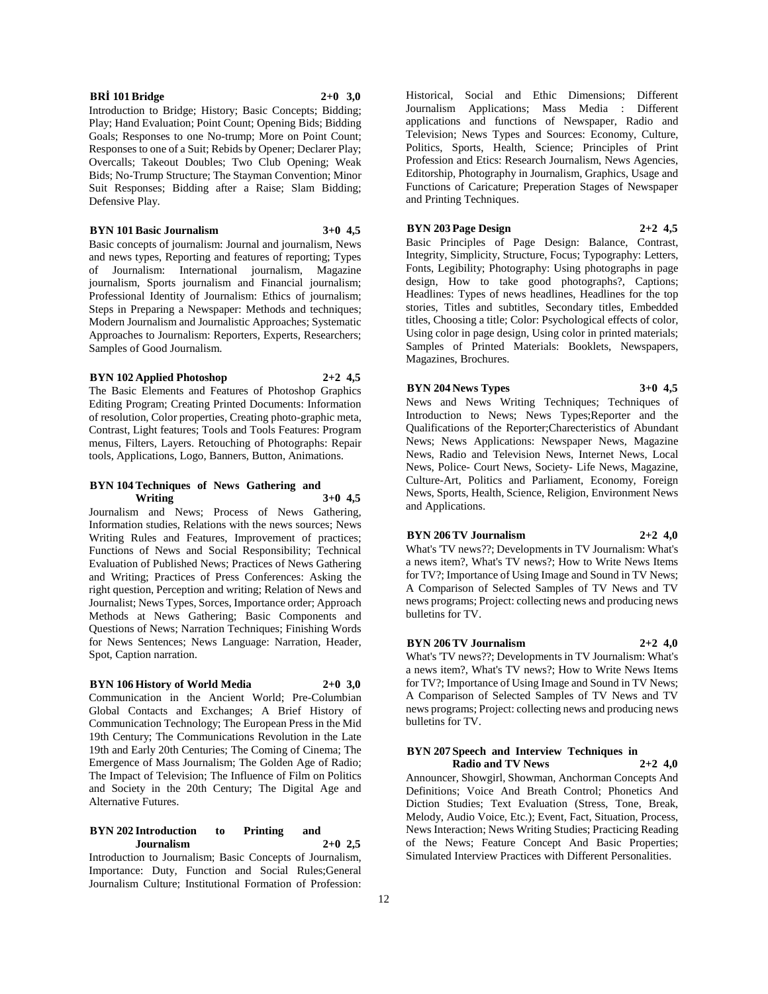# **BRİ 101 Bridge 2+0 3,0**

Introduction to Bridge; History; Basic Concepts; Bidding; Play; Hand Evaluation; Point Count; Opening Bids; Bidding Goals; Responses to one No-trump; More on Point Count; Responses to one of a Suit; Rebids by Opener; Declarer Play; Overcalls; Takeout Doubles; Two Club Opening; Weak Bids; No-Trump Structure; The Stayman Convention; Minor Suit Responses; Bidding after a Raise; Slam Bidding; Defensive Play.

# **BYN 101 Basic Journalism 3+0 4,5**

Basic concepts of journalism: Journal and journalism, News and news types, Reporting and features of reporting; Types of Journalism: International journalism, Magazine journalism, Sports journalism and Financial journalism; Professional Identity of Journalism: Ethics of journalism; Steps in Preparing a Newspaper: Methods and techniques; Modern Journalism and Journalistic Approaches; Systematic Approaches to Journalism: Reporters, Experts, Researchers; Samples of Good Journalism.

#### **BYN 102 Applied Photoshop 2+2 4,5**

The Basic Elements and Features of Photoshop Graphics Editing Program; Creating Printed Documents: Information of resolution, Color properties, Creating photo-graphic meta, Contrast, Light features; Tools and Tools Features: Program menus, Filters, Layers. Retouching of Photographs: Repair tools, Applications, Logo, Banners, Button, Animations.

# **BYN 104 Techniques of News Gathering and Writing 3+0 4,5**

Journalism and News; Process of News Gathering, Information studies, Relations with the news sources; News Writing Rules and Features, Improvement of practices; Functions of News and Social Responsibility; Technical Evaluation of Published News; Practices of News Gathering and Writing; Practices of Press Conferences: Asking the right question, Perception and writing; Relation of News and Journalist; News Types, Sorces, Importance order; Approach Methods at News Gathering; Basic Components and Questions of News; Narration Techniques; Finishing Words for News Sentences; News Language: Narration, Header, Spot, Caption narration.

# **BYN 106 History of World Media 2+0 3,0**

Communication in the Ancient World; Pre-Columbian Global Contacts and Exchanges; A Brief History of Communication Technology; The European Press in the Mid 19th Century; The Communications Revolution in the Late 19th and Early 20th Centuries; The Coming of Cinema; The Emergence of Mass Journalism; The Golden Age of Radio; The Impact of Television; The Influence of Film on Politics and Society in the 20th Century; The Digital Age and Alternative Futures.

# **BYN 202 Introduction to Printing and Journalism 2+0 2,5**

Introduction to Journalism; Basic Concepts of Journalism, Importance: Duty, Function and Social Rules;General Journalism Culture; Institutional Formation of Profession: Historical, Social and Ethic Dimensions; Different Journalism Applications; Mass Media : Different applications and functions of Newspaper, Radio and Television; News Types and Sources: Economy, Culture, Politics, Sports, Health, Science; Principles of Print Profession and Etics: Research Journalism, News Agencies, Editorship, Photography in Journalism, Graphics, Usage and Functions of Caricature; Preperation Stages of Newspaper and Printing Techniques.

# **BYN 203 Page Design 2+2 4,5**

Basic Principles of Page Design: Balance, Contrast, Integrity, Simplicity, Structure, Focus; Typography: Letters, Fonts, Legibility; Photography: Using photographs in page design, How to take good photographs?, Captions; Headlines: Types of news headlines, Headlines for the top stories, Titles and subtitles, Secondary titles, Embedded titles, Choosing a title; Color: Psychological effects of color, Using color in page design, Using color in printed materials; Samples of Printed Materials: Booklets, Newspapers, Magazines, Brochures.

# **BYN 204 News Types 3+0 4,5**

News and News Writing Techniques; Techniques of Introduction to News; News Types;Reporter and the Qualifications of the Reporter;Charecteristics of Abundant News; News Applications: Newspaper News, Magazine News, Radio and Television News, Internet News, Local News, Police- Court News, Society- Life News, Magazine, Culture-Art, Politics and Parliament, Economy, Foreign News, Sports, Health, Science, Religion, Environment News and Applications.

#### **BYN 206 TV Journalism 2+2 4,0**

What's 'TV news??; Developments in TV Journalism: What's a news item?, What's TV news?; How to Write News Items for TV?; Importance of Using Image and Sound in TV News; A Comparison of Selected Samples of TV News and TV news programs; Project: collecting news and producing news bulletins for TV.

# **BYN 206 TV Journalism 2+2 4,0**

What's 'TV news??; Developments in TV Journalism: What's a news item?, What's TV news?; How to Write News Items for TV?; Importance of Using Image and Sound in TV News; A Comparison of Selected Samples of TV News and TV news programs; Project: collecting news and producing news bulletins for TV.

# **BYN 207 Speech and Interview Techniques in**

**Radio and TV News 2+2 4,0** Announcer, Showgirl, Showman, Anchorman Concepts And Definitions; Voice And Breath Control; Phonetics And Diction Studies; Text Evaluation (Stress, Tone, Break, Melody, Audio Voice, Etc.); Event, Fact, Situation, Process, News Interaction; News Writing Studies; Practicing Reading of the News; Feature Concept And Basic Properties; Simulated Interview Practices with Different Personalities.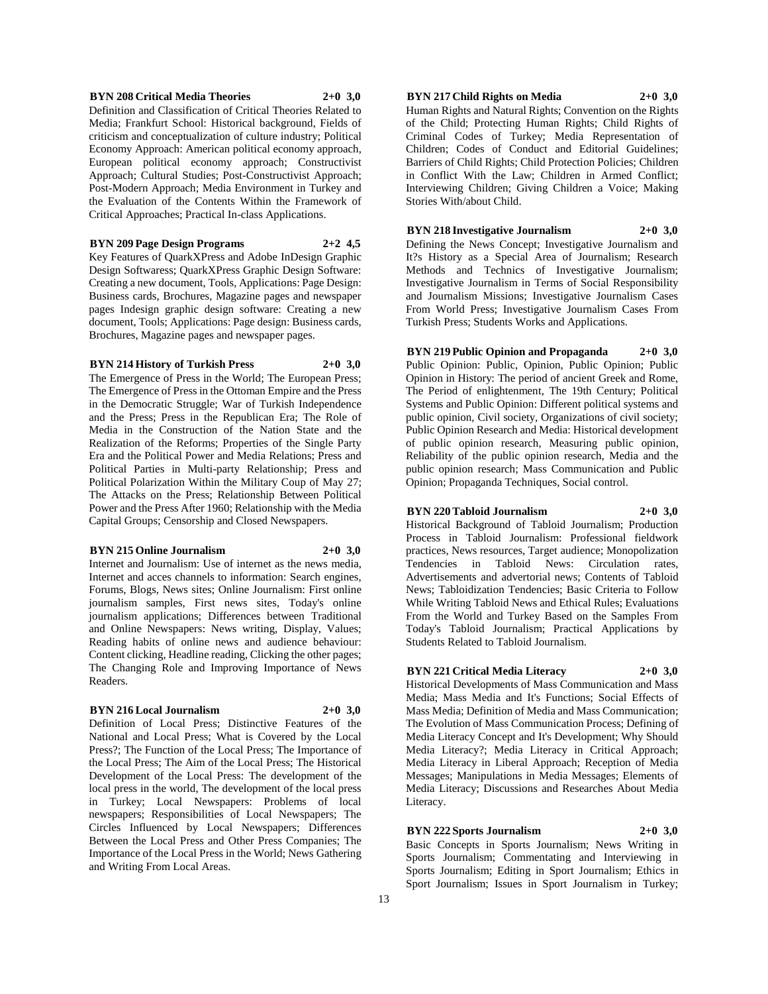# **BYN 208 Critical Media Theories 2+0 3,0**

Definition and Classification of Critical Theories Related to Media; Frankfurt School: Historical background, Fields of criticism and conceptualization of culture industry; Political Economy Approach: American political economy approach, European political economy approach; Constructivist Approach; Cultural Studies; Post-Constructivist Approach; Post-Modern Approach; Media Environment in Turkey and the Evaluation of the Contents Within the Framework of Critical Approaches; Practical In-class Applications.

# **BYN 209 Page Design Programs 2+2 4,5**

Key Features of QuarkXPress and Adobe InDesign Graphic Design Softwaress; QuarkXPress Graphic Design Software: Creating a new document, Tools, Applications: Page Design: Business cards, Brochures, Magazine pages and newspaper pages Indesign graphic design software: Creating a new document, Tools; Applications: Page design: Business cards, Brochures, Magazine pages and newspaper pages.

# **BYN 214 History of Turkish Press 2+0 3,0**

The Emergence of Press in the World; The European Press;

The Emergence of Press in the Ottoman Empire and the Press in the Democratic Struggle; War of Turkish Independence and the Press; Press in the Republican Era; The Role of Media in the Construction of the Nation State and the Realization of the Reforms; Properties of the Single Party Era and the Political Power and Media Relations; Press and Political Parties in Multi-party Relationship; Press and Political Polarization Within the Military Coup of May 27; The Attacks on the Press; Relationship Between Political Power and the Press After 1960; Relationship with the Media Capital Groups; Censorship and Closed Newspapers.

### **BYN 215 Online Journalism 2+0 3,0**

Internet and Journalism: Use of internet as the news media, Internet and acces channels to information: Search engines, Forums, Blogs, News sites; Online Journalism: First online journalism samples, First news sites, Today's online journalism applications; Differences between Traditional and Online Newspapers: News writing, Display, Values; Reading habits of online news and audience behaviour: Content clicking, Headline reading, Clicking the other pages; The Changing Role and Improving Importance of News Readers.

# **BYN 216 Local Journalism 2+0 3,0**

Definition of Local Press; Distinctive Features of the National and Local Press; What is Covered by the Local Press?; The Function of the Local Press; The Importance of the Local Press; The Aim of the Local Press; The Historical Development of the Local Press: The development of the local press in the world, The development of the local press in Turkey; Local Newspapers: Problems of local newspapers; Responsibilities of Local Newspapers; The Circles Influenced by Local Newspapers; Differences Between the Local Press and Other Press Companies; The Importance of the Local Press in the World; News Gathering and Writing From Local Areas.

# **BYN 217 Child Rights on Media 2+0 3,0**

Human Rights and Natural Rights; Convention on the Rights of the Child; Protecting Human Rights; Child Rights of Criminal Codes of Turkey; Media Representation of Children; Codes of Conduct and Editorial Guidelines; Barriers of Child Rights; Child Protection Policies; Children in Conflict With the Law; Children in Armed Conflict; Interviewing Children; Giving Children a Voice; Making Stories With/about Child.

**BYN 218 Investigative Journalism 2+0 3,0** Defining the News Concept; Investigative Journalism and It?s History as a Special Area of Journalism; Research Methods and Technics of Investigative Journalism; Investigative Journalism in Terms of Social Responsibility

and Journalism Missions; Investigative Journalism Cases

From World Press; Investigative Journalism Cases From Turkish Press; Students Works and Applications. **BYN 219 Public Opinion and Propaganda 2+0 3,0** Public Opinion: Public, Opinion, Public Opinion; Public Opinion in History: The period of ancient Greek and Rome, The Period of enlightenment, The 19th Century; Political Systems and Public Opinion: Different political systems and public opinion, Civil society, Organizations of civil society; Public Opinion Research and Media: Historical development of public opinion research, Measuring public opinion, Reliability of the public opinion research, Media and the public opinion research; Mass Communication and Public

## **BYN 220 Tabloid Journalism 2+0 3,0**

Opinion; Propaganda Techniques, Social control.

Historical Background of Tabloid Journalism; Production Process in Tabloid Journalism: Professional fieldwork practices, News resources, Target audience; Monopolization Tendencies in Tabloid News: Circulation rates, Advertisements and advertorial news; Contents of Tabloid News; Tabloidization Tendencies; Basic Criteria to Follow While Writing Tabloid News and Ethical Rules; Evaluations From the World and Turkey Based on the Samples From Today's Tabloid Journalism; Practical Applications by Students Related to Tabloid Journalism.

# **BYN 221 Critical Media Literacy 2+0 3,0**

Historical Developments of Mass Communication and Mass Media; Mass Media and It's Functions; Social Effects of Mass Media; Definition of Media and Mass Communication; The Evolution of Mass Communication Process; Defining of Media Literacy Concept and It's Development; Why Should Media Literacy?; Media Literacy in Critical Approach; Media Literacy in Liberal Approach; Reception of Media Messages; Manipulations in Media Messages; Elements of Media Literacy; Discussions and Researches About Media Literacy.

#### **BYN 222 Sports Journalism 2+0 3,0**

Basic Concepts in Sports Journalism; News Writing in Sports Journalism; Commentating and Interviewing in Sports Journalism; Editing in Sport Journalism; Ethics in Sport Journalism; Issues in Sport Journalism in Turkey;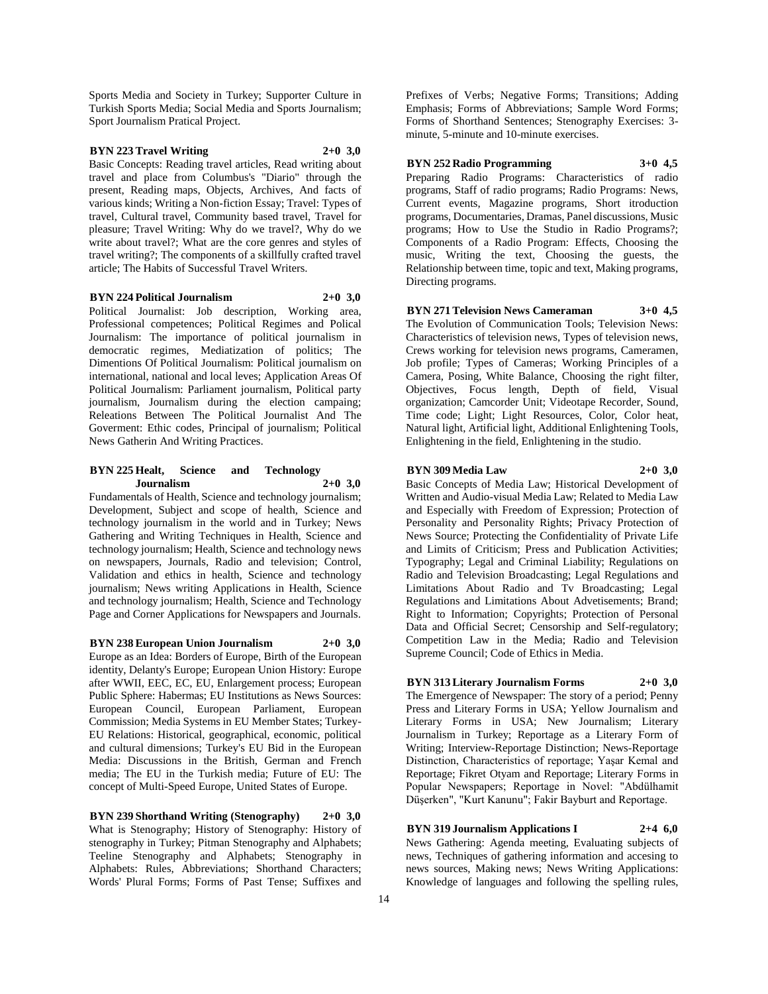Sports Media and Society in Turkey; Supporter Culture in Turkish Sports Media; Social Media and Sports Journalism; Sport Journalism Pratical Project.

# **BYN 223 Travel Writing 2+0 3,0**

Basic Concepts: Reading travel articles, Read writing about travel and place from Columbus's "Diario" through the present, Reading maps, Objects, Archives, And facts of various kinds; Writing a Non-fiction Essay; Travel: Types of travel, Cultural travel, Community based travel, Travel for pleasure; Travel Writing: Why do we travel?, Why do we write about travel?; What are the core genres and styles of travel writing?; The components of a skillfully crafted travel article; The Habits of Successful Travel Writers.

#### **BYN 224 Political Journalism 2+0 3,0**

Political Journalist: Job description, Working area, Professional competences; Political Regimes and Polical Journalism: The importance of political journalism in democratic regimes, Mediatization of politics; The Dimentions Of Political Journalism: Political journalism on international, national and local leves; Application Areas Of Political Journalism: Parliament journalism, Political party journalism, Journalism during the election campaing; Releations Between The Political Journalist And The Goverment: Ethic codes, Principal of journalism; Political News Gatherin And Writing Practices.

## **BYN 225 Healt, Science and Technology Journalism 2+0 3,0**

Fundamentals of Health, Science and technology journalism; Development, Subject and scope of health, Science and technology journalism in the world and in Turkey; News Gathering and Writing Techniques in Health, Science and technology journalism; Health, Science and technology news on newspapers, Journals, Radio and television; Control, Validation and ethics in health, Science and technology journalism; News writing Applications in Health, Science and technology journalism; Health, Science and Technology Page and Corner Applications for Newspapers and Journals.

**BYN 238 European Union Journalism 2+0 3,0** Europe as an Idea: Borders of Europe, Birth of the European identity, Delanty's Europe; European Union History: Europe after WWII, EEC, EC, EU, Enlargement process; European Public Sphere: Habermas; EU Institutions as News Sources: European Council, European Parliament, European Commission; Media Systems in EU Member States; Turkey-

EU Relations: Historical, geographical, economic, political and cultural dimensions; Turkey's EU Bid in the European Media: Discussions in the British, German and French media; The EU in the Turkish media; Future of EU: The concept of Multi-Speed Europe, United States of Europe.

**BYN 239 Shorthand Writing (Stenography) 2+0 3,0** What is Stenography; History of Stenography: History of stenography in Turkey; Pitman Stenography and Alphabets; Teeline Stenography and Alphabets; Stenography in Alphabets: Rules, Abbreviations; Shorthand Characters; Words' Plural Forms; Forms of Past Tense; Suffixes and Prefixes of Verbs; Negative Forms; Transitions; Adding Emphasis; Forms of Abbreviations; Sample Word Forms; Forms of Shorthand Sentences; Stenography Exercises: 3 minute, 5-minute and 10-minute exercises.

# **BYN 252 Radio Programming 3+0 4,5**

Preparing Radio Programs: Characteristics of radio programs, Staff of radio programs; Radio Programs: News, Current events, Magazine programs, Short itroduction programs, Documentaries, Dramas, Panel discussions, Music programs; How to Use the Studio in Radio Programs?; Components of a Radio Program: Effects, Choosing the music, Writing the text, Choosing the guests, the Relationship between time, topic and text, Making programs, Directing programs.

**BYN 271 Television News Cameraman 3+0 4,5** The Evolution of Communication Tools; Television News: Characteristics of television news, Types of television news, Crews working for television news programs, Cameramen, Job profile; Types of Cameras; Working Principles of a Camera, Posing, White Balance, Choosing the right filter, Objectives, Focus length, Depth of field, Visual organization; Camcorder Unit; Videotape Recorder, Sound, Time code; Light; Light Resources, Color, Color heat, Natural light, Artificial light, Additional Enlightening Tools, Enlightening in the field, Enlightening in the studio.

#### **BYN 309 Media Law 2+0 3,0**

Basic Concepts of Media Law; Historical Development of Written and Audio-visual Media Law; Related to Media Law and Especially with Freedom of Expression; Protection of Personality and Personality Rights; Privacy Protection of News Source; Protecting the Confidentiality of Private Life and Limits of Criticism; Press and Publication Activities; Typography; Legal and Criminal Liability; Regulations on Radio and Television Broadcasting; Legal Regulations and Limitations About Radio and Tv Broadcasting; Legal Regulations and Limitations About Advetisements; Brand; Right to Information; Copyrights; Protection of Personal Data and Official Secret; Censorship and Self-regulatory; Competition Law in the Media; Radio and Television Supreme Council; Code of Ethics in Media.

# **BYN 313 Literary Journalism Forms 2+0 3,0**

The Emergence of Newspaper: The story of a period; Penny Press and Literary Forms in USA; Yellow Journalism and Literary Forms in USA; New Journalism; Literary Journalism in Turkey; Reportage as a Literary Form of Writing; Interview-Reportage Distinction; News-Reportage Distinction, Characteristics of reportage; Yaşar Kemal and Reportage; Fikret Otyam and Reportage; Literary Forms in Popular Newspapers; Reportage in Novel: "Abdülhamit Düşerken", "Kurt Kanunu"; Fakir Bayburt and Reportage.

**BYN 319 Journalism Applications I 2+4 6,0**

News Gathering: Agenda meeting, Evaluating subjects of news, Techniques of gathering information and accesing to news sources, Making news; News Writing Applications: Knowledge of languages and following the spelling rules,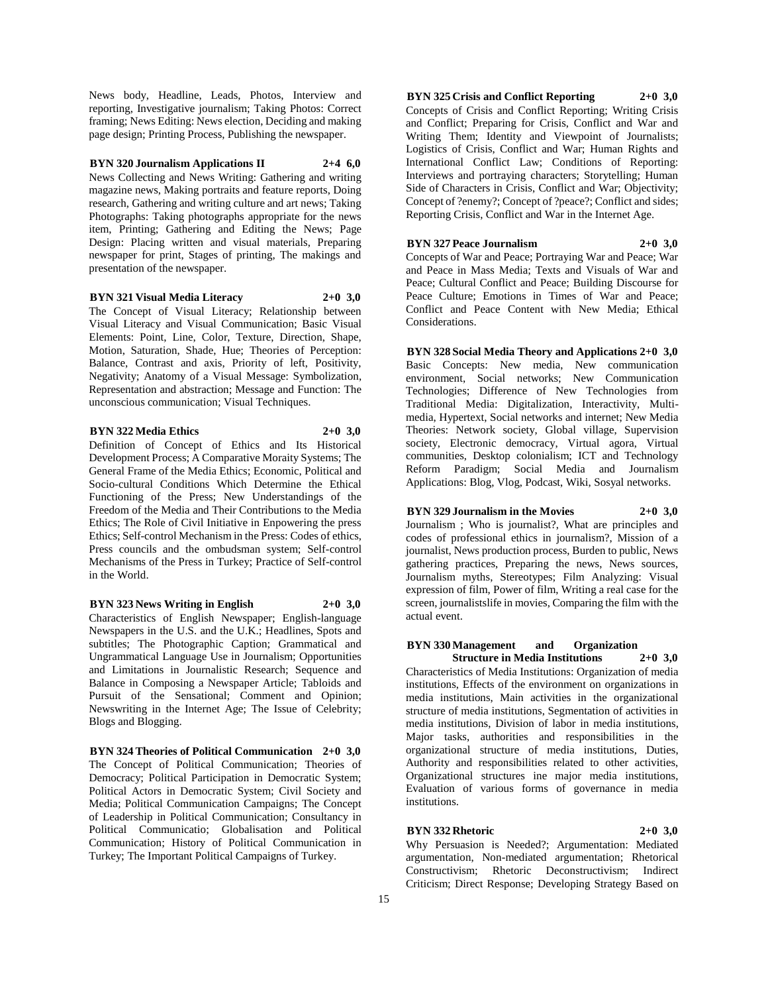News body, Headline, Leads, Photos, Interview and reporting, Investigative journalism; Taking Photos: Correct framing; News Editing: News election, Deciding and making page design; Printing Process, Publishing the newspaper.

**BYN 320 Journalism Applications II 2+4 6,0**

News Collecting and News Writing: Gathering and writing magazine news, Making portraits and feature reports, Doing research, Gathering and writing culture and art news; Taking Photographs: Taking photographs appropriate for the news item, Printing; Gathering and Editing the News; Page Design: Placing written and visual materials, Preparing newspaper for print, Stages of printing, The makings and presentation of the newspaper.

#### **BYN 321 Visual Media Literacy 2+0 3,0**

The Concept of Visual Literacy; Relationship between Visual Literacy and Visual Communication; Basic Visual Elements: Point, Line, Color, Texture, Direction, Shape, Motion, Saturation, Shade, Hue; Theories of Perception: Balance, Contrast and axis, Priority of left, Positivity, Negativity; Anatomy of a Visual Message: Symbolization, Representation and abstraction; Message and Function: The unconscious communication; Visual Techniques.

# **BYN 322 Media Ethics 2+0 3,0**

Definition of Concept of Ethics and Its Historical Development Process; A Comparative Moraity Systems; The General Frame of the Media Ethics; Economic, Political and Socio-cultural Conditions Which Determine the Ethical Functioning of the Press; New Understandings of the Freedom of the Media and Their Contributions to the Media Ethics; The Role of Civil Initiative in Enpowering the press Ethics; Self-control Mechanism in the Press: Codes of ethics, Press councils and the ombudsman system; Self-control Mechanisms of the Press in Turkey; Practice of Self-control in the World.

**BYN 323 News Writing in English 2+0 3,0**

Characteristics of English Newspaper; English-language Newspapers in the U.S. and the U.K.; Headlines, Spots and subtitles; The Photographic Caption; Grammatical and Ungrammatical Language Use in Journalism; Opportunities and Limitations in Journalistic Research; Sequence and Balance in Composing a Newspaper Article; Tabloids and Pursuit of the Sensational; Comment and Opinion; Newswriting in the Internet Age; The Issue of Celebrity; Blogs and Blogging.

**BYN 324 Theories of Political Communication 2+0 3,0** The Concept of Political Communication; Theories of Democracy; Political Participation in Democratic System; Political Actors in Democratic System; Civil Society and Media; Political Communication Campaigns; The Concept of Leadership in Political Communication; Consultancy in Political Communicatio; Globalisation and Political Communication; History of Political Communication in Turkey; The Important Political Campaigns of Turkey.

**BYN 325 Crisis and Conflict Reporting 2+0 3,0** Concepts of Crisis and Conflict Reporting; Writing Crisis and Conflict; Preparing for Crisis, Conflict and War and Writing Them; Identity and Viewpoint of Journalists; Logistics of Crisis, Conflict and War; Human Rights and International Conflict Law; Conditions of Reporting: Interviews and portraying characters; Storytelling; Human Side of Characters in Crisis, Conflict and War; Objectivity; Concept of ?enemy?; Concept of ?peace?; Conflict and sides; Reporting Crisis, Conflict and War in the Internet Age.

**BYN 327 Peace Journalism 2+0 3,0** Concepts of War and Peace; Portraying War and Peace; War and Peace in Mass Media; Texts and Visuals of War and Peace; Cultural Conflict and Peace; Building Discourse for Peace Culture; Emotions in Times of War and Peace; Conflict and Peace Content with New Media; Ethical Considerations.

**BYN 328 Social Media Theory and Applications 2+0 3,0** Basic Concepts: New media, New communication environment, Social networks; New Communication Technologies; Difference of New Technologies from Traditional Media: Digitalization, Interactivity, Multimedia, Hypertext, Social networks and internet; New Media Theories: Network society, Global village, Supervision society, Electronic democracy, Virtual agora, Virtual communities, Desktop colonialism; ICT and Technology Reform Paradigm; Social Media and Journalism Applications: Blog, Vlog, Podcast, Wiki, Sosyal networks.

**BYN 329 Journalism in the Movies 2+0 3,0**

Journalism ; Who is journalist?, What are principles and codes of professional ethics in journalism?, Mission of a journalist, News production process, Burden to public, News gathering practices, Preparing the news, News sources, Journalism myths, Stereotypes; Film Analyzing: Visual expression of film, Power of film, Writing a real case for the screen, journalistslife in movies, Comparing the film with the actual event.

# **BYN 330 Management and Organization Structure in Media Institutions 2+0 3,0**

Characteristics of Media Institutions: Organization of media institutions, Effects of the environment on organizations in media institutions, Main activities in the organizational structure of media institutions, Segmentation of activities in media institutions, Division of labor in media institutions, Major tasks, authorities and responsibilities in the organizational structure of media institutions, Duties, Authority and responsibilities related to other activities, Organizational structures ine major media institutions, Evaluation of various forms of governance in media institutions.

# **BYN 332 Rhetoric 2+0 3,0**

Why Persuasion is Needed?; Argumentation: Mediated argumentation, Non-mediated argumentation; Rhetorical Constructivism; Rhetoric Deconstructivism; Indirect Criticism; Direct Response; Developing Strategy Based on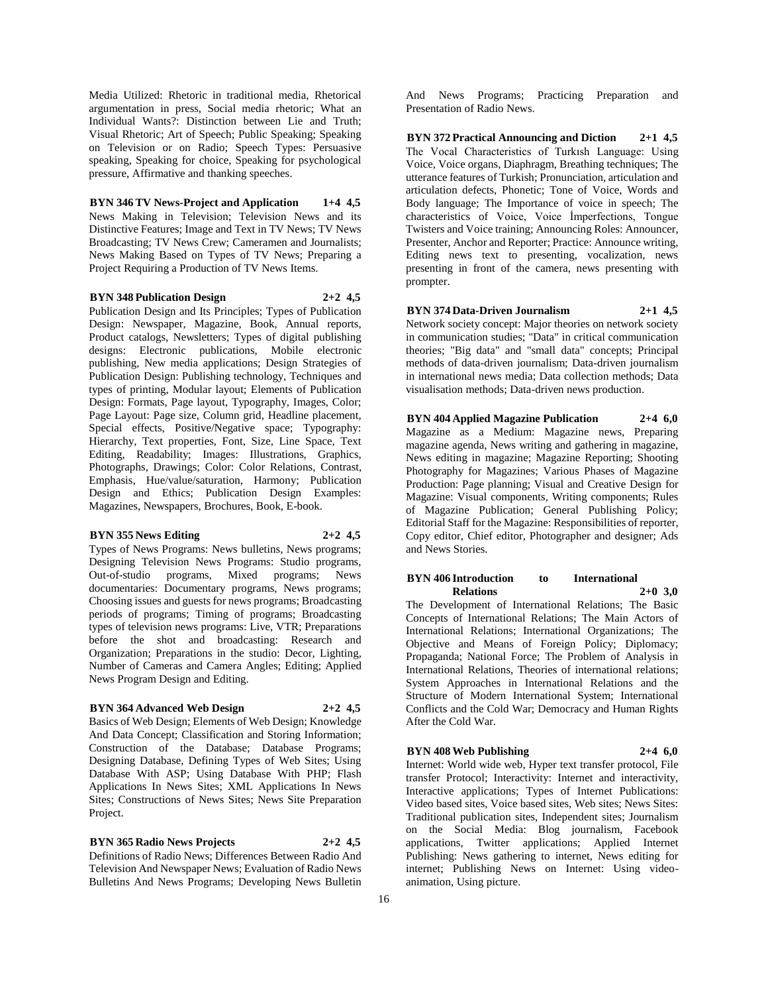Media Utilized: Rhetoric in traditional media, Rhetorical argumentation in press, Social media rhetoric; What an Individual Wants?: Distinction between Lie and Truth; Visual Rhetoric; Art of Speech; Public Speaking; Speaking on Television or on Radio; Speech Types: Persuasive speaking, Speaking for choice, Speaking for psychological pressure, Affirmative and thanking speeches.

**BYN 346 TV News-Project and Application 1+4 4,5** News Making in Television; Television News and its Distinctive Features; Image and Text in TV News; TV News Broadcasting; TV News Crew; Cameramen and Journalists; News Making Based on Types of TV News; Preparing a

Project Requiring a Production of TV News Items.

#### **BYN 348 Publication Design 2+2 4,5**

Publication Design and Its Principles; Types of Publication Design: Newspaper, Magazine, Book, Annual reports, Product catalogs, Newsletters; Types of digital publishing designs: Electronic publications, Mobile electronic publishing, New media applications; Design Strategies of Publication Design: Publishing technology, Techniques and types of printing, Modular layout; Elements of Publication Design: Formats, Page layout, Typography, Images, Color; Page Layout: Page size, Column grid, Headline placement, Special effects, Positive/Negative space; Typography: Hierarchy, Text properties, Font, Size, Line Space, Text Editing, Readability; Images: Illustrations, Graphics, Photographs, Drawings; Color: Color Relations, Contrast, Emphasis, Hue/value/saturation, Harmony; Publication Design and Ethics; Publication Design Examples: Magazines, Newspapers, Brochures, Book, E-book.

#### **BYN 355 News Editing 2+2 4,5**

Types of News Programs: News bulletins, News programs; Designing Television News Programs: Studio programs, Out-of-studio programs, Mixed programs; News documentaries: Documentary programs, News programs; Choosing issues and guests for news programs; Broadcasting periods of programs; Timing of programs; Broadcasting types of television news programs: Live, VTR; Preparations before the shot and broadcasting: Research and Organization; Preparations in the studio: Decor, Lighting, Number of Cameras and Camera Angles; Editing; Applied News Program Design and Editing.

# **BYN 364 Advanced Web Design 2+2 4,5**

Basics of Web Design; Elements of Web Design; Knowledge And Data Concept; Classification and Storing Information; Construction of the Database; Database Programs; Designing Database, Defining Types of Web Sites; Using Database With ASP; Using Database With PHP; Flash Applications In News Sites; XML Applications In News Sites; Constructions of News Sites; News Site Preparation Project.

## **BYN 365 Radio News Projects 2+2 4,5**

Definitions of Radio News; Differences Between Radio And Television And Newspaper News; Evaluation of Radio News Bulletins And News Programs; Developing News Bulletin

And News Programs; Practicing Preparation and Presentation of Radio News.

**BYN 372 Practical Announcing and Diction 2+1 4,5** The Vocal Characteristics of Turkısh Language: Using Voice, Voice organs, Diaphragm, Breathing techniques; The utterance features of Turkish; Pronunciation, articulation and articulation defects, Phonetic; Tone of Voice, Words and Body language; The Importance of voice in speech; The characteristics of Voice, Voice İmperfections, Tongue Twisters and Voice training; Announcing Roles: Announcer, Presenter, Anchor and Reporter; Practice: Announce writing, Editing news text to presenting, vocalization, news presenting in front of the camera, news presenting with prompter.

### **BYN 374 Data-Driven Journalism 2+1 4,5**

Network society concept: Major theories on network society in communication studies; "Data" in critical communication theories; "Big data" and "small data" concepts; Principal methods of data-driven journalism; Data-driven journalism in international news media; Data collection methods; Data visualisation methods; Data-driven news production.

**BYN 404 Applied Magazine Publication 2+4 6,0** Magazine as a Medium: Magazine news, Preparing magazine agenda, News writing and gathering in magazine, News editing in magazine; Magazine Reporting; Shooting Photography for Magazines; Various Phases of Magazine Production: Page planning; Visual and Creative Design for Magazine: Visual components, Writing components; Rules of Magazine Publication; General Publishing Policy; Editorial Staff for the Magazine: Responsibilities of reporter, Copy editor, Chief editor, Photographer and designer; Ads and News Stories.

# **BYN 406 Introduction to International Relations 2+0 3,0**

The Development of International Relations; The Basic Concepts of International Relations; The Main Actors of International Relations; International Organizations; The Objective and Means of Foreign Policy; Diplomacy; Propaganda; National Force; The Problem of Analysis in International Relations, Theories of international relations; System Approaches in International Relations and the Structure of Modern International System; International Conflicts and the Cold War; Democracy and Human Rights After the Cold War.

# **BYN 408 Web Publishing 2+4 6,0**

Internet: World wide web, Hyper text transfer protocol, File transfer Protocol; Interactivity: Internet and interactivity, Interactive applications; Types of Internet Publications: Video based sites, Voice based sites, Web sites; News Sites: Traditional publication sites, Independent sites; Journalism on the Social Media: Blog journalism, Facebook applications, Twitter applications; Applied Internet Publishing: News gathering to internet, News editing for internet; Publishing News on Internet: Using videoanimation, Using picture.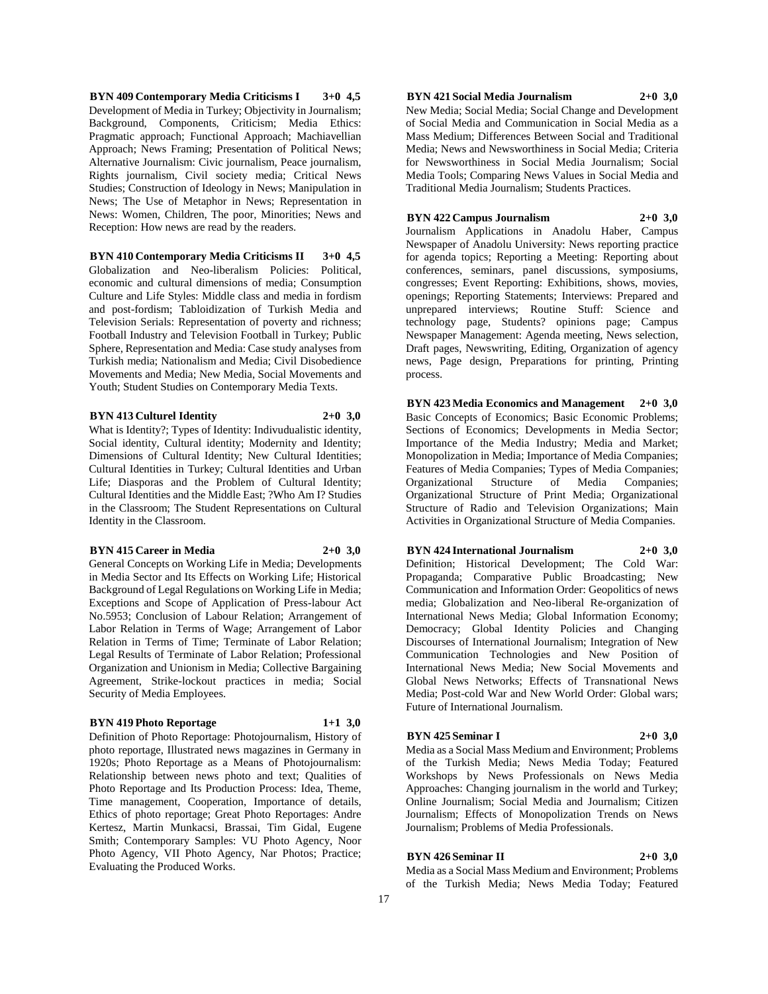**BYN 409 Contemporary Media Criticisms I 3+0 4,5** Development of Media in Turkey; Objectivity in Journalism; Background, Components, Criticism; Media Ethics: Pragmatic approach; Functional Approach; Machiavellian Approach; News Framing; Presentation of Political News; Alternative Journalism: Civic journalism, Peace journalism, Rights journalism, Civil society media; Critical News Studies; Construction of Ideology in News; Manipulation in News; The Use of Metaphor in News; Representation in News: Women, Children, The poor, Minorities; News and Reception: How news are read by the readers.

**BYN 410 Contemporary Media Criticisms II 3+0 4,5** Globalization and Neo-liberalism Policies: Political, economic and cultural dimensions of media; Consumption Culture and Life Styles: Middle class and media in fordism and post-fordism; Tabloidization of Turkish Media and Television Serials: Representation of poverty and richness; Football Industry and Television Football in Turkey; Public Sphere, Representation and Media: Case study analyses from Turkish media; Nationalism and Media; Civil Disobedience Movements and Media; New Media, Social Movements and Youth; Student Studies on Contemporary Media Texts.

#### **BYN 413 Culturel Identity 2+0 3,0**

What is Identity?; Types of Identity: Indivudualistic identity, Social identity, Cultural identity; Modernity and Identity; Dimensions of Cultural Identity; New Cultural Identities; Cultural Identities in Turkey; Cultural Identities and Urban Life; Diasporas and the Problem of Cultural Identity; Cultural Identities and the Middle East; ?Who Am I? Studies in the Classroom; The Student Representations on Cultural Identity in the Classroom.

### **BYN 415 Career in Media 2+0 3,0**

General Concepts on Working Life in Media; Developments in Media Sector and Its Effects on Working Life; Historical Background of Legal Regulations on Working Life in Media; Exceptions and Scope of Application of Press-labour Act No.5953; Conclusion of Labour Relation; Arrangement of Labor Relation in Terms of Wage; Arrangement of Labor Relation in Terms of Time; Terminate of Labor Relation; Legal Results of Terminate of Labor Relation; Professional Organization and Unionism in Media; Collective Bargaining Agreement, Strike-lockout practices in media; Social Security of Media Employees.

## **BYN 419 Photo Reportage 1+1 3,0**

Definition of Photo Reportage: Photojournalism, History of photo reportage, Illustrated news magazines in Germany in 1920s; Photo Reportage as a Means of Photojournalism: Relationship between news photo and text; Qualities of Photo Reportage and Its Production Process: Idea, Theme, Time management, Cooperation, Importance of details, Ethics of photo reportage; Great Photo Reportages: Andre Kertesz, Martin Munkacsi, Brassai, Tim Gidal, Eugene Smith; Contemporary Samples: VU Photo Agency, Noor Photo Agency, VII Photo Agency, Nar Photos; Practice; Evaluating the Produced Works.

# **BYN 421 Social Media Journalism 2+0 3,0**

New Media; Social Media; Social Change and Development of Social Media and Communication in Social Media as a Mass Medium; Differences Between Social and Traditional Media; News and Newsworthiness in Social Media; Criteria for Newsworthiness in Social Media Journalism; Social Media Tools; Comparing News Values in Social Media and Traditional Media Journalism; Students Practices.

## **BYN 422 Campus Journalism 2+0 3,0**

Journalism Applications in Anadolu Haber, Campus Newspaper of Anadolu University: News reporting practice for agenda topics; Reporting a Meeting: Reporting about conferences, seminars, panel discussions, symposiums, congresses; Event Reporting: Exhibitions, shows, movies, openings; Reporting Statements; Interviews: Prepared and unprepared interviews; Routine Stuff: Science and technology page, Students? opinions page; Campus Newspaper Management: Agenda meeting, News selection, Draft pages, Newswriting, Editing, Organization of agency news, Page design, Preparations for printing, Printing process.

**BYN 423 Media Economics and Management 2+0 3,0** Basic Concepts of Economics; Basic Economic Problems; Sections of Economics; Developments in Media Sector; Importance of the Media Industry; Media and Market; Monopolization in Media; Importance of Media Companies; Features of Media Companies; Types of Media Companies; Organizational Structure of Media Companies; Organizational Structure of Print Media; Organizational Structure of Radio and Television Organizations; Main Activities in Organizational Structure of Media Companies.

# **BYN 424 International Journalism 2+0 3,0**

Definition; Historical Development; The Cold War: Propaganda; Comparative Public Broadcasting; New Communication and Information Order: Geopolitics of news media; Globalization and Neo-liberal Re-organization of International News Media; Global Information Economy; Democracy; Global Identity Policies and Changing Discourses of International Journalism; Integration of New Communication Technologies and New Position of International News Media; New Social Movements and Global News Networks; Effects of Transnational News Media; Post-cold War and New World Order: Global wars; Future of International Journalism.

### **BYN 425 Seminar I 2+0 3,0**

Media as a Social Mass Medium and Environment; Problems of the Turkish Media; News Media Today; Featured Workshops by News Professionals on News Media Approaches: Changing journalism in the world and Turkey; Online Journalism; Social Media and Journalism; Citizen Journalism; Effects of Monopolization Trends on News Journalism; Problems of Media Professionals.

# **BYN 426 Seminar II 2+0 3,0**

Media as a Social Mass Medium and Environment; Problems of the Turkish Media; News Media Today; Featured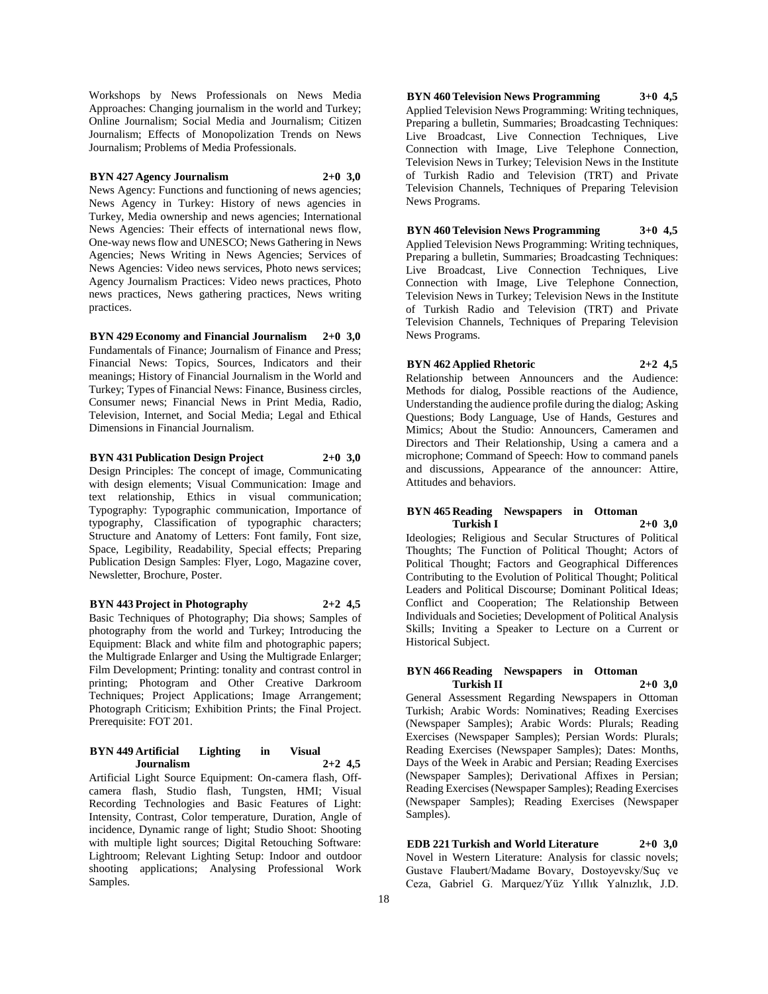Workshops by News Professionals on News Media Approaches: Changing journalism in the world and Turkey; Online Journalism; Social Media and Journalism; Citizen Journalism; Effects of Monopolization Trends on News Journalism; Problems of Media Professionals.

## **BYN 427 Agency Journalism 2+0 3,0**

News Agency: Functions and functioning of news agencies; News Agency in Turkey: History of news agencies in Turkey, Media ownership and news agencies; International News Agencies: Their effects of international news flow, One-way news flow and UNESCO; News Gathering in News Agencies; News Writing in News Agencies; Services of News Agencies: Video news services, Photo news services; Agency Journalism Practices: Video news practices, Photo news practices, News gathering practices, News writing practices.

# **BYN 429 Economy and Financial Journalism 2+0 3,0**

Fundamentals of Finance; Journalism of Finance and Press; Financial News: Topics, Sources, Indicators and their meanings; History of Financial Journalism in the World and Turkey; Types of Financial News: Finance, Business circles, Consumer news; Financial News in Print Media, Radio, Television, Internet, and Social Media; Legal and Ethical Dimensions in Financial Journalism.

# **BYN 431 Publication Design Project 2+0 3,0**

Design Principles: The concept of image, Communicating with design elements; Visual Communication: Image and text relationship, Ethics in visual communication; Typography: Typographic communication, Importance of typography, Classification of typographic characters; Structure and Anatomy of Letters: Font family, Font size, Space, Legibility, Readability, Special effects; Preparing Publication Design Samples: Flyer, Logo, Magazine cover, Newsletter, Brochure, Poster.

## **BYN 443 Project in Photography 2+2 4,5**

Basic Techniques of Photography; Dia shows; Samples of photography from the world and Turkey; Introducing the Equipment: Black and white film and photographic papers; the Multigrade Enlarger and Using the Multigrade Enlarger; Film Development; Printing: tonality and contrast control in printing; Photogram and Other Creative Darkroom Techniques; Project Applications; Image Arrangement; Photograph Criticism; Exhibition Prints; the Final Project. Prerequisite: FOT 201.

# **BYN 449 Artificial Lighting in Visual Journalism 2+2 4,5**

Artificial Light Source Equipment: On-camera flash, Offcamera flash, Studio flash, Tungsten, HMI; Visual Recording Technologies and Basic Features of Light: Intensity, Contrast, Color temperature, Duration, Angle of incidence, Dynamic range of light; Studio Shoot: Shooting with multiple light sources; Digital Retouching Software: Lightroom; Relevant Lighting Setup: Indoor and outdoor shooting applications; Analysing Professional Work Samples.

**BYN 460 Television News Programming 3+0 4,5** Applied Television News Programming: Writing techniques, Preparing a bulletin, Summaries; Broadcasting Techniques: Live Broadcast, Live Connection Techniques, Live Connection with Image, Live Telephone Connection, Television News in Turkey; Television News in the Institute of Turkish Radio and Television (TRT) and Private Television Channels, Techniques of Preparing Television News Programs.

**BYN 460 Television News Programming 3+0 4,5** Applied Television News Programming: Writing techniques, Preparing a bulletin, Summaries; Broadcasting Techniques: Live Broadcast, Live Connection Techniques, Live Connection with Image, Live Telephone Connection, Television News in Turkey; Television News in the Institute of Turkish Radio and Television (TRT) and Private Television Channels, Techniques of Preparing Television News Programs.

**BYN 462 Applied Rhetoric 2+2 4,5**

Relationship between Announcers and the Audience: Methods for dialog, Possible reactions of the Audience, Understanding the audience profile during the dialog; Asking Questions; Body Language, Use of Hands, Gestures and Mimics; About the Studio: Announcers, Cameramen and Directors and Their Relationship, Using a camera and a microphone; Command of Speech: How to command panels and discussions, Appearance of the announcer: Attire, Attitudes and behaviors.

# **BYN 465 Reading Newspapers in Ottoman Turkish I 2+0 3,0**

Ideologies; Religious and Secular Structures of Political Thoughts; The Function of Political Thought; Actors of Political Thought; Factors and Geographical Differences Contributing to the Evolution of Political Thought; Political Leaders and Political Discourse; Dominant Political Ideas; Conflict and Cooperation; The Relationship Between Individuals and Societies; Development of Political Analysis Skills; Inviting a Speaker to Lecture on a Current or Historical Subject.

# **BYN 466 Reading Newspapers in Ottoman Turkish II 2+0 3,0**

General Assessment Regarding Newspapers in Ottoman Turkish; Arabic Words: Nominatives; Reading Exercises (Newspaper Samples); Arabic Words: Plurals; Reading Exercises (Newspaper Samples); Persian Words: Plurals; Reading Exercises (Newspaper Samples); Dates: Months, Days of the Week in Arabic and Persian; Reading Exercises (Newspaper Samples); Derivational Affixes in Persian; Reading Exercises (Newspaper Samples); Reading Exercises (Newspaper Samples); Reading Exercises (Newspaper Samples).

**EDB 221 Turkish and World Literature 2+0 3,0** Novel in Western Literature: Analysis for classic novels; Gustave Flaubert/Madame Bovary, Dostoyevsky/Suç ve Ceza, Gabriel G. Marquez/Yüz Yıllık Yalnızlık, J.D.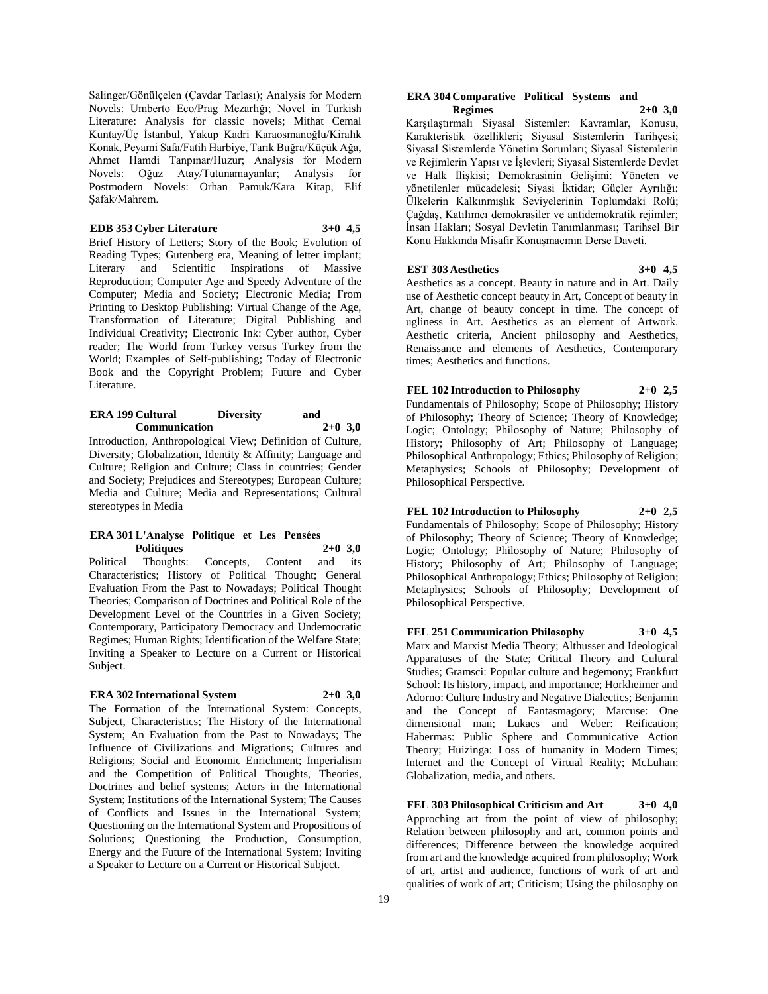Salinger/Gönülçelen (Çavdar Tarlası); Analysis for Modern Novels: Umberto Eco/Prag Mezarlığı; Novel in Turkish Literature: Analysis for classic novels; Mithat Cemal Kuntay/Üç İstanbul, Yakup Kadri Karaosmanoğlu/Kiralık Konak, Peyami Safa/Fatih Harbiye, Tarık Buğra/Küçük Ağa, Ahmet Hamdi Tanpınar/Huzur; Analysis for Modern Novels: Oğuz Atay/Tutunamayanlar; Analysis for Postmodern Novels: Orhan Pamuk/Kara Kitap, Elif Şafak/Mahrem.

**EDB 353 Cyber Literature 3+0 4,5** Brief History of Letters; Story of the Book; Evolution of Reading Types; Gutenberg era, Meaning of letter implant; Literary and Scientific Inspirations of Massive Reproduction; Computer Age and Speedy Adventure of the Computer; Media and Society; Electronic Media; From Printing to Desktop Publishing: Virtual Change of the Age, Transformation of Literature; Digital Publishing and Individual Creativity; Electronic Ink: Cyber author, Cyber reader; The World from Turkey versus Turkey from the World; Examples of Self-publishing; Today of Electronic Book and the Copyright Problem; Future and Cyber Literature.

#### **ERA 199 Cultural Diversity and Communication 2+0 3,0**

Introduction, Anthropological View; Definition of Culture, Diversity; Globalization, Identity & Affinity; Language and Culture; Religion and Culture; Class in countries; Gender and Society; Prejudices and Stereotypes; European Culture; Media and Culture; Media and Representations; Cultural stereotypes in Media

#### **ERA 301 L'Analyse Politique et Les Pensées Politiques 2+0 3,0**

Political Thoughts: Concepts, Content and its Characteristics; History of Political Thought; General Evaluation From the Past to Nowadays; Political Thought Theories; Comparison of Doctrines and Political Role of the Development Level of the Countries in a Given Society; Contemporary, Participatory Democracy and Undemocratic Regimes; Human Rights; Identification of the Welfare State; Inviting a Speaker to Lecture on a Current or Historical Subject.

# **ERA 302 International System 2+0 3,0**

The Formation of the International System: Concepts, Subject, Characteristics; The History of the International System; An Evaluation from the Past to Nowadays; The Influence of Civilizations and Migrations; Cultures and Religions; Social and Economic Enrichment; Imperialism and the Competition of Political Thoughts, Theories, Doctrines and belief systems; Actors in the International System; Institutions of the International System; The Causes of Conflicts and Issues in the International System; Questioning on the International System and Propositions of Solutions; Questioning the Production, Consumption, Energy and the Future of the International System; Inviting a Speaker to Lecture on a Current or Historical Subject.

#### **ERA 304 Comparative Political Systems and Regimes 2+0 3,0**

Karşılaştırmalı Siyasal Sistemler: Kavramlar, Konusu, Karakteristik özellikleri; Siyasal Sistemlerin Tarihçesi; Siyasal Sistemlerde Yönetim Sorunları; Siyasal Sistemlerin ve Rejimlerin Yapısı ve İşlevleri; Siyasal Sistemlerde Devlet ve Halk İlişkisi; Demokrasinin Gelişimi: Yöneten ve yönetilenler mücadelesi; Siyasi İktidar; Güçler Ayrılığı; Ülkelerin Kalkınmışlık Seviyelerinin Toplumdaki Rolü; Çağdaş, Katılımcı demokrasiler ve antidemokratik rejimler; İnsan Hakları; Sosyal Devletin Tanımlanması; Tarihsel Bir Konu Hakkında Misafir Konuşmacının Derse Daveti.

# **EST 303 Aesthetics 3+0 4,5**

Aesthetics as a concept. Beauty in nature and in Art. Daily use of Aesthetic concept beauty in Art, Concept of beauty in Art, change of beauty concept in time. The concept of ugliness in Art. Aesthetics as an element of Artwork. Aesthetic criteria, Ancient philosophy and Aesthetics, Renaissance and elements of Aesthetics, Contemporary times; Aesthetics and functions.

**FEL 102 Introduction to Philosophy 2+0 2,5** Fundamentals of Philosophy; Scope of Philosophy; History of Philosophy; Theory of Science; Theory of Knowledge;

Logic; Ontology; Philosophy of Nature; Philosophy of History; Philosophy of Art; Philosophy of Language; Philosophical Anthropology; Ethics; Philosophy of Religion; Metaphysics; Schools of Philosophy; Development of Philosophical Perspective.

**FEL 102 Introduction to Philosophy 2+0 2,5** Fundamentals of Philosophy; Scope of Philosophy; History of Philosophy; Theory of Science; Theory of Knowledge; Logic; Ontology; Philosophy of Nature; Philosophy of History; Philosophy of Art; Philosophy of Language; Philosophical Anthropology; Ethics; Philosophy of Religion; Metaphysics; Schools of Philosophy; Development of Philosophical Perspective.

**FEL 251 Communication Philosophy 3+0 4,5** Marx and Marxist Media Theory; Althusser and Ideological Apparatuses of the State; Critical Theory and Cultural Studies; Gramsci: Popular culture and hegemony; Frankfurt School: Its history, impact, and importance; Horkheimer and Adorno: Culture Industry and Negative Dialectics; Benjamin and the Concept of Fantasmagory; Marcuse: One dimensional man; Lukacs and Weber: Reification; Habermas: Public Sphere and Communicative Action Theory; Huizinga: Loss of humanity in Modern Times; Internet and the Concept of Virtual Reality; McLuhan: Globalization, media, and others.

**FEL 303 Philosophical Criticism and Art 3+0 4,0** Approching art from the point of view of philosophy; Relation between philosophy and art, common points and differences; Difference between the knowledge acquired from art and the knowledge acquired from philosophy; Work of art, artist and audience, functions of work of art and qualities of work of art; Criticism; Using the philosophy on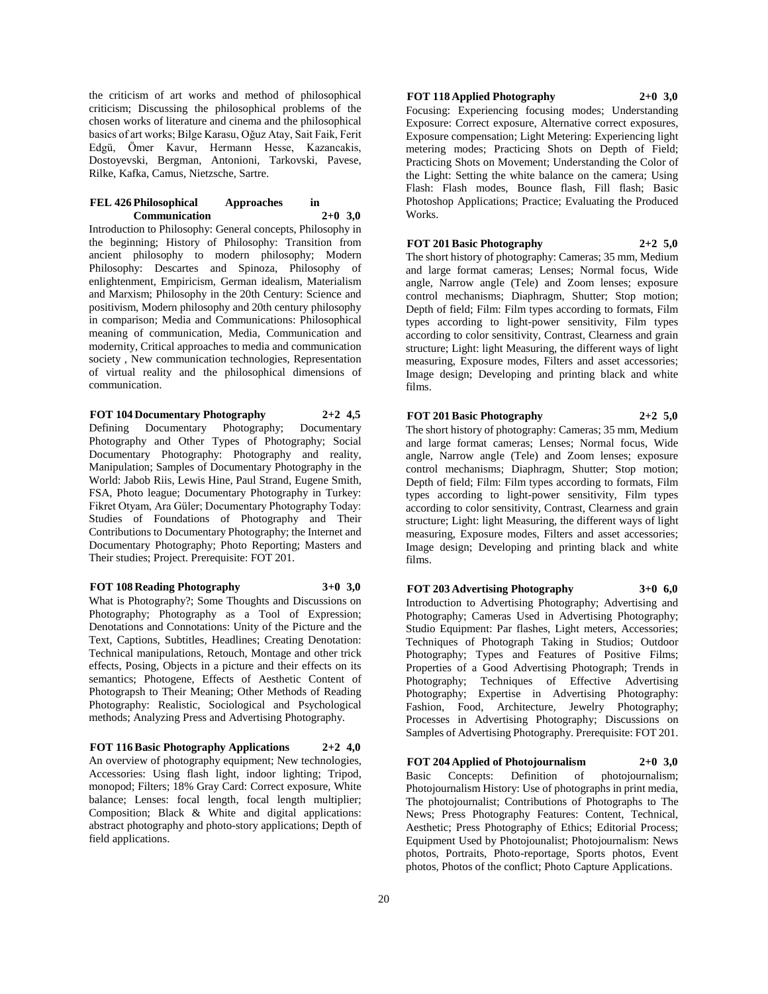the criticism of art works and method of philosophical criticism; Discussing the philosophical problems of the chosen works of literature and cinema and the philosophical basics of art works; Bilge Karasu, Oğuz Atay, Sait Faik, Ferit Edgü, Ömer Kavur, Hermann Hesse, Kazancakis, Dostoyevski, Bergman, Antonioni, Tarkovski, Pavese, Rilke, Kafka, Camus, Nietzsche, Sartre.

## **FEL 426 Philosophical Approaches in Communication 2+0 3,0**

Introduction to Philosophy: General concepts, Philosophy in the beginning; History of Philosophy: Transition from ancient philosophy to modern philosophy; Modern Philosophy: Descartes and Spinoza, Philosophy of enlightenment, Empiricism, German idealism, Materialism and Marxism; Philosophy in the 20th Century: Science and positivism, Modern philosophy and 20th century philosophy in comparison; Media and Communications: Philosophical meaning of communication, Media, Communication and modernity, Critical approaches to media and communication society , New communication technologies, Representation of virtual reality and the philosophical dimensions of communication.

**FOT 104 Documentary Photography 2+2 4,5**

Defining Documentary Photography; Documentary Photography and Other Types of Photography; Social Documentary Photography: Photography and reality, Manipulation; Samples of Documentary Photography in the World: Jabob Riis, Lewis Hine, Paul Strand, Eugene Smith, FSA, Photo league; Documentary Photography in Turkey: Fikret Otyam, Ara Güler; Documentary Photography Today: Studies of Foundations of Photography and Their Contributions to Documentary Photography; the Internet and Documentary Photography; Photo Reporting; Masters and Their studies; Project. Prerequisite: FOT 201.

**FOT 108 Reading Photography 3+0 3,0** What is Photography?; Some Thoughts and Discussions on Photography; Photography as a Tool of Expression; Denotations and Connotations: Unity of the Picture and the Text, Captions, Subtitles, Headlines; Creating Denotation: Technical manipulations, Retouch, Montage and other trick effects, Posing, Objects in a picture and their effects on its semantics; Photogene, Effects of Aesthetic Content of Photograpsh to Their Meaning; Other Methods of Reading Photography: Realistic, Sociological and Psychological methods; Analyzing Press and Advertising Photography.

**FOT 116 Basic Photography Applications 2+2 4,0** An overview of photography equipment; New technologies, Accessories: Using flash light, indoor lighting; Tripod, monopod; Filters; 18% Gray Card: Correct exposure, White balance; Lenses: focal length, focal length multiplier; Composition; Black & White and digital applications: abstract photography and photo-story applications; Depth of field applications.

# **FOT 118 Applied Photography 2+0 3,0**

Focusing: Experiencing focusing modes; Understanding Exposure: Correct exposure, Alternative correct exposures, Exposure compensation; Light Metering: Experiencing light metering modes; Practicing Shots on Depth of Field; Practicing Shots on Movement; Understanding the Color of the Light: Setting the white balance on the camera; Using Flash: Flash modes, Bounce flash, Fill flash; Basic Photoshop Applications; Practice; Evaluating the Produced Works.

# **FOT 201 Basic Photography 2+2 5,0**

The short history of photography: Cameras; 35 mm, Medium and large format cameras; Lenses; Normal focus, Wide angle, Narrow angle (Tele) and Zoom lenses; exposure control mechanisms; Diaphragm, Shutter; Stop motion; Depth of field; Film: Film types according to formats, Film types according to light-power sensitivity, Film types according to color sensitivity, Contrast, Clearness and grain structure; Light: light Measuring, the different ways of light measuring, Exposure modes, Filters and asset accessories; Image design; Developing and printing black and white films.

# **FOT 201 Basic Photography 2+2 5,0**

The short history of photography: Cameras; 35 mm, Medium and large format cameras; Lenses; Normal focus, Wide angle, Narrow angle (Tele) and Zoom lenses; exposure control mechanisms; Diaphragm, Shutter; Stop motion; Depth of field; Film: Film types according to formats, Film types according to light-power sensitivity, Film types according to color sensitivity, Contrast, Clearness and grain structure; Light: light Measuring, the different ways of light measuring, Exposure modes, Filters and asset accessories; Image design; Developing and printing black and white films.

**FOT 203 Advertising Photography 3+0 6,0** Introduction to Advertising Photography; Advertising and Photography; Cameras Used in Advertising Photography; Studio Equipment: Par flashes, Light meters, Accessories; Techniques of Photograph Taking in Studios; Outdoor Photography; Types and Features of Positive Films; Properties of a Good Advertising Photograph; Trends in Photography; Techniques of Effective Advertising Photography; Expertise in Advertising Photography: Fashion, Food, Architecture, Jewelry Photography; Processes in Advertising Photography; Discussions on Samples of Advertising Photography. Prerequisite: FOT 201.

**FOT 204 Applied of Photojournalism 2+0 3,0** Basic Concepts: Definition of photojournalism: Photojournalism History: Use of photographs in print media, The photojournalist; Contributions of Photographs to The News; Press Photography Features: Content, Technical, Aesthetic; Press Photography of Ethics; Editorial Process; Equipment Used by Photojounalist; Photojournalism: News photos, Portraits, Photo-reportage, Sports photos, Event photos, Photos of the conflict; Photo Capture Applications.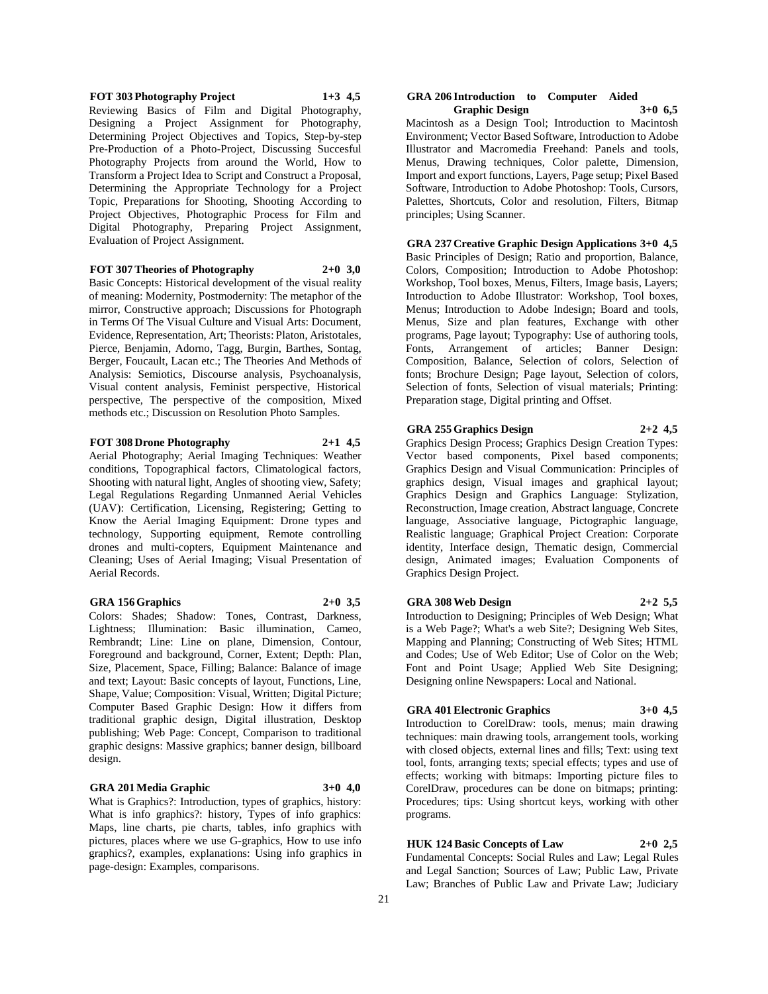## **FOT 303 Photography Project 1+3 4,5**

Reviewing Basics of Film and Digital Photography, Designing a Project Assignment for Photography, Determining Project Objectives and Topics, Step-by-step Pre-Production of a Photo-Project, Discussing Succesful Photography Projects from around the World, How to Transform a Project Idea to Script and Construct a Proposal, Determining the Appropriate Technology for a Project Topic, Preparations for Shooting, Shooting According to Project Objectives, Photographic Process for Film and Digital Photography, Preparing Project Assignment, Evaluation of Project Assignment.

## **FOT 307 Theories of Photography 2+0 3,0**

Basic Concepts: Historical development of the visual reality of meaning: Modernity, Postmodernity: The metaphor of the mirror, Constructive approach; Discussions for Photograph in Terms Of The Visual Culture and Visual Arts: Document, Evidence, Representation, Art; Theorists: Platon, Aristotales, Pierce, Benjamin, Adorno, Tagg, Burgin, Barthes, Sontag, Berger, Foucault, Lacan etc.; The Theories And Methods of Analysis: Semiotics, Discourse analysis, Psychoanalysis, Visual content analysis, Feminist perspective, Historical

perspective, The perspective of the composition, Mixed methods etc.; Discussion on Resolution Photo Samples.

## **FOT 308 Drone Photography 2+1 4,5**

Aerial Photography; Aerial Imaging Techniques: Weather conditions, Topographical factors, Climatological factors, Shooting with natural light, Angles of shooting view, Safety; Legal Regulations Regarding Unmanned Aerial Vehicles (UAV): Certification, Licensing, Registering; Getting to Know the Aerial Imaging Equipment: Drone types and technology, Supporting equipment, Remote controlling drones and multi-copters, Equipment Maintenance and Cleaning; Uses of Aerial Imaging; Visual Presentation of Aerial Records.

# **GRA 156 Graphics 2+0 3,5**

Colors: Shades; Shadow: Tones, Contrast, Darkness, Lightness; Illumination: Basic illumination, Cameo, Rembrandt; Line: Line on plane, Dimension, Contour, Foreground and background, Corner, Extent; Depth: Plan, Size, Placement, Space, Filling; Balance: Balance of image and text; Layout: Basic concepts of layout, Functions, Line, Shape, Value; Composition: Visual, Written; Digital Picture; Computer Based Graphic Design: How it differs from traditional graphic design, Digital illustration, Desktop publishing; Web Page: Concept, Comparison to traditional graphic designs: Massive graphics; banner design, billboard design.

# **GRA 201 Media Graphic 3+0 4,0**

What is Graphics?: Introduction, types of graphics, history: What is info graphics?: history, Types of info graphics: Maps, line charts, pie charts, tables, info graphics with pictures, places where we use G-graphics, How to use info graphics?, examples, explanations: Using info graphics in page-design: Examples, comparisons.

## **GRA 206 Introduction to Computer Aided Graphic Design 3+0 6,5**

Macintosh as a Design Tool; Introduction to Macintosh Environment; Vector Based Software, Introduction to Adobe Illustrator and Macromedia Freehand: Panels and tools, Menus, Drawing techniques, Color palette, Dimension, Import and export functions, Layers, Page setup; Pixel Based Software, Introduction to Adobe Photoshop: Tools, Cursors, Palettes, Shortcuts, Color and resolution, Filters, Bitmap principles; Using Scanner.

# **GRA 237 Creative Graphic Design Applications 3+0 4,5**

Basic Principles of Design; Ratio and proportion, Balance, Colors, Composition; Introduction to Adobe Photoshop: Workshop, Tool boxes, Menus, Filters, Image basis, Layers; Introduction to Adobe Illustrator: Workshop, Tool boxes, Menus; Introduction to Adobe Indesign; Board and tools, Menus, Size and plan features, Exchange with other programs, Page layout; Typography: Use of authoring tools, Fonts, Arrangement of articles; Banner Design: Composition, Balance, Selection of colors, Selection of fonts; Brochure Design; Page layout, Selection of colors, Selection of fonts, Selection of visual materials; Printing: Preparation stage, Digital printing and Offset.

# **GRA 255 Graphics Design 2+2 4,5**

Graphics Design Process; Graphics Design Creation Types: Vector based components, Pixel based components; Graphics Design and Visual Communication: Principles of graphics design, Visual images and graphical layout; Graphics Design and Graphics Language: Stylization, Reconstruction, Image creation, Abstract language, Concrete language, Associative language, Pictographic language, Realistic language; Graphical Project Creation: Corporate identity, Interface design, Thematic design, Commercial design, Animated images; Evaluation Components of Graphics Design Project.

# **GRA 308 Web Design 2+2 5,5**

Introduction to Designing; Principles of Web Design; What is a Web Page?; What's a web Site?; Designing Web Sites, Mapping and Planning; Constructing of Web Sites; HTML and Codes; Use of Web Editor; Use of Color on the Web; Font and Point Usage; Applied Web Site Designing; Designing online Newspapers: Local and National.

# **GRA 401 Electronic Graphics 3+0 4,5**

Introduction to CorelDraw: tools, menus; main drawing techniques: main drawing tools, arrangement tools, working with closed objects, external lines and fills; Text: using text tool, fonts, arranging texts; special effects; types and use of effects; working with bitmaps: Importing picture files to CorelDraw, procedures can be done on bitmaps; printing: Procedures; tips: Using shortcut keys, working with other programs.

# **HUK 124 Basic Concepts of Law 2+0 2,5**

Fundamental Concepts: Social Rules and Law; Legal Rules and Legal Sanction; Sources of Law; Public Law, Private Law; Branches of Public Law and Private Law; Judiciary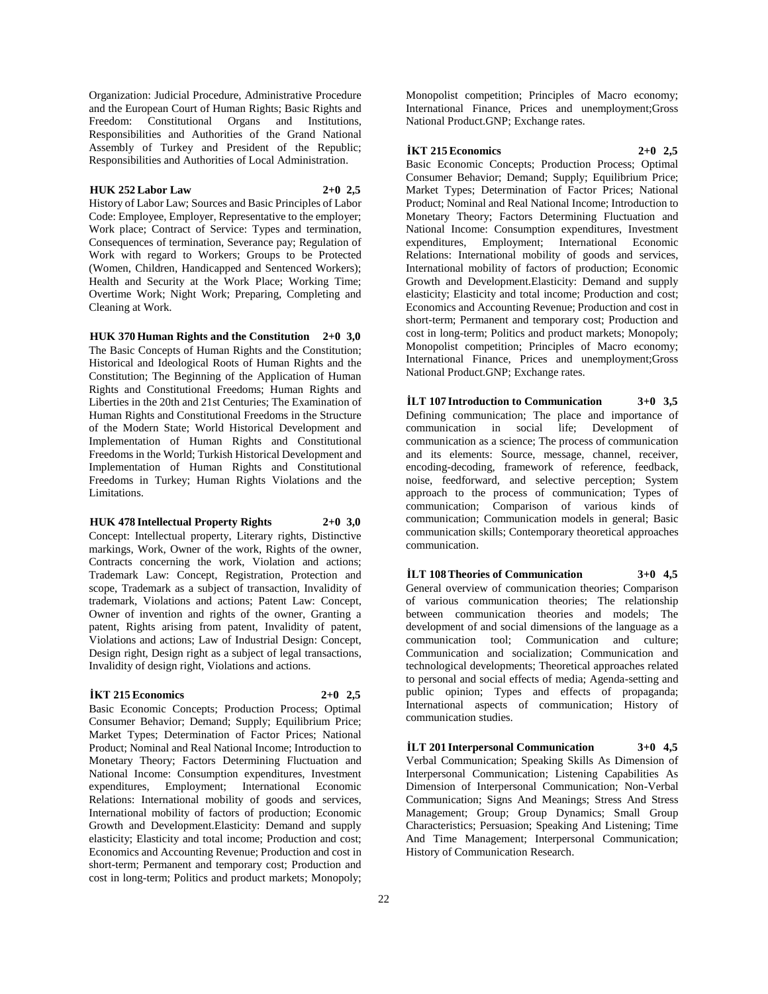Organization: Judicial Procedure, Administrative Procedure and the European Court of Human Rights; Basic Rights and Freedom: Constitutional Organs and Institutions, Responsibilities and Authorities of the Grand National Assembly of Turkey and President of the Republic; Responsibilities and Authorities of Local Administration.

## **HUK 252 Labor Law 2+0 2,5**

History of Labor Law; Sources and Basic Principles of Labor Code: Employee, Employer, Representative to the employer; Work place; Contract of Service: Types and termination, Consequences of termination, Severance pay; Regulation of Work with regard to Workers; Groups to be Protected (Women, Children, Handicapped and Sentenced Workers); Health and Security at the Work Place; Working Time; Overtime Work; Night Work; Preparing, Completing and Cleaning at Work.

**HUK 370 Human Rights and the Constitution 2+0 3,0** The Basic Concepts of Human Rights and the Constitution; Historical and Ideological Roots of Human Rights and the Constitution; The Beginning of the Application of Human Rights and Constitutional Freedoms; Human Rights and Liberties in the 20th and 21st Centuries; The Examination of Human Rights and Constitutional Freedoms in the Structure of the Modern State; World Historical Development and Implementation of Human Rights and Constitutional Freedoms in the World; Turkish Historical Development and Implementation of Human Rights and Constitutional Freedoms in Turkey; Human Rights Violations and the Limitations.

# **HUK 478 Intellectual Property Rights 2+0 3,0**

Concept: Intellectual property, Literary rights, Distinctive markings, Work, Owner of the work, Rights of the owner, Contracts concerning the work, Violation and actions; Trademark Law: Concept, Registration, Protection and scope, Trademark as a subject of transaction, Invalidity of trademark, Violations and actions; Patent Law: Concept, Owner of invention and rights of the owner, Granting a patent, Rights arising from patent, Invalidity of patent, Violations and actions; Law of Industrial Design: Concept, Design right, Design right as a subject of legal transactions, Invalidity of design right, Violations and actions.

# **İKT 215 Economics 2+0 2,5**

Basic Economic Concepts; Production Process; Optimal Consumer Behavior; Demand; Supply; Equilibrium Price; Market Types; Determination of Factor Prices; National Product; Nominal and Real National Income; Introduction to Monetary Theory; Factors Determining Fluctuation and National Income: Consumption expenditures, Investment expenditures, Employment; International Economic Relations: International mobility of goods and services, International mobility of factors of production; Economic Growth and Development.Elasticity: Demand and supply elasticity; Elasticity and total income; Production and cost; Economics and Accounting Revenue; Production and cost in short-term; Permanent and temporary cost; Production and cost in long-term; Politics and product markets; Monopoly;

Monopolist competition; Principles of Macro economy; International Finance, Prices and unemployment;Gross National Product.GNP; Exchange rates.

## **İKT 215 Economics 2+0 2,5**

Basic Economic Concepts; Production Process; Optimal Consumer Behavior; Demand; Supply; Equilibrium Price; Market Types; Determination of Factor Prices; National Product; Nominal and Real National Income; Introduction to Monetary Theory; Factors Determining Fluctuation and National Income: Consumption expenditures, Investment expenditures, Employment; International Economic Relations: International mobility of goods and services, International mobility of factors of production; Economic Growth and Development.Elasticity: Demand and supply elasticity; Elasticity and total income; Production and cost; Economics and Accounting Revenue; Production and cost in short-term; Permanent and temporary cost; Production and cost in long-term; Politics and product markets; Monopoly; Monopolist competition; Principles of Macro economy; International Finance, Prices and unemployment;Gross National Product.GNP; Exchange rates.

**İLT 107 Introduction to Communication 3+0 3,5** Defining communication; The place and importance of communication in social life; Development of communication as a science; The process of communication and its elements: Source, message, channel, receiver, encoding-decoding, framework of reference, feedback, noise, feedforward, and selective perception; System approach to the process of communication; Types of communication; Comparison of various kinds of communication; Communication models in general; Basic communication skills; Contemporary theoretical approaches communication.

**İLT 108 Theories of Communication 3+0 4,5**

General overview of communication theories; Comparison of various communication theories; The relationship between communication theories and models; The development of and social dimensions of the language as a communication tool; Communication and culture; Communication and socialization; Communication and technological developments; Theoretical approaches related to personal and social effects of media; Agenda-setting and public opinion; Types and effects of propaganda; International aspects of communication; History of communication studies.

**İLT 201 Interpersonal Communication 3+0 4,5** Verbal Communication; Speaking Skills As Dimension of Interpersonal Communication; Listening Capabilities As Dimension of Interpersonal Communication; Non-Verbal Communication; Signs And Meanings; Stress And Stress Management; Group; Group Dynamics; Small Group Characteristics; Persuasion; Speaking And Listening; Time And Time Management; Interpersonal Communication; History of Communication Research.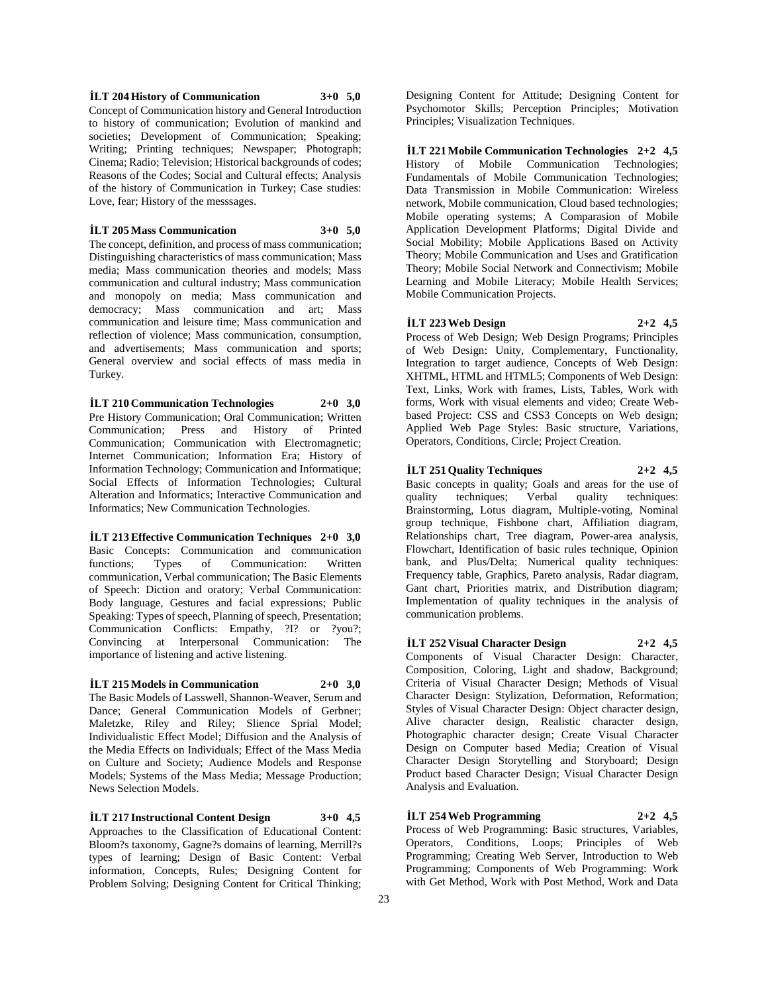# **İLT 204 History of Communication 3+0 5,0**

Concept of Communication history and General Introduction to history of communication; Evolution of mankind and societies; Development of Communication; Speaking; Writing; Printing techniques; Newspaper; Photograph; Cinema; Radio; Television; Historical backgrounds of codes; Reasons of the Codes; Social and Cultural effects; Analysis of the history of Communication in Turkey; Case studies: Love, fear; History of the messsages.

# **İLT 205 Mass Communication 3+0 5,0**

The concept, definition, and process of mass communication; Distinguishing characteristics of mass communication; Mass media; Mass communication theories and models; Mass communication and cultural industry; Mass communication and monopoly on media; Mass communication and democracy; Mass communication and art; Mass communication and leisure time; Mass communication and reflection of violence; Mass communication, consumption, and advertisements; Mass communication and sports; General overview and social effects of mass media in Turkey.

**İLT 210 Communication Technologies 2+0 3,0** Pre History Communication; Oral Communication; Written Communication; Press and History of Printed Communication; Communication with Electromagnetic; Internet Communication; Information Era; History of Information Technology; Communication and Informatique; Social Effects of Information Technologies; Cultural Alteration and Informatics; Interactive Communication and Informatics; New Communication Technologies.

**İLT 213 Effective Communication Techniques 2+0 3,0** Basic Concepts: Communication and communication functions; Types of Communication: Written communication, Verbal communication; The Basic Elements of Speech: Diction and oratory; Verbal Communication: Body language, Gestures and facial expressions; Public Speaking: Types of speech, Planning of speech, Presentation; Communication Conflicts: Empathy, ?I? or ?you?; Convincing at Interpersonal Communication: The importance of listening and active listening.

**İLT 215 Models in Communication 2+0 3,0**

The Basic Models of Lasswell, Shannon-Weaver, Serum and Dance; General Communication Models of Gerbner; Maletzke, Riley and Riley; Slience Sprial Model; Individualistic Effect Model; Diffusion and the Analysis of the Media Effects on Individuals; Effect of the Mass Media on Culture and Society; Audience Models and Response Models; Systems of the Mass Media; Message Production; News Selection Models.

**İLT 217 Instructional Content Design 3+0 4,5** Approaches to the Classification of Educational Content: Bloom?s taxonomy, Gagne?s domains of learning, Merrill?s types of learning; Design of Basic Content: Verbal information, Concepts, Rules; Designing Content for Problem Solving; Designing Content for Critical Thinking;

Designing Content for Attitude; Designing Content for Psychomotor Skills; Perception Principles; Motivation Principles; Visualization Techniques.

**İLT 221 Mobile Communication Technologies 2+2 4,5** History of Mobile Communication Technologies; Fundamentals of Mobile Communication Technologies; Data Transmission in Mobile Communication: Wireless network, Mobile communication, Cloud based technologies; Mobile operating systems; A Comparasion of Mobile Application Development Platforms; Digital Divide and Social Mobility; Mobile Applications Based on Activity Theory; Mobile Communication and Uses and Gratification Theory; Mobile Social Network and Connectivism; Mobile Learning and Mobile Literacy; Mobile Health Services; Mobile Communication Projects.

#### **İLT 223 Web Design 2+2 4,5**

Process of Web Design; Web Design Programs; Principles of Web Design: Unity, Complementary, Functionality, Integration to target audience, Concepts of Web Design: XHTML, HTML and HTML5; Components of Web Design: Text, Links, Work with frames, Lists, Tables, Work with forms, Work with visual elements and video; Create Webbased Project: CSS and CSS3 Concepts on Web design; Applied Web Page Styles: Basic structure, Variations, Operators, Conditions, Circle; Project Creation.

**İLT 251 Quality Techniques 2+2 4,5** Basic concepts in quality; Goals and areas for the use of quality techniques; Verbal quality techniques: quality techniques; Verbal quality techniques: Brainstorming, Lotus diagram, Multiple-voting, Nominal group technique, Fishbone chart, Affiliation diagram, Relationships chart, Tree diagram, Power-area analysis, Flowchart, Identification of basic rules technique, Opinion bank, and Plus/Delta; Numerical quality techniques: Frequency table, Graphics, Pareto analysis, Radar diagram, Gant chart, Priorities matrix, and Distribution diagram; Implementation of quality techniques in the analysis of communication problems.

**İLT 252 Visual Character Design 2+2 4,5** Components of Visual Character Design: Character, Composition, Coloring, Light and shadow, Background; Criteria of Visual Character Design; Methods of Visual Character Design: Stylization, Deformation, Reformation; Styles of Visual Character Design: Object character design, Alive character design, Realistic character design, Photographic character design; Create Visual Character Design on Computer based Media; Creation of Visual Character Design Storytelling and Storyboard; Design Product based Character Design; Visual Character Design Analysis and Evaluation.

**İLT 254 Web Programming 2+2 4,5** Process of Web Programming: Basic structures, Variables, Operators, Conditions, Loops; Principles of Web Programming; Creating Web Server, Introduction to Web Programming; Components of Web Programming: Work with Get Method, Work with Post Method, Work and Data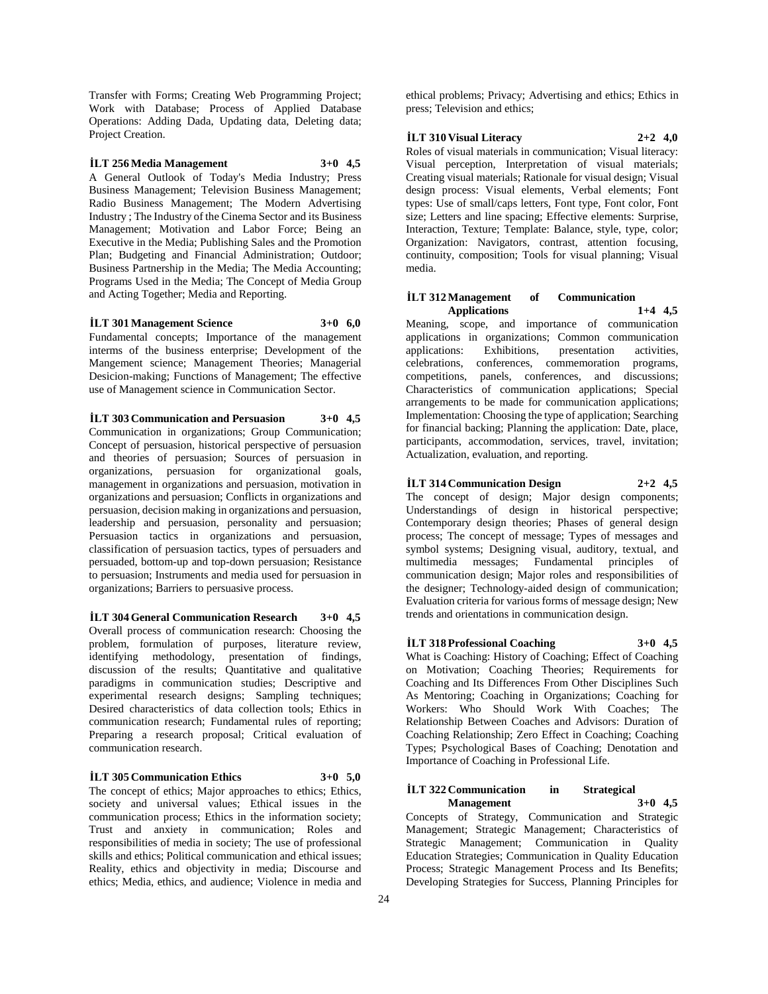Transfer with Forms; Creating Web Programming Project; Work with Database; Process of Applied Database Operations: Adding Dada, Updating data, Deleting data; Project Creation.

# **İLT 256 Media Management 3+0 4,5**

A General Outlook of Today's Media Industry; Press Business Management; Television Business Management; Radio Business Management; The Modern Advertising Industry ; The Industry of the Cinema Sector and its Business Management; Motivation and Labor Force; Being an Executive in the Media; Publishing Sales and the Promotion Plan; Budgeting and Financial Administration; Outdoor; Business Partnership in the Media; The Media Accounting; Programs Used in the Media; The Concept of Media Group and Acting Together; Media and Reporting.

## **İLT 301 Management Science 3+0 6,0**

Fundamental concepts; Importance of the management interms of the business enterprise; Development of the Mangement science; Management Theories; Managerial Desicion-making; Functions of Management; The effective use of Management science in Communication Sector.

**İLT 303 Communication and Persuasion 3+0 4,5** Communication in organizations; Group Communication; Concept of persuasion, historical perspective of persuasion and theories of persuasion; Sources of persuasion in organizations, persuasion for organizational goals, management in organizations and persuasion, motivation in organizations and persuasion; Conflicts in organizations and persuasion, decision making in organizations and persuasion, leadership and persuasion, personality and persuasion; Persuasion tactics in organizations and persuasion, classification of persuasion tactics, types of persuaders and persuaded, bottom-up and top-down persuasion; Resistance to persuasion; Instruments and media used for persuasion in organizations; Barriers to persuasive process.

**İLT 304 General Communication Research 3+0 4,5** Overall process of communication research: Choosing the problem, formulation of purposes, literature review, identifying methodology, presentation of findings, discussion of the results; Quantitative and qualitative paradigms in communication studies; Descriptive and experimental research designs; Sampling techniques; Desired characteristics of data collection tools; Ethics in communication research; Fundamental rules of reporting; Preparing a research proposal; Critical evaluation of communication research.

#### **İLT 305 Communication Ethics 3+0 5,0**

The concept of ethics; Major approaches to ethics; Ethics, society and universal values; Ethical issues in the communication process; Ethics in the information society; Trust and anxiety in communication; Roles and responsibilities of media in society; The use of professional skills and ethics; Political communication and ethical issues; Reality, ethics and objectivity in media; Discourse and ethics; Media, ethics, and audience; Violence in media and

ethical problems; Privacy; Advertising and ethics; Ethics in press; Television and ethics;

# **İLT 310 Visual Literacy 2+2 4,0**

Roles of visual materials in communication; Visual literacy: Visual perception, Interpretation of visual materials; Creating visual materials; Rationale for visual design; Visual design process: Visual elements, Verbal elements; Font types: Use of small/caps letters, Font type, Font color, Font size: Letters and line spacing: Effective elements: Surprise, Interaction, Texture; Template: Balance, style, type, color; Organization: Navigators, contrast, attention focusing, continuity, composition; Tools for visual planning; Visual media.

## **İLT 312 Management of Communication Applications 1+4 4,5**

Meaning, scope, and importance of communication applications in organizations; Common communication applications: Exhibitions, presentation activities, celebrations, conferences, commemoration programs, competitions, panels, conferences, and discussions; Characteristics of communication applications; Special arrangements to be made for communication applications; Implementation: Choosing the type of application; Searching for financial backing; Planning the application: Date, place, participants, accommodation, services, travel, invitation; Actualization, evaluation, and reporting.

# **İLT 314 Communication Design 2+2 4,5**

The concept of design; Major design components; Understandings of design in historical perspective; Contemporary design theories; Phases of general design process; The concept of message; Types of messages and symbol systems; Designing visual, auditory, textual, and multimedia messages; Fundamental principles of communication design; Major roles and responsibilities of the designer; Technology-aided design of communication; Evaluation criteria for various forms of message design; New trends and orientations in communication design.

# **İLT 318 Professional Coaching 3+0 4,5**

What is Coaching: History of Coaching; Effect of Coaching on Motivation; Coaching Theories; Requirements for Coaching and Its Differences From Other Disciplines Such As Mentoring; Coaching in Organizations; Coaching for Workers: Who Should Work With Coaches; The Relationship Between Coaches and Advisors: Duration of Coaching Relationship; Zero Effect in Coaching; Coaching Types; Psychological Bases of Coaching; Denotation and Importance of Coaching in Professional Life.

# **İLT 322 Communication in Strategical Management 3+0 4,5**

Concepts of Strategy, Communication and Strategic Management; Strategic Management; Characteristics of Strategic Management; Communication in Quality Education Strategies; Communication in Quality Education Process; Strategic Management Process and Its Benefits; Developing Strategies for Success, Planning Principles for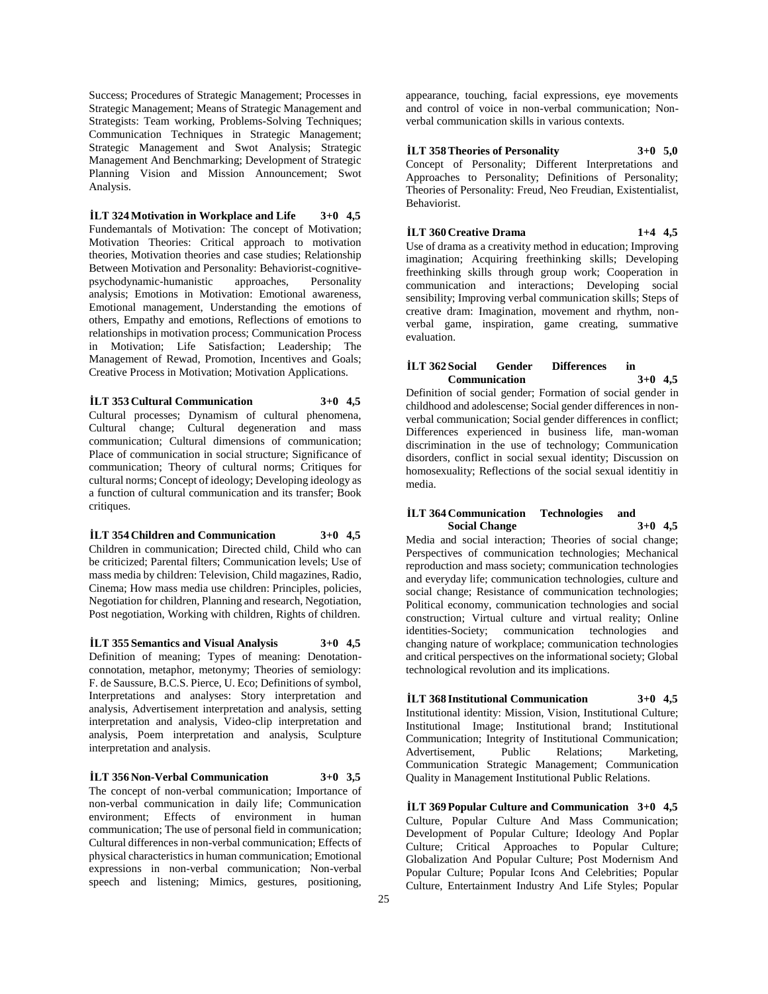Success; Procedures of Strategic Management; Processes in Strategic Management; Means of Strategic Management and Strategists: Team working, Problems-Solving Techniques; Communication Techniques in Strategic Management; Strategic Management and Swot Analysis; Strategic Management And Benchmarking; Development of Strategic Planning Vision and Mission Announcement; Swot Analysis.

**İLT 324 Motivation in Workplace and Life 3+0 4,5** Fundemantals of Motivation: The concept of Motivation; Motivation Theories: Critical approach to motivation theories, Motivation theories and case studies; Relationship Between Motivation and Personality: Behaviorist-cognitivepsychodynamic-humanistic approaches, Personality analysis; Emotions in Motivation: Emotional awareness, Emotional management, Understanding the emotions of others, Empathy and emotions, Reflections of emotions to relationships in motivation process; Communication Process in Motivation; Life Satisfaction; Leadership; The Management of Rewad, Promotion, Incentives and Goals; Creative Process in Motivation; Motivation Applications.

# **İLT 353 Cultural Communication 3+0 4,5**

Cultural processes; Dynamism of cultural phenomena, Cultural change; Cultural degeneration and mass communication; Cultural dimensions of communication; Place of communication in social structure; Significance of communication; Theory of cultural norms; Critiques for cultural norms; Concept of ideology; Developing ideology as a function of cultural communication and its transfer; Book critiques.

**İLT 354 Children and Communication 3+0 4,5** Children in communication; Directed child, Child who can be criticized; Parental filters; Communication levels; Use of mass media by children: Television, Child magazines, Radio, Cinema; How mass media use children: Principles, policies, Negotiation for children, Planning and research, Negotiation, Post negotiation, Working with children, Rights of children.

**İLT 355 Semantics and Visual Analysis 3+0 4,5** Definition of meaning; Types of meaning: Denotationconnotation, metaphor, metonymy; Theories of semiology: F. de Saussure, B.C.S. Pierce, U. Eco; Definitions of symbol, Interpretations and analyses: Story interpretation and analysis, Advertisement interpretation and analysis, setting interpretation and analysis, Video-clip interpretation and analysis, Poem interpretation and analysis, Sculpture interpretation and analysis.

**İLT 356 Non-Verbal Communication 3+0 3,5** The concept of non-verbal communication; Importance of non-verbal communication in daily life; Communication environment; Effects of environment in human communication; The use of personal field in communication; Cultural differences in non-verbal communication; Effects of physical characteristics in human communication; Emotional expressions in non-verbal communication; Non-verbal speech and listening; Mimics, gestures, positioning,

appearance, touching, facial expressions, eye movements and control of voice in non-verbal communication; Nonverbal communication skills in various contexts.

# **İLT 358 Theories of Personality 3+0 5,0**

Concept of Personality; Different Interpretations and Approaches to Personality; Definitions of Personality; Theories of Personality: Freud, Neo Freudian, Existentialist, Behaviorist.

# **İLT 360 Creative Drama 1+4 4,5**

Use of drama as a creativity method in education; Improving imagination; Acquiring freethinking skills; Developing freethinking skills through group work; Cooperation in communication and interactions; Developing social sensibility; Improving verbal communication skills; Steps of creative dram: Imagination, movement and rhythm, nonverbal game, inspiration, game creating, summative evaluation.

# **İLT 362 Social Gender Differences in Communication 3+0 4,5**

Definition of social gender; Formation of social gender in childhood and adolescense; Social gender differences in nonverbal communication; Social gender differences in conflict; Differences experienced in business life, man-woman discrimination in the use of technology; Communication disorders, conflict in social sexual identity; Discussion on homosexuality; Reflections of the social sexual identitiy in media.

# **İLT 364 Communication Technologies and Social Change 3+0 4,5**

Media and social interaction; Theories of social change; Perspectives of communication technologies; Mechanical reproduction and mass society; communication technologies and everyday life; communication technologies, culture and social change; Resistance of communication technologies; Political economy, communication technologies and social construction; Virtual culture and virtual reality; Online identities-Society; communication technologies and changing nature of workplace; communication technologies and critical perspectives on the informational society; Global technological revolution and its implications.

**İLT 368 Institutional Communication 3+0 4,5** Institutional identity: Mission, Vision, Institutional Culture; Institutional Image; Institutional brand; Institutional Communication; Integrity of Institutional Communication;<br>Advertisement, Public Relations; Marketing, Advertisement, Public Communication Strategic Management; Communication Quality in Management Institutional Public Relations.

**İLT 369 Popular Culture and Communication 3+0 4,5** Culture, Popular Culture And Mass Communication; Development of Popular Culture; Ideology And Poplar Culture; Critical Approaches to Popular Culture; Globalization And Popular Culture; Post Modernism And Popular Culture; Popular Icons And Celebrities; Popular Culture, Entertainment Industry And Life Styles; Popular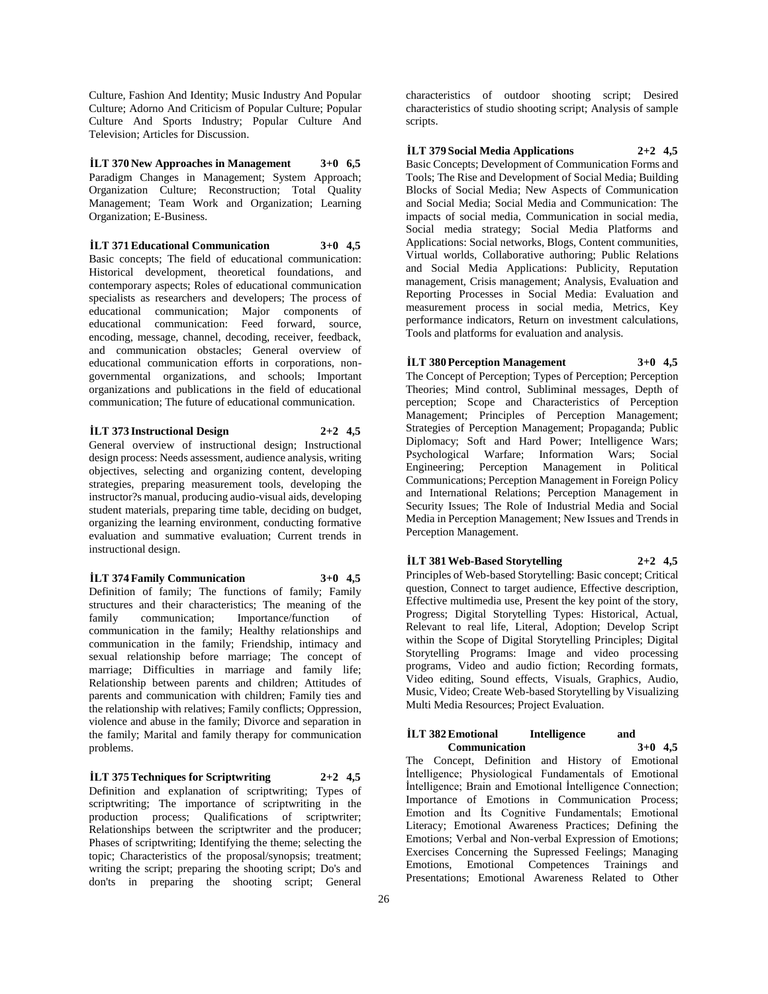Culture, Fashion And Identity; Music Industry And Popular Culture; Adorno And Criticism of Popular Culture; Popular Culture And Sports Industry; Popular Culture And Television; Articles for Discussion.

**İLT 370 New Approaches in Management 3+0 6,5** Paradigm Changes in Management; System Approach; Organization Culture; Reconstruction; Total Quality Management; Team Work and Organization; Learning Organization; E-Business.

**İLT 371 Educational Communication 3+0 4,5** Basic concepts: The field of educational communication: Historical development, theoretical foundations, and contemporary aspects; Roles of educational communication specialists as researchers and developers; The process of educational communication; Major components of educational communication: Feed forward, source, encoding, message, channel, decoding, receiver, feedback, and communication obstacles; General overview of educational communication efforts in corporations, nongovernmental organizations, and schools; Important organizations and publications in the field of educational communication; The future of educational communication.

**İLT 373 Instructional Design 2+2 4,5** General overview of instructional design; Instructional design process: Needs assessment, audience analysis, writing objectives, selecting and organizing content, developing strategies, preparing measurement tools, developing the instructor?s manual, producing audio-visual aids, developing student materials, preparing time table, deciding on budget, organizing the learning environment, conducting formative evaluation and summative evaluation; Current trends in instructional design.

#### **İLT 374 Family Communication 3+0 4,5**

Definition of family; The functions of family; Family structures and their characteristics; The meaning of the family communication; Importance/function of communication in the family; Healthy relationships and communication in the family; Friendship, intimacy and sexual relationship before marriage; The concept of marriage; Difficulties in marriage and family life; Relationship between parents and children; Attitudes of parents and communication with children; Family ties and the relationship with relatives; Family conflicts; Oppression, violence and abuse in the family; Divorce and separation in the family; Marital and family therapy for communication problems.

**İLT 375 Techniques for Scriptwriting 2+2 4,5** Definition and explanation of scriptwriting; Types of scriptwriting; The importance of scriptwriting in the production process; Qualifications of scriptwriter; Relationships between the scriptwriter and the producer; Phases of scriptwriting; Identifying the theme; selecting the topic; Characteristics of the proposal/synopsis; treatment; writing the script; preparing the shooting script; Do's and don'ts in preparing the shooting script; General

characteristics of outdoor shooting script; Desired characteristics of studio shooting script; Analysis of sample scripts.

## **İLT 379 Social Media Applications 2+2 4,5**

Basic Concepts; Development of Communication Forms and Tools; The Rise and Development of Social Media; Building Blocks of Social Media; New Aspects of Communication and Social Media; Social Media and Communication: The impacts of social media, Communication in social media, Social media strategy; Social Media Platforms and Applications: Social networks, Blogs, Content communities, Virtual worlds, Collaborative authoring; Public Relations and Social Media Applications: Publicity, Reputation management, Crisis management; Analysis, Evaluation and Reporting Processes in Social Media: Evaluation and measurement process in social media, Metrics, Key performance indicators, Return on investment calculations, Tools and platforms for evaluation and analysis.

# **İLT 380 Perception Management 3+0 4,5**

The Concept of Perception; Types of Perception; Perception Theories; Mind control, Subliminal messages, Depth of perception; Scope and Characteristics of Perception Management; Principles of Perception Management; Strategies of Perception Management; Propaganda; Public Diplomacy; Soft and Hard Power; Intelligence Wars; Psychological Warfare; Information Wars; Social Engineering; Perception Management in Political Communications; Perception Management in Foreign Policy and International Relations; Perception Management in Security Issues; The Role of Industrial Media and Social Media in Perception Management; New Issues and Trends in Perception Management.

# **İLT 381 Web-Based Storytelling 2+2 4,5**

Principles of Web-based Storytelling: Basic concept; Critical question, Connect to target audience, Effective description, Effective multimedia use, Present the key point of the story, Progress; Digital Storytelling Types: Historical, Actual, Relevant to real life, Literal, Adoption; Develop Script within the Scope of Digital Storytelling Principles; Digital Storytelling Programs: Image and video processing programs, Video and audio fiction; Recording formats, Video editing, Sound effects, Visuals, Graphics, Audio, Music, Video; Create Web-based Storytelling by Visualizing Multi Media Resources; Project Evaluation.

# **İLT 382 Emotional** Intelligence and<br>Communication 3+0 4,5 **Communication 3+0 4,5**

The Concept, Definition and History of Emotional İntelligence; Physiological Fundamentals of Emotional İntelligence; Brain and Emotional İntelligence Connection; Importance of Emotions in Communication Process; Emotion and İts Cognitive Fundamentals; Emotional Literacy; Emotional Awareness Practices; Defining the Emotions; Verbal and Non-verbal Expression of Emotions; Exercises Concerning the Supressed Feelings; Managing Emotions, Emotional Competences Trainings and Presentations; Emotional Awareness Related to Other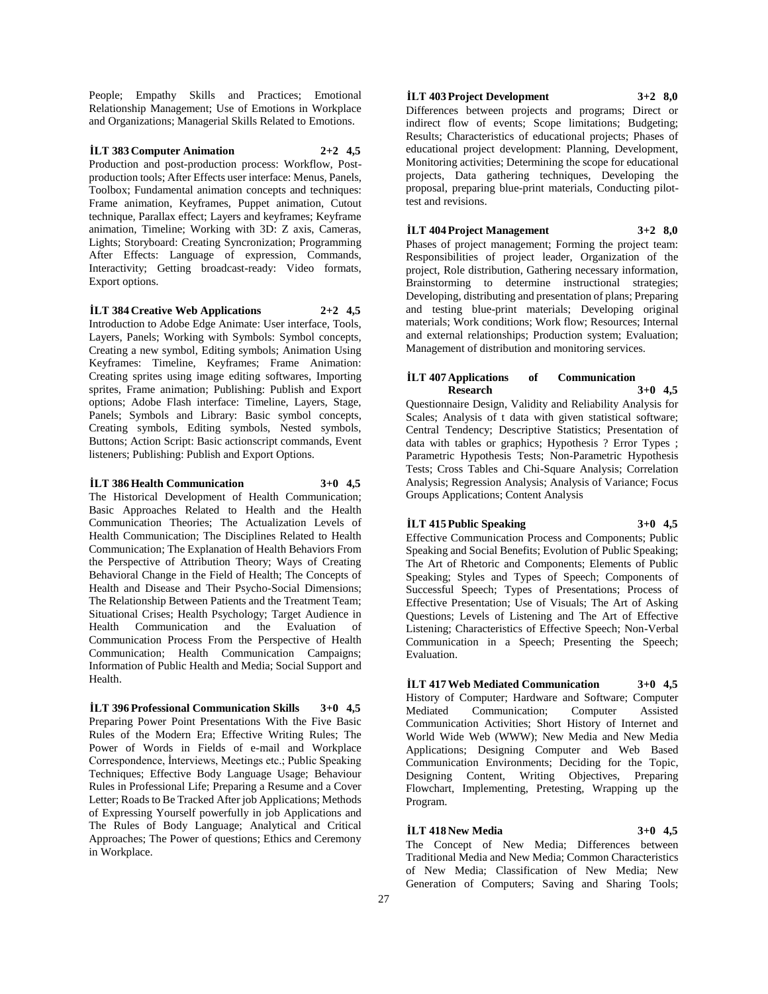People; Empathy Skills and Practices; Emotional Relationship Management; Use of Emotions in Workplace and Organizations; Managerial Skills Related to Emotions.

# **İLT 383 Computer Animation 2+2 4,5**

Production and post-production process: Workflow, Postproduction tools; After Effects user interface: Menus, Panels, Toolbox; Fundamental animation concepts and techniques: Frame animation, Keyframes, Puppet animation, Cutout technique, Parallax effect; Layers and keyframes; Keyframe animation, Timeline; Working with 3D: Z axis, Cameras, Lights; Storyboard: Creating Syncronization; Programming After Effects: Language of expression, Commands, Interactivity; Getting broadcast-ready: Video formats, Export options.

**İLT 384 Creative Web Applications 2+2 4,5** Introduction to Adobe Edge Animate: User interface, Tools, Layers, Panels; Working with Symbols: Symbol concepts, Creating a new symbol, Editing symbols; Animation Using Keyframes: Timeline, Keyframes; Frame Animation: Creating sprites using image editing softwares, Importing sprites, Frame animation; Publishing: Publish and Export options; Adobe Flash interface: Timeline, Layers, Stage, Panels; Symbols and Library: Basic symbol concepts, Creating symbols, Editing symbols, Nested symbols, Buttons; Action Script: Basic actionscript commands, Event listeners; Publishing: Publish and Export Options.

# **İLT 386 Health Communication 3+0 4,5**

The Historical Development of Health Communication; Basic Approaches Related to Health and the Health Communication Theories; The Actualization Levels of Health Communication; The Disciplines Related to Health Communication; The Explanation of Health Behaviors From the Perspective of Attribution Theory; Ways of Creating Behavioral Change in the Field of Health; The Concepts of Health and Disease and Their Psycho-Social Dimensions; The Relationship Between Patients and the Treatment Team; Situational Crises; Health Psychology; Target Audience in Health Communication and the Evaluation of Communication Process From the Perspective of Health Communication; Health Communication Campaigns; Information of Public Health and Media; Social Support and Health.

**İLT 396 Professional Communication Skills 3+0 4,5** Preparing Power Point Presentations With the Five Basic Rules of the Modern Era; Effective Writing Rules; The Power of Words in Fields of e-mail and Workplace Correspondence, İnterviews, Meetings etc.; Public Speaking Techniques; Effective Body Language Usage; Behaviour Rules in Professional Life; Preparing a Resume and a Cover Letter; Roads to Be Tracked After job Applications; Methods of Expressing Yourself powerfully in job Applications and The Rules of Body Language; Analytical and Critical Approaches; The Power of questions; Ethics and Ceremony in Workplace.

## **İLT 403 Project Development 3+2 8,0**

Differences between projects and programs; Direct or indirect flow of events; Scope limitations; Budgeting; Results; Characteristics of educational projects; Phases of educational project development: Planning, Development, Monitoring activities; Determining the scope for educational projects, Data gathering techniques, Developing the proposal, preparing blue-print materials, Conducting pilottest and revisions.

# **İLT 404 Project Management 3+2 8,0**

Phases of project management; Forming the project team: Responsibilities of project leader, Organization of the project, Role distribution, Gathering necessary information, Brainstorming to determine instructional strategies; Developing, distributing and presentation of plans; Preparing and testing blue-print materials; Developing original materials; Work conditions; Work flow; Resources; Internal and external relationships; Production system; Evaluation; Management of distribution and monitoring services.

#### **İLT 407 Applications of Communication Research 3+0 4,5**

Questionnaire Design, Validity and Reliability Analysis for Scales; Analysis of t data with given statistical software; Central Tendency; Descriptive Statistics; Presentation of data with tables or graphics; Hypothesis ? Error Types ; Parametric Hypothesis Tests; Non-Parametric Hypothesis Tests; Cross Tables and Chi-Square Analysis; Correlation Analysis; Regression Analysis; Analysis of Variance; Focus Groups Applications; Content Analysis

**İLT 415 Public Speaking 3+0 4,5** Effective Communication Process and Components; Public Speaking and Social Benefits; Evolution of Public Speaking; The Art of Rhetoric and Components; Elements of Public Speaking; Styles and Types of Speech; Components of Successful Speech; Types of Presentations; Process of Effective Presentation; Use of Visuals; The Art of Asking Questions; Levels of Listening and The Art of Effective Listening; Characteristics of Effective Speech; Non-Verbal Communication in a Speech; Presenting the Speech;

**İLT 417 Web Mediated Communication 3+0 4,5** History of Computer; Hardware and Software; Computer Mediated Communication; Computer Assisted Communication Activities; Short History of Internet and World Wide Web (WWW); New Media and New Media Applications; Designing Computer and Web Based Communication Environments; Deciding for the Topic, Designing Content, Writing Objectives, Preparing Flowchart, Implementing, Pretesting, Wrapping up the Program.

# **İLT 418 New Media 3+0 4,5**

Evaluation.

The Concept of New Media; Differences between Traditional Media and New Media; Common Characteristics of New Media; Classification of New Media; New Generation of Computers; Saving and Sharing Tools;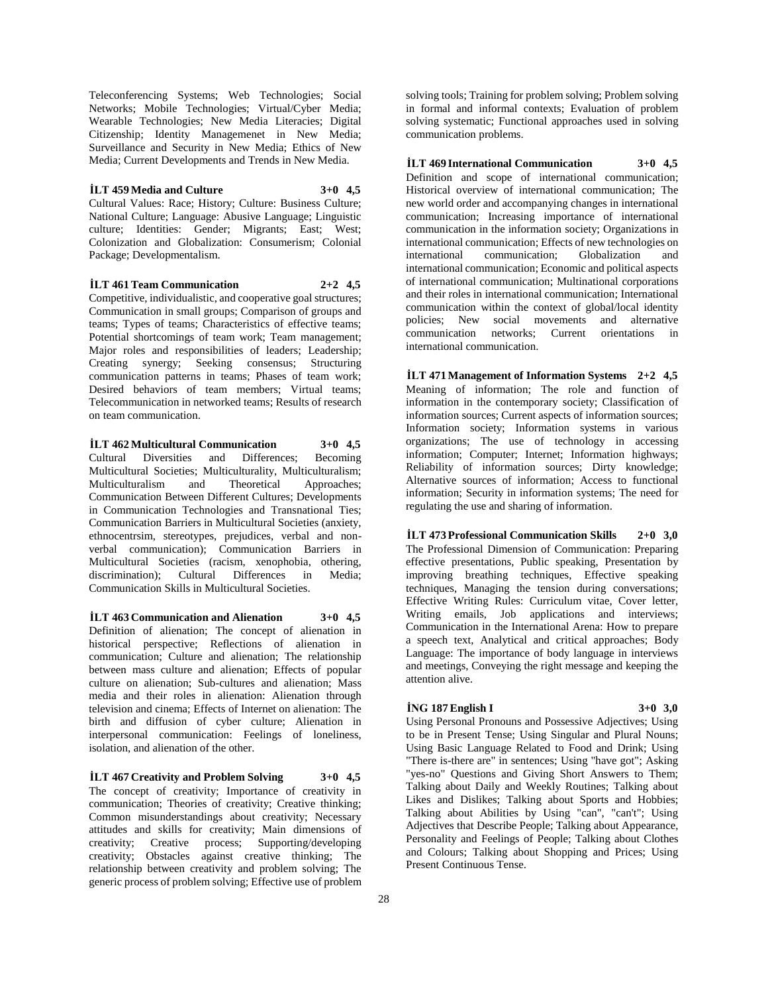Teleconferencing Systems; Web Technologies; Social Networks; Mobile Technologies; Virtual/Cyber Media; Wearable Technologies; New Media Literacies; Digital Citizenship; Identity Managemenet in New Media; Surveillance and Security in New Media; Ethics of New Media; Current Developments and Trends in New Media.

# **İLT 459 Media and Culture 3+0 4,5**

Cultural Values: Race; History; Culture: Business Culture; National Culture; Language: Abusive Language; Linguistic culture; Identities: Gender; Migrants; East; West; Colonization and Globalization: Consumerism; Colonial Package; Developmentalism.

**İLT 461 Team Communication 2+2 4,5**

Competitive, individualistic, and cooperative goal structures; Communication in small groups; Comparison of groups and teams; Types of teams; Characteristics of effective teams; Potential shortcomings of team work; Team management; Major roles and responsibilities of leaders; Leadership; Creating synergy; Seeking consensus; Structuring communication patterns in teams; Phases of team work; Desired behaviors of team members; Virtual teams; Telecommunication in networked teams; Results of research on team communication.

# **İLT 462 Multicultural Communication 3+0 4,5**

Cultural Diversities and Differences; Becoming Multicultural Societies; Multiculturality, Multiculturalism; Multiculturalism and Theoretical Approaches; Communication Between Different Cultures; Developments in Communication Technologies and Transnational Ties; Communication Barriers in Multicultural Societies (anxiety, ethnocentrsim, stereotypes, prejudices, verbal and nonverbal communication); Communication Barriers in Multicultural Societies (racism, xenophobia, othering, discrimination); Cultural Differences in Media; Communication Skills in Multicultural Societies.

**İLT 463 Communication and Alienation 3+0 4,5** Definition of alienation; The concept of alienation in historical perspective; Reflections of alienation in communication; Culture and alienation; The relationship between mass culture and alienation; Effects of popular culture on alienation; Sub-cultures and alienation; Mass media and their roles in alienation: Alienation through television and cinema; Effects of Internet on alienation: The birth and diffusion of cyber culture; Alienation in interpersonal communication: Feelings of loneliness, isolation, and alienation of the other.

**İLT 467 Creativity and Problem Solving 3+0 4,5** The concept of creativity; Importance of creativity in communication; Theories of creativity; Creative thinking; Common misunderstandings about creativity; Necessary attitudes and skills for creativity; Main dimensions of creativity; Creative process; Supporting/developing creativity; Obstacles against creative thinking; The relationship between creativity and problem solving; The generic process of problem solving; Effective use of problem

solving tools; Training for problem solving; Problem solving in formal and informal contexts; Evaluation of problem solving systematic; Functional approaches used in solving communication problems.

# **İLT 469 International Communication 3+0 4,5**

Definition and scope of international communication; Historical overview of international communication; The new world order and accompanying changes in international communication; Increasing importance of international communication in the information society; Organizations in international communication; Effects of new technologies on international communication; Globalization and international communication; Economic and political aspects of international communication; Multinational corporations and their roles in international communication; International communication within the context of global/local identity policies; New social movements and alternative communication networks; Current orientations in international communication.

**İLT 471 Management of Information Systems 2+2 4,5** Meaning of information; The role and function of information in the contemporary society; Classification of information sources; Current aspects of information sources; Information society; Information systems in various organizations; The use of technology in accessing information; Computer; Internet; Information highways; Reliability of information sources; Dirty knowledge; Alternative sources of information; Access to functional information; Security in information systems; The need for regulating the use and sharing of information.

**İLT 473 Professional Communication Skills 2+0 3,0** The Professional Dimension of Communication: Preparing effective presentations, Public speaking, Presentation by improving breathing techniques, Effective speaking techniques, Managing the tension during conversations; Effective Writing Rules: Curriculum vitae, Cover letter, Writing emails, Job applications and interviews; Communication in the International Arena: How to prepare a speech text, Analytical and critical approaches; Body Language: The importance of body language in interviews and meetings, Conveying the right message and keeping the attention alive.

# **İNG 187 English I 3+0 3,0**

Using Personal Pronouns and Possessive Adjectives; Using to be in Present Tense; Using Singular and Plural Nouns; Using Basic Language Related to Food and Drink; Using "There is-there are" in sentences; Using "have got"; Asking "yes-no" Questions and Giving Short Answers to Them; Talking about Daily and Weekly Routines; Talking about Likes and Dislikes; Talking about Sports and Hobbies; Talking about Abilities by Using "can", "can't"; Using Adjectives that Describe People; Talking about Appearance, Personality and Feelings of People; Talking about Clothes and Colours; Talking about Shopping and Prices; Using Present Continuous Tense.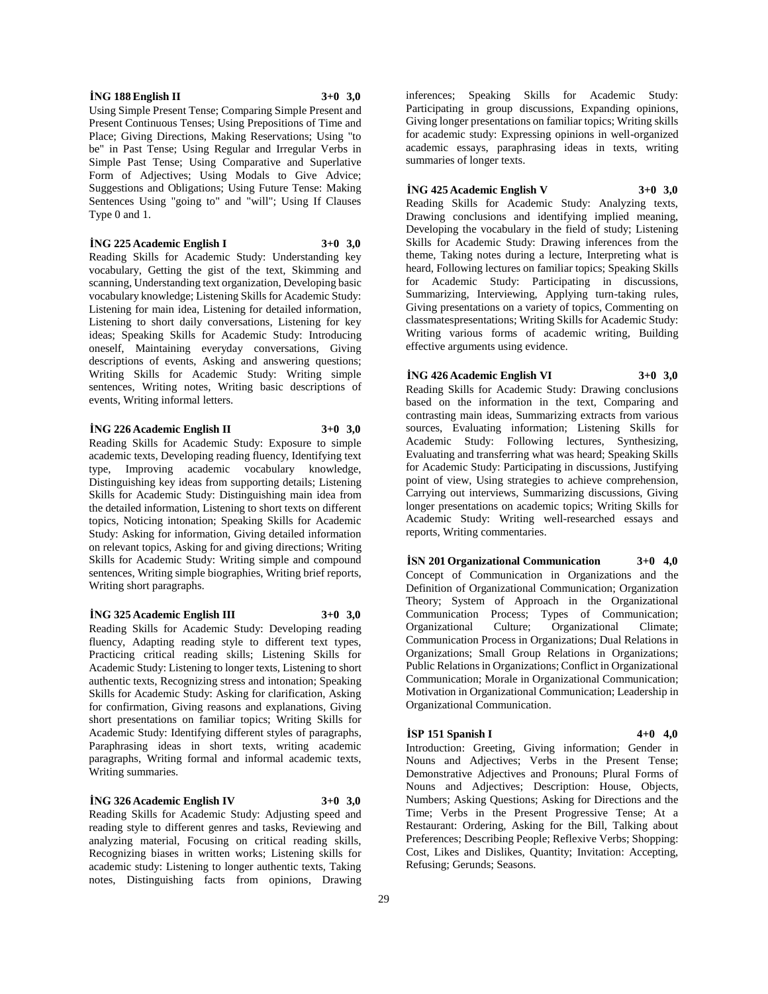## **İNG 188 English II 3+0 3,0**

Using Simple Present Tense; Comparing Simple Present and Present Continuous Tenses; Using Prepositions of Time and Place; Giving Directions, Making Reservations; Using "to be" in Past Tense; Using Regular and Irregular Verbs in Simple Past Tense; Using Comparative and Superlative Form of Adjectives; Using Modals to Give Advice; Suggestions and Obligations; Using Future Tense: Making Sentences Using "going to" and "will"; Using If Clauses Type 0 and 1.

#### **İNG 225 Academic English I 3+0 3,0**

Reading Skills for Academic Study: Understanding key vocabulary, Getting the gist of the text, Skimming and scanning, Understanding text organization, Developing basic vocabulary knowledge; Listening Skills for Academic Study: Listening for main idea, Listening for detailed information, Listening to short daily conversations, Listening for key ideas; Speaking Skills for Academic Study: Introducing oneself, Maintaining everyday conversations, Giving descriptions of events, Asking and answering questions; Writing Skills for Academic Study: Writing simple sentences, Writing notes, Writing basic descriptions of events, Writing informal letters.

#### **İNG 226 Academic English II 3+0 3,0**

Reading Skills for Academic Study: Exposure to simple academic texts, Developing reading fluency, Identifying text type, Improving academic vocabulary knowledge, Distinguishing key ideas from supporting details; Listening Skills for Academic Study: Distinguishing main idea from the detailed information, Listening to short texts on different topics, Noticing intonation; Speaking Skills for Academic Study: Asking for information, Giving detailed information on relevant topics, Asking for and giving directions; Writing Skills for Academic Study: Writing simple and compound sentences, Writing simple biographies, Writing brief reports, Writing short paragraphs.

# **İNG 325 Academic English III 3+0 3,0**

Reading Skills for Academic Study: Developing reading fluency, Adapting reading style to different text types, Practicing critical reading skills; Listening Skills for Academic Study: Listening to longer texts, Listening to short authentic texts, Recognizing stress and intonation; Speaking Skills for Academic Study: Asking for clarification, Asking for confirmation, Giving reasons and explanations, Giving short presentations on familiar topics; Writing Skills for Academic Study: Identifying different styles of paragraphs, Paraphrasing ideas in short texts, writing academic paragraphs, Writing formal and informal academic texts, Writing summaries.

## **İNG 326 Academic English IV 3+0 3,0**

Reading Skills for Academic Study: Adjusting speed and reading style to different genres and tasks, Reviewing and analyzing material, Focusing on critical reading skills, Recognizing biases in written works; Listening skills for academic study: Listening to longer authentic texts, Taking notes, Distinguishing facts from opinions, Drawing

inferences; Speaking Skills for Academic Study: Participating in group discussions, Expanding opinions, Giving longer presentations on familiar topics; Writing skills for academic study: Expressing opinions in well-organized academic essays, paraphrasing ideas in texts, writing summaries of longer texts.

### **İNG 425 Academic English V 3+0 3,0**

Reading Skills for Academic Study: Analyzing texts, Drawing conclusions and identifying implied meaning, Developing the vocabulary in the field of study; Listening Skills for Academic Study: Drawing inferences from the theme, Taking notes during a lecture, Interpreting what is heard, Following lectures on familiar topics; Speaking Skills for Academic Study: Participating in discussions, Summarizing, Interviewing, Applying turn-taking rules, Giving presentations on a variety of topics, Commenting on classmatespresentations; Writing Skills for Academic Study: Writing various forms of academic writing, Building effective arguments using evidence.

# **İNG 426 Academic English VI 3+0 3,0**

Reading Skills for Academic Study: Drawing conclusions based on the information in the text, Comparing and contrasting main ideas, Summarizing extracts from various sources, Evaluating information; Listening Skills for Academic Study: Following lectures, Synthesizing, Evaluating and transferring what was heard; Speaking Skills for Academic Study: Participating in discussions, Justifying point of view, Using strategies to achieve comprehension, Carrying out interviews, Summarizing discussions, Giving longer presentations on academic topics; Writing Skills for Academic Study: Writing well-researched essays and reports, Writing commentaries.

**İSN 201 Organizational Communication 3+0 4,0** Concept of Communication in Organizations and the Definition of Organizational Communication; Organization Theory; System of Approach in the Organizational Communication Process; Types of Communication; Organizational Culture; Organizational Climate; Communication Process in Organizations; Dual Relations in Organizations; Small Group Relations in Organizations; Public Relations in Organizations; Conflict in Organizational Communication; Morale in Organizational Communication; Motivation in Organizational Communication; Leadership in Organizational Communication.

#### **İSP 151 Spanish I 4+0 4,0**

Introduction: Greeting, Giving information; Gender in Nouns and Adjectives; Verbs in the Present Tense; Demonstrative Adjectives and Pronouns; Plural Forms of Nouns and Adjectives; Description: House, Objects, Numbers; Asking Questions; Asking for Directions and the Time; Verbs in the Present Progressive Tense; At a Restaurant: Ordering, Asking for the Bill, Talking about Preferences; Describing People; Reflexive Verbs; Shopping: Cost, Likes and Dislikes, Quantity; Invitation: Accepting, Refusing; Gerunds; Seasons.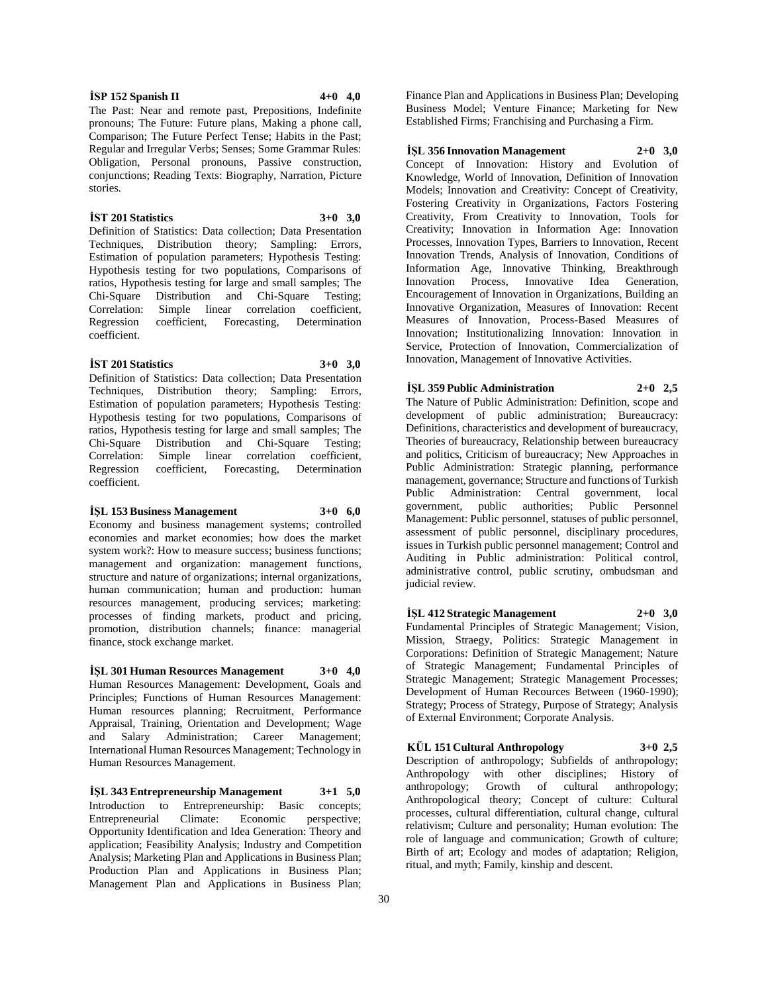resources management, producing services; marketing: processes of finding markets, product and pricing, promotion, distribution channels; finance: managerial finance, stock exchange market. **İŞL 301 Human Resources Management 3+0 4,0** Human Resources Management: Development, Goals and Principles; Functions of Human Resources Management:

Human resources planning; Recruitment, Performance Appraisal, Training, Orientation and Development; Wage and Salary Administration; Career Management; International Human Resources Management; Technology in Human Resources Management.

**İŞL 343 Entrepreneurship Management 3+1 5,0** Introduction to Entrepreneurship: Basic concepts; Entrepreneurial Climate: Economic perspective; Opportunity Identification and Idea Generation: Theory and application; Feasibility Analysis; Industry and Competition Analysis; Marketing Plan and Applications in Business Plan; Production Plan and Applications in Business Plan; Management Plan and Applications in Business Plan;

Finance Plan and Applications in Business Plan; Developing Business Model; Venture Finance; Marketing for New Established Firms; Franchising and Purchasing a Firm.

## **İŞL 356 Innovation Management 2+0 3,0**

Concept of Innovation: History and Evolution of Knowledge, World of Innovation, Definition of Innovation Models; Innovation and Creativity: Concept of Creativity, Fostering Creativity in Organizations, Factors Fostering Creativity, From Creativity to Innovation, Tools for Creativity; Innovation in Information Age: Innovation Processes, Innovation Types, Barriers to Innovation, Recent Innovation Trends, Analysis of Innovation, Conditions of Information Age, Innovative Thinking, Breakthrough Innovation Process, Innovative Idea Generation, Encouragement of Innovation in Organizations, Building an Innovative Organization, Measures of Innovation: Recent Measures of Innovation, Process-Based Measures of Innovation; Institutionalizing Innovation: Innovation in Service, Protection of Innovation, Commercialization of Innovation, Management of Innovative Activities.

# **İŞL 359 Public Administration 2+0 2,5**

The Nature of Public Administration: Definition, scope and development of public administration; Bureaucracy: Definitions, characteristics and development of bureaucracy, Theories of bureaucracy, Relationship between bureaucracy and politics, Criticism of bureaucracy; New Approaches in Public Administration: Strategic planning, performance management, governance; Structure and functions of Turkish Public Administration: Central government, local government, public authorities; Public Personnel Management: Public personnel, statuses of public personnel, assessment of public personnel, disciplinary procedures, issues in Turkish public personnel management; Control and Auditing in Public administration: Political control, administrative control, public scrutiny, ombudsman and judicial review.

**İŞL 412 Strategic Management 2+0 3,0** Fundamental Principles of Strategic Management; Vision, Mission, Straegy, Politics: Strategic Management in Corporations: Definition of Strategic Management; Nature of Strategic Management; Fundamental Principles of Strategic Management; Strategic Management Processes; Development of Human Recources Between (1960-1990); Strategy; Process of Strategy, Purpose of Strategy; Analysis of External Environment; Corporate Analysis.

# **KÜL 151 Cultural Anthropology 3+0 2,5**

Description of anthropology; Subfields of anthropology; Anthropology with other disciplines; History of anthropology; Growth of cultural anthropology; Anthropological theory; Concept of culture: Cultural processes, cultural differentiation, cultural change, cultural relativism; Culture and personality; Human evolution: The role of language and communication; Growth of culture; Birth of art; Ecology and modes of adaptation; Religion, ritual, and myth; Family, kinship and descent.

# **İSP 152 Spanish II 4+0 4,0** The Past: Near and remote past, Prepositions, Indefinite

stories.

coefficient.

coefficient.

pronouns; The Future: Future plans, Making a phone call, Comparison; The Future Perfect Tense; Habits in the Past; Regular and Irregular Verbs; Senses; Some Grammar Rules: Obligation, Personal pronouns, Passive construction, conjunctions; Reading Texts: Biography, Narration, Picture

**İST 201 Statistics 3+0 3,0** Definition of Statistics: Data collection; Data Presentation Techniques, Distribution theory; Sampling: Errors, Estimation of population parameters; Hypothesis Testing: Hypothesis testing for two populations, Comparisons of ratios, Hypothesis testing for large and small samples; The Chi-Square Distribution and Chi-Square Testing;

Correlation: Simple linear correlation coefficient, Regression coefficient, Forecasting, Determination

**İST 201 Statistics 3+0 3,0** Definition of Statistics: Data collection; Data Presentation Techniques, Distribution theory; Sampling: Errors, Estimation of population parameters; Hypothesis Testing: Hypothesis testing for two populations, Comparisons of ratios, Hypothesis testing for large and small samples; The Chi-Square Distribution and Chi-Square Testing; Correlation: Simple linear correlation coefficient, Regression coefficient, Forecasting, Determination

**İŞL 153 Business Management 3+0 6,0** Economy and business management systems; controlled economies and market economies; how does the market system work?: How to measure success; business functions; management and organization: management functions, structure and nature of organizations; internal organizations, human communication; human and production: human

Distribution and Chi-Square Testing;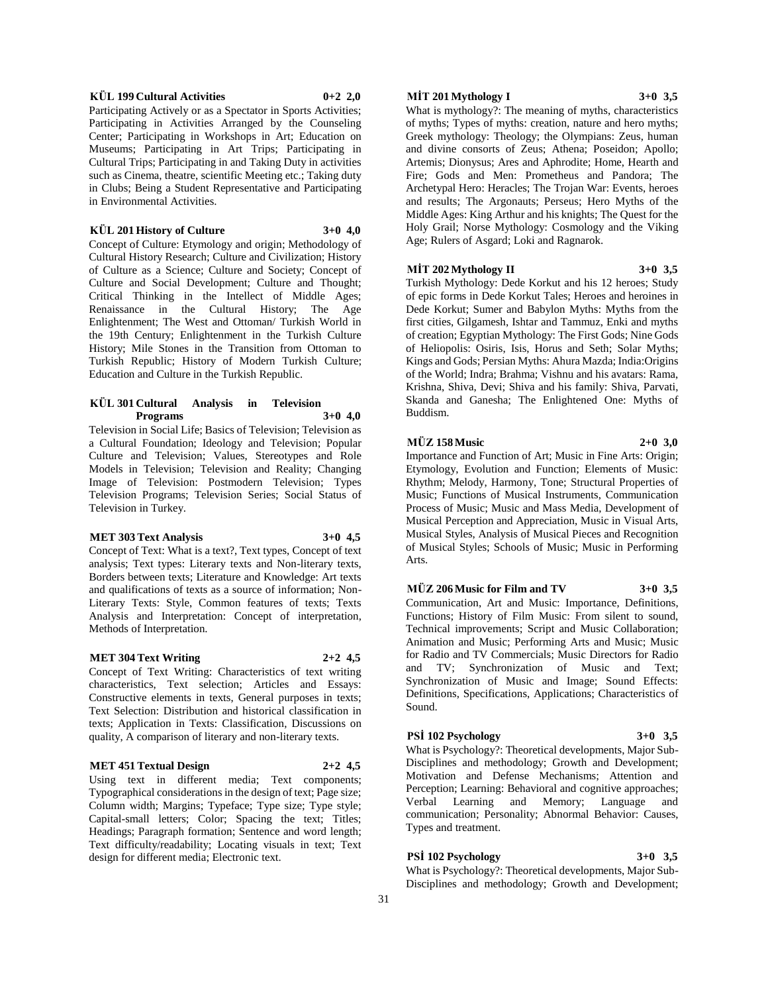### **KÜL 199 Cultural Activities 0+2 2,0**

Participating Actively or as a Spectator in Sports Activities; Participating in Activities Arranged by the Counseling Center; Participating in Workshops in Art; Education on Museums; Participating in Art Trips; Participating in Cultural Trips; Participating in and Taking Duty in activities such as Cinema, theatre, scientific Meeting etc.; Taking duty in Clubs; Being a Student Representative and Participating in Environmental Activities.

#### **KÜL 201 History of Culture 3+0 4,0**

Concept of Culture: Etymology and origin; Methodology of Cultural History Research; Culture and Civilization; History of Culture as a Science; Culture and Society; Concept of Culture and Social Development; Culture and Thought; Critical Thinking in the Intellect of Middle Ages; Renaissance in the Cultural History; The Age Enlightenment; The West and Ottoman/ Turkish World in the 19th Century; Enlightenment in the Turkish Culture History; Mile Stones in the Transition from Ottoman to Turkish Republic; History of Modern Turkish Culture; Education and Culture in the Turkish Republic.

#### **KÜL 301 Cultural Analysis in Television Programs 3+0 4,0**

Television in Social Life; Basics of Television; Television as a Cultural Foundation; Ideology and Television; Popular Culture and Television; Values, Stereotypes and Role Models in Television; Television and Reality; Changing Image of Television: Postmodern Television; Types Television Programs; Television Series; Social Status of Television in Turkey.

# **MET 303 Text Analysis 3+0 4,5**

Concept of Text: What is a text?, Text types, Concept of text analysis; Text types: Literary texts and Non-literary texts, Borders between texts; Literature and Knowledge: Art texts and qualifications of texts as a source of information; Non-Literary Texts: Style, Common features of texts; Texts Analysis and Interpretation: Concept of interpretation, Methods of Interpretation.

#### **MET 304 Text Writing 2+2 4,5**

Concept of Text Writing: Characteristics of text writing characteristics, Text selection; Articles and Essays: Constructive elements in texts, General purposes in texts; Text Selection: Distribution and historical classification in texts; Application in Texts: Classification, Discussions on quality, A comparison of literary and non-literary texts.

# **MET 451 Textual Design 2+2 4,5**

Using text in different media; Text components; Typographical considerations in the design of text; Page size; Column width; Margins; Typeface; Type size; Type style; Capital-small letters; Color; Spacing the text; Titles; Headings; Paragraph formation; Sentence and word length; Text difficulty/readability; Locating visuals in text; Text design for different media; Electronic text.

# **MİT 201 Mythology I 3+0 3,5**

What is mythology?: The meaning of myths, characteristics of myths; Types of myths: creation, nature and hero myths; Greek mythology: Theology; the Olympians: Zeus, human and divine consorts of Zeus; Athena; Poseidon; Apollo; Artemis; Dionysus; Ares and Aphrodite; Home, Hearth and Fire; Gods and Men: Prometheus and Pandora; The Archetypal Hero: Heracles; The Trojan War: Events, heroes and results; The Argonauts; Perseus; Hero Myths of the Middle Ages: King Arthur and his knights; The Quest for the Holy Grail; Norse Mythology: Cosmology and the Viking Age; Rulers of Asgard; Loki and Ragnarok.

## **MİT 202 Mythology II 3+0 3,5**

Turkish Mythology: Dede Korkut and his 12 heroes; Study of epic forms in Dede Korkut Tales; Heroes and heroines in Dede Korkut; Sumer and Babylon Myths: Myths from the first cities, Gilgamesh, Ishtar and Tammuz, Enki and myths of creation; Egyptian Mythology: The First Gods; Nine Gods of Heliopolis: Osiris, Isis, Horus and Seth; Solar Myths; Kings and Gods; Persian Myths: Ahura Mazda; India:Origins

of the World; Indra; Brahma; Vishnu and his avatars: Rama, Krishna, Shiva, Devi; Shiva and his family: Shiva, Parvati, Skanda and Ganesha; The Enlightened One: Myths of Buddism.

# **MÜZ 158 Music 2+0 3,0**

Importance and Function of Art; Music in Fine Arts: Origin; Etymology, Evolution and Function; Elements of Music: Rhythm; Melody, Harmony, Tone; Structural Properties of Music; Functions of Musical Instruments, Communication Process of Music; Music and Mass Media, Development of Musical Perception and Appreciation, Music in Visual Arts, Musical Styles, Analysis of Musical Pieces and Recognition of Musical Styles; Schools of Music; Music in Performing Arts.

#### **MÜZ 206 Music for Film and TV 3+0 3,5**

Communication, Art and Music: Importance, Definitions, Functions; History of Film Music: From silent to sound, Technical improvements; Script and Music Collaboration; Animation and Music; Performing Arts and Music; Music for Radio and TV Commercials; Music Directors for Radio and TV; Synchronization of Music and Text; Synchronization of Music and Image; Sound Effects: Definitions, Specifications, Applications; Characteristics of Sound.

# **PSİ 102 Psychology 3+0 3,5**

What is Psychology?: Theoretical developments, Major Sub-Disciplines and methodology; Growth and Development; Motivation and Defense Mechanisms; Attention and Perception; Learning: Behavioral and cognitive approaches; Verbal Learning and Memory; Language and communication; Personality; Abnormal Behavior: Causes, Types and treatment.

# **PSİ 102 Psychology 3+0 3,5**

What is Psychology?: Theoretical developments, Major Sub-Disciplines and methodology; Growth and Development;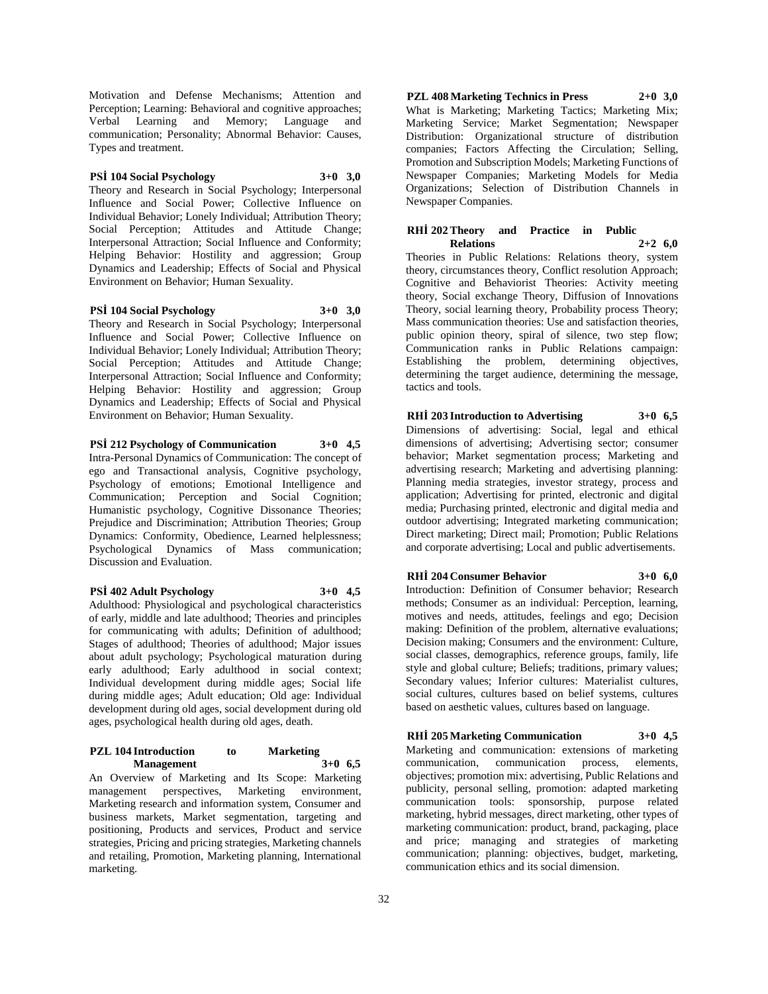Motivation and Defense Mechanisms; Attention and Perception; Learning: Behavioral and cognitive approaches; Verbal Learning and Memory; Language and communication; Personality; Abnormal Behavior: Causes, Types and treatment.

# **PSİ 104 Social Psychology 3+0 3,0**

Theory and Research in Social Psychology; Interpersonal Influence and Social Power; Collective Influence on Individual Behavior; Lonely Individual; Attribution Theory; Social Perception; Attitudes and Attitude Change; Interpersonal Attraction; Social Influence and Conformity; Helping Behavior: Hostility and aggression; Group Dynamics and Leadership; Effects of Social and Physical Environment on Behavior; Human Sexuality.

**PSİ 104 Social Psychology 3+0 3,0** Theory and Research in Social Psychology; Interpersonal Influence and Social Power; Collective Influence on Individual Behavior; Lonely Individual; Attribution Theory; Social Perception; Attitudes and Attitude Change; Interpersonal Attraction; Social Influence and Conformity; Helping Behavior: Hostility and aggression; Group Dynamics and Leadership; Effects of Social and Physical Environment on Behavior; Human Sexuality.

# **PSİ 212 Psychology of Communication 3+0 4,5**

Intra-Personal Dynamics of Communication: The concept of ego and Transactional analysis, Cognitive psychology, Psychology of emotions; Emotional Intelligence and Communication; Perception and Social Cognition; Humanistic psychology, Cognitive Dissonance Theories; Prejudice and Discrimination; Attribution Theories; Group Dynamics: Conformity, Obedience, Learned helplessness; Psychological Dynamics of Mass communication; Discussion and Evaluation.

## **PSİ 402 Adult Psychology 3+0 4,5**

Adulthood: Physiological and psychological characteristics of early, middle and late adulthood; Theories and principles for communicating with adults; Definition of adulthood; Stages of adulthood; Theories of adulthood; Major issues about adult psychology; Psychological maturation during early adulthood; Early adulthood in social context; Individual development during middle ages; Social life during middle ages; Adult education; Old age: Individual development during old ages, social development during old ages, psychological health during old ages, death.

## **PZL 104 Introduction to Marketing Management 3+0 6,5**

An Overview of Marketing and Its Scope: Marketing management perspectives, Marketing environment, Marketing research and information system, Consumer and business markets, Market segmentation, targeting and positioning, Products and services, Product and service strategies, Pricing and pricing strategies, Marketing channels and retailing, Promotion, Marketing planning, International marketing.

**PZL 408 Marketing Technics in Press 2+0 3,0** What is Marketing; Marketing Tactics; Marketing Mix; Marketing Service; Market Segmentation; Newspaper Distribution: Organizational structure of distribution companies; Factors Affecting the Circulation; Selling, Promotion and Subscription Models; Marketing Functions of Newspaper Companies; Marketing Models for Media Organizations; Selection of Distribution Channels in Newspaper Companies.

# **RHİ 202 Theory and Practice in Public Relations 2+2 6,0**

Theories in Public Relations: Relations theory, system theory, circumstances theory, Conflict resolution Approach; Cognitive and Behaviorist Theories: Activity meeting theory, Social exchange Theory, Diffusion of Innovations Theory, social learning theory, Probability process Theory; Mass communication theories: Use and satisfaction theories, public opinion theory, spiral of silence, two step flow; Communication ranks in Public Relations campaign: Establishing the problem, determining objectives, determining the target audience, determining the message, tactics and tools.

# **RHİ 203 Introduction to Advertising 3+0 6,5**

Dimensions of advertising: Social, legal and ethical dimensions of advertising; Advertising sector; consumer behavior; Market segmentation process; Marketing and advertising research; Marketing and advertising planning: Planning media strategies, investor strategy, process and application; Advertising for printed, electronic and digital media; Purchasing printed, electronic and digital media and outdoor advertising; Integrated marketing communication; Direct marketing; Direct mail; Promotion; Public Relations and corporate advertising; Local and public advertisements.

# **RHİ 204 Consumer Behavior 3+0 6,0**

Introduction: Definition of Consumer behavior; Research methods; Consumer as an individual: Perception, learning, motives and needs, attitudes, feelings and ego; Decision making: Definition of the problem, alternative evaluations; Decision making; Consumers and the environment: Culture, social classes, demographics, reference groups, family, life style and global culture; Beliefs; traditions, primary values; Secondary values; Inferior cultures: Materialist cultures, social cultures, cultures based on belief systems, cultures based on aesthetic values, cultures based on language.

# **RHİ 205 Marketing Communication 3+0 4,5**

Marketing and communication: extensions of marketing communication, communication process, elements, objectives; promotion mix: advertising, Public Relations and publicity, personal selling, promotion: adapted marketing communication tools: sponsorship, purpose related marketing, hybrid messages, direct marketing, other types of marketing communication: product, brand, packaging, place and price; managing and strategies of marketing communication; planning: objectives, budget, marketing, communication ethics and its social dimension.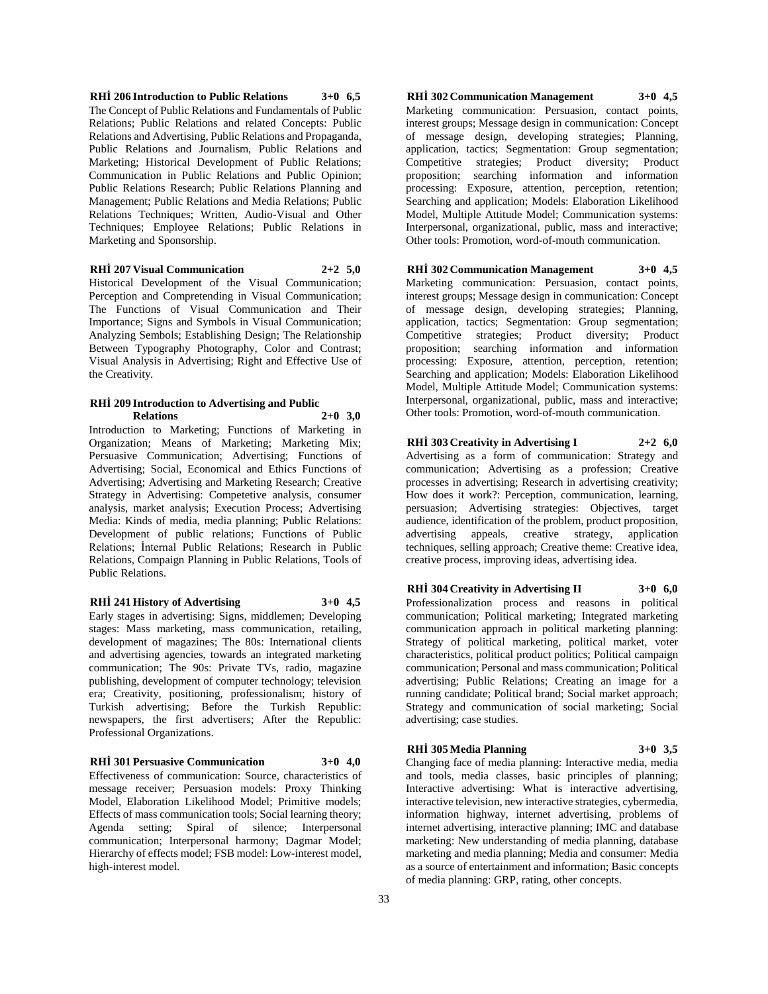**RHİ 206 Introduction to Public Relations 3+0 6,5** The Concept of Public Relations and Fundamentals of Public Relations; Public Relations and related Concepts: Public Relations and Advertising, Public Relations and Propaganda, Public Relations and Journalism, Public Relations and Marketing; Historical Development of Public Relations; Communication in Public Relations and Public Opinion; Public Relations Research; Public Relations Planning and Management; Public Relations and Media Relations; Public Relations Techniques; Written, Audio-Visual and Other Techniques; Employee Relations; Public Relations in Marketing and Sponsorship.

# **RHİ 207 Visual Communication 2+2 5,0**

Historical Development of the Visual Communication; Perception and Compretending in Visual Communication; The Functions of Visual Communication and Their Importance; Signs and Symbols in Visual Communication; Analyzing Sembols; Establishing Design; The Relationship Between Typography Photography, Color and Contrast; Visual Analysis in Advertising; Right and Effective Use of the Creativity.

### **RHİ 209 Introduction to Advertising and Public Relations 2+0 3,0**

Introduction to Marketing; Functions of Marketing in Organization; Means of Marketing; Marketing Mix; Persuasive Communication; Advertising; Functions of Advertising; Social, Economical and Ethics Functions of Advertising; Advertising and Marketing Research; Creative Strategy in Advertising: Competetive analysis, consumer analysis, market analysis; Execution Process; Advertising Media: Kinds of media, media planning; Public Relations: Development of public relations; Functions of Public Relations; İnternal Public Relations; Research in Public Relations, Compaign Planning in Public Relations, Tools of Public Relations.

# **RHİ 241 History of Advertising 3+0 4,5**

Early stages in advertising: Signs, middlemen; Developing stages: Mass marketing, mass communication, retailing, development of magazines; The 80s: International clients and advertising agencies, towards an integrated marketing communication; The 90s: Private TVs, radio, magazine publishing, development of computer technology; television era; Creativity, positioning, professionalism; history of Turkish advertising; Before the Turkish Republic: newspapers, the first advertisers; After the Republic: Professional Organizations.

# **RHİ 301 Persuasive Communication 3+0 4,0**

Effectiveness of communication: Source, characteristics of message receiver; Persuasion models: Proxy Thinking Model, Elaboration Likelihood Model; Primitive models; Effects of mass communication tools; Social learning theory; Agenda setting; Spiral of silence; Interpersonal communication; Interpersonal harmony; Dagmar Model; Hierarchy of effects model; FSB model: Low-interest model, high-interest model.

**RHİ 302 Communication Management 3+0 4,5** Marketing communication: Persuasion, contact points, interest groups; Message design in communication: Concept of message design, developing strategies; Planning, application, tactics; Segmentation: Group segmentation; Competitive strategies; Product diversity; Product proposition; searching information and information processing: Exposure, attention, perception, retention; Searching and application; Models: Elaboration Likelihood Model, Multiple Attitude Model; Communication systems: Interpersonal, organizational, public, mass and interactive; Other tools: Promotion, word-of-mouth communication.

# **RHİ 302 Communication Management 3+0 4,5**

Marketing communication: Persuasion, contact points, interest groups; Message design in communication: Concept of message design, developing strategies; Planning, application, tactics; Segmentation: Group segmentation; Competitive strategies; Product diversity; Product proposition; searching information and information processing: Exposure, attention, perception, retention; Searching and application; Models: Elaboration Likelihood Model, Multiple Attitude Model; Communication systems: Interpersonal, organizational, public, mass and interactive; Other tools: Promotion, word-of-mouth communication.

# **RHİ 303 Creativity in Advertising I 2+2 6,0** Advertising as a form of communication: Strategy and

communication; Advertising as a profession; Creative processes in advertising; Research in advertising creativity; How does it work?: Perception, communication, learning, persuasion; Advertising strategies: Objectives, target audience, identification of the problem, product proposition, advertising appeals, creative strategy, application techniques, selling approach; Creative theme: Creative idea, creative process, improving ideas, advertising idea.

# **RHİ 304 Creativity in Advertising II 3+0 6,0** Professionalization process and reasons in political communication; Political marketing; Integrated marketing communication approach in political marketing planning: Strategy of political marketing, political market, voter characteristics, political product politics; Political campaign communication; Personal and mass communication; Political advertising; Public Relations; Creating an image for a running candidate; Political brand; Social market approach; Strategy and communication of social marketing; Social advertising; case studies.

# **RHİ 305 Media Planning 3+0 3,5**

Changing face of media planning: Interactive media, media and tools, media classes, basic principles of planning; Interactive advertising: What is interactive advertising, interactive television, new interactive strategies, cybermedia, information highway, internet advertising, problems of internet advertising, interactive planning; IMC and database marketing: New understanding of media planning, database marketing and media planning; Media and consumer: Media as a source of entertainment and information; Basic concepts of media planning: GRP, rating, other concepts.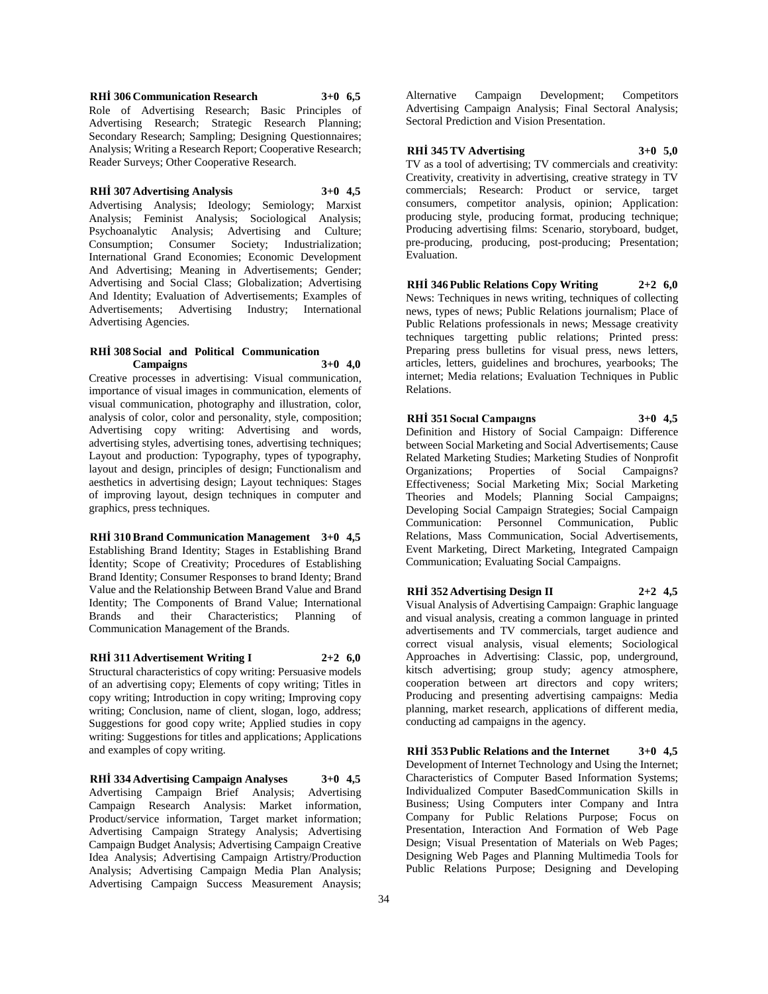**RHİ 306 Communication Research 3+0 6,5** Role of Advertising Research; Basic Principles of Advertising Research; Strategic Research Planning; Secondary Research; Sampling; Designing Questionnaires; Analysis; Writing a Research Report; Cooperative Research; Reader Surveys; Other Cooperative Research.

#### **RHİ 307 Advertising Analysis 3+0 4,5**

Advertising Analysis; Ideology; Semiology; Marxist Analysis; Feminist Analysis; Sociological Analysis; Psychoanalytic Analysis; Advertising and Culture; Consumption; Consumer Society; Industrialization; International Grand Economies; Economic Development And Advertising; Meaning in Advertisements; Gender; Advertising and Social Class; Globalization; Advertising And Identity; Evaluation of Advertisements; Examples of Advertisements; Advertising Industry; International Advertising Agencies.

# **RHİ 308 Social and Political Communication Campaigns 3+0 4,0**

Creative processes in advertising: Visual communication, importance of visual images in communication, elements of visual communication, photography and illustration, color, analysis of color, color and personality, style, composition; Advertising copy writing: Advertising and words, advertising styles, advertising tones, advertising techniques; Layout and production: Typography, types of typography, layout and design, principles of design; Functionalism and aesthetics in advertising design; Layout techniques: Stages of improving layout, design techniques in computer and graphics, press techniques.

**RHİ 310 Brand Communication Management 3+0 4,5** Establishing Brand Identity; Stages in Establishing Brand İdentity; Scope of Creativity; Procedures of Establishing Brand Identity; Consumer Responses to brand Identy; Brand Value and the Relationship Between Brand Value and Brand Identity; The Components of Brand Value; International Brands and their Characteristics; Planning of Communication Management of the Brands.

**RHİ 311 Advertisement Writing I 2+2 6,0**

Structural characteristics of copy writing: Persuasive models of an advertising copy; Elements of copy writing; Titles in copy writing; Introduction in copy writing; Improving copy writing; Conclusion, name of client, slogan, logo, address; Suggestions for good copy write; Applied studies in copy writing: Suggestions for titles and applications; Applications and examples of copy writing.

**RHİ 334 Advertising Campaign Analyses 3+0 4,5** Advertising Campaign Brief Analysis; Advertising Campaign Research Analysis: Market information, Product/service information, Target market information; Advertising Campaign Strategy Analysis; Advertising Campaign Budget Analysis; Advertising Campaign Creative Idea Analysis; Advertising Campaign Artistry/Production Analysis; Advertising Campaign Media Plan Analysis; Advertising Campaign Success Measurement Anaysis;

Alternative Campaign Development; Competitors Advertising Campaign Analysis; Final Sectoral Analysis; Sectoral Prediction and Vision Presentation.

# **RHİ 345 TV Advertising 3+0 5,0**

TV as a tool of advertising; TV commercials and creativity: Creativity, creativity in advertising, creative strategy in TV commercials; Research: Product or service, target consumers, competitor analysis, opinion; Application: producing style, producing format, producing technique; Producing advertising films: Scenario, storyboard, budget, pre-producing, producing, post-producing; Presentation; Evaluation.

**RHİ 346 Public Relations Copy Writing 2+2 6,0** News: Techniques in news writing, techniques of collecting news, types of news; Public Relations journalism; Place of Public Relations professionals in news; Message creativity techniques targetting public relations; Printed press: Preparing press bulletins for visual press, news letters, articles, letters, guidelines and brochures, yearbooks; The internet; Media relations; Evaluation Techniques in Public Relations.

# **RHİ 351 Socıal Campaıgns 3+0 4,5** Definition and History of Social Campaign: Difference between Social Marketing and Social Advertisements; Cause Related Marketing Studies; Marketing Studies of Nonprofit Organizations; Properties of Social Campaigns? Effectiveness; Social Marketing Mix; Social Marketing Theories and Models; Planning Social Campaigns; Developing Social Campaign Strategies; Social Campaign Communication: Personnel Communication, Public Relations, Mass Communication, Social Advertisements, Event Marketing, Direct Marketing, Integrated Campaign Communication; Evaluating Social Campaigns.

# **RHİ 352 Advertising Design II 2+2 4,5**

Visual Analysis of Advertising Campaign: Graphic language and visual analysis, creating a common language in printed advertisements and TV commercials, target audience and correct visual analysis, visual elements; Sociological Approaches in Advertising: Classic, pop, underground, kitsch advertising; group study; agency atmosphere, cooperation between art directors and copy writers; Producing and presenting advertising campaigns: Media planning, market research, applications of different media, conducting ad campaigns in the agency.

**RHİ 353 Public Relations and the Internet 3+0 4,5** Development of Internet Technology and Using the Internet; Characteristics of Computer Based Information Systems; Individualized Computer BasedCommunication Skills in Business; Using Computers inter Company and Intra Company for Public Relations Purpose; Focus on Presentation, Interaction And Formation of Web Page Design; Visual Presentation of Materials on Web Pages; Designing Web Pages and Planning Multimedia Tools for Public Relations Purpose; Designing and Developing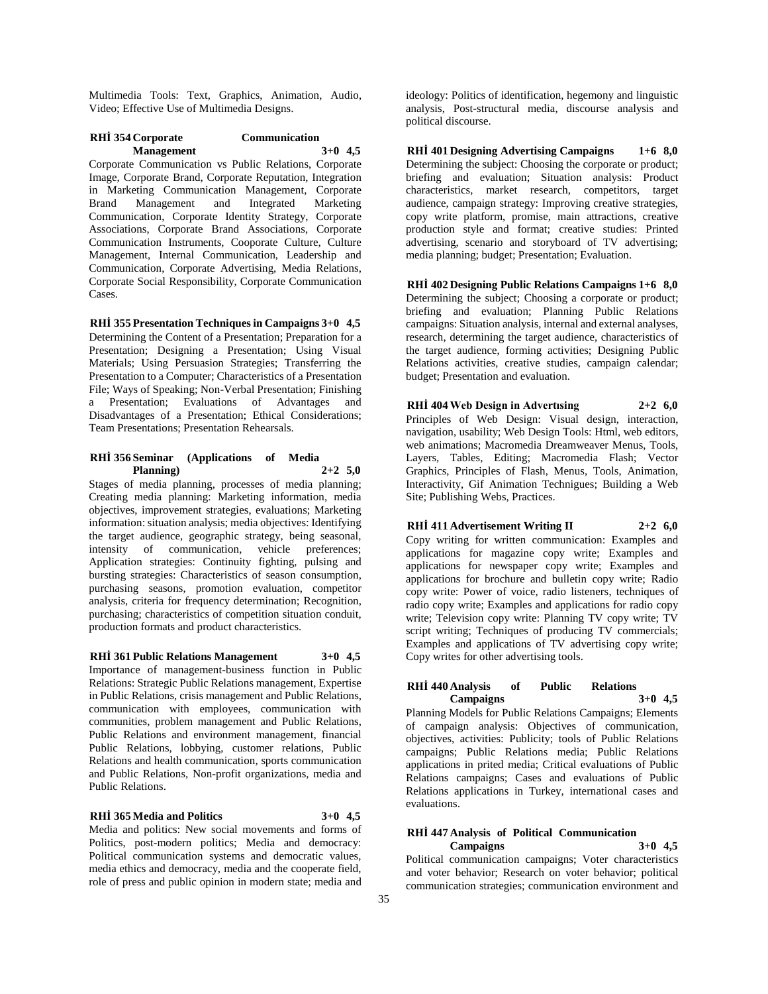Multimedia Tools: Text, Graphics, Animation, Audio, Video; Effective Use of Multimedia Designs.

# **RHİ 354 Corporate Communication Management 3+0 4,5**

Corporate Communication vs Public Relations, Corporate Image, Corporate Brand, Corporate Reputation, Integration in Marketing Communication Management, Corporate Brand Management and Integrated Marketing Communication, Corporate Identity Strategy, Corporate Associations, Corporate Brand Associations, Corporate Communication Instruments, Cooporate Culture, Culture Management, Internal Communication, Leadership and Communication, Corporate Advertising, Media Relations, Corporate Social Responsibility, Corporate Communication Cases.

**RHİ 355 Presentation Techniques in Campaigns 3+0 4,5** Determining the Content of a Presentation; Preparation for a Presentation; Designing a Presentation; Using Visual Materials; Using Persuasion Strategies; Transferring the Presentation to a Computer; Characteristics of a Presentation File; Ways of Speaking; Non-Verbal Presentation; Finishing a Presentation; Evaluations of Advantages and Disadvantages of a Presentation; Ethical Considerations; Team Presentations; Presentation Rehearsals.

## **RHİ 356 Seminar (Applications of Media Planning) 2+2 5,0**

Stages of media planning, processes of media planning; Creating media planning: Marketing information, media objectives, improvement strategies, evaluations; Marketing information: situation analysis; media objectives: Identifying the target audience, geographic strategy, being seasonal, intensity of communication, vehicle preferences; Application strategies: Continuity fighting, pulsing and bursting strategies: Characteristics of season consumption, purchasing seasons, promotion evaluation, competitor analysis, criteria for frequency determination; Recognition, purchasing; characteristics of competition situation conduit, production formats and product characteristics.

**RHİ 361 Public Relations Management 3+0 4,5** Importance of management-business function in Public Relations: Strategic Public Relations management, Expertise in Public Relations, crisis management and Public Relations, communication with employees, communication with communities, problem management and Public Relations, Public Relations and environment management, financial Public Relations, lobbying, customer relations, Public Relations and health communication, sports communication and Public Relations, Non-profit organizations, media and Public Relations.

# **RHİ 365 Media and Politics 3+0 4,5**

Media and politics: New social movements and forms of Politics, post-modern politics; Media and democracy: Political communication systems and democratic values, media ethics and democracy, media and the cooperate field, role of press and public opinion in modern state; media and

ideology: Politics of identification, hegemony and linguistic analysis, Post-structural media, discourse analysis and political discourse.

**RHİ 401 Designing Advertising Campaigns 1+6 8,0** Determining the subject: Choosing the corporate or product; briefing and evaluation; Situation analysis: Product characteristics, market research, competitors, target audience, campaign strategy: Improving creative strategies, copy write platform, promise, main attractions, creative production style and format; creative studies: Printed advertising, scenario and storyboard of TV advertising; media planning; budget; Presentation; Evaluation.

**RHİ 402 Designing Public Relations Campaigns 1+6 8,0** Determining the subject; Choosing a corporate or product; briefing and evaluation; Planning Public Relations campaigns: Situation analysis, internal and external analyses, research, determining the target audience, characteristics of the target audience, forming activities; Designing Public Relations activities, creative studies, campaign calendar; budget; Presentation and evaluation.

**RHİ 404 Web Design in Advertısing 2+2 6,0** Principles of Web Design: Visual design, interaction, navigation, usability; Web Design Tools: Html, web editors, web animations; Macromedia Dreamweaver Menus, Tools, Layers, Tables, Editing; Macromedia Flash; Vector Graphics, Principles of Flash, Menus, Tools, Animation, Interactivity, Gif Animation Technigues; Building a Web Site; Publishing Webs, Practices.

# **RHİ 411 Advertisement Writing II 2+2 6,0**

Copy writing for written communication: Examples and applications for magazine copy write; Examples and applications for newspaper copy write; Examples and applications for brochure and bulletin copy write; Radio copy write: Power of voice, radio listeners, techniques of radio copy write; Examples and applications for radio copy write; Television copy write: Planning TV copy write; TV script writing; Techniques of producing TV commercials; Examples and applications of TV advertising copy write; Copy writes for other advertising tools.

## **RHİ 440 Analysis of Public Relations Campaigns 3+0 4,5**

Planning Models for Public Relations Campaigns; Elements of campaign analysis: Objectives of communication, objectives, activities: Publicity; tools of Public Relations campaigns; Public Relations media; Public Relations applications in prited media; Critical evaluations of Public Relations campaigns; Cases and evaluations of Public Relations applications in Turkey, international cases and evaluations.

# **RHİ 447 Analysis of Political Communication**

**Campaigns 3+0 4,5** Political communication campaigns; Voter characteristics and voter behavior; Research on voter behavior; political communication strategies; communication environment and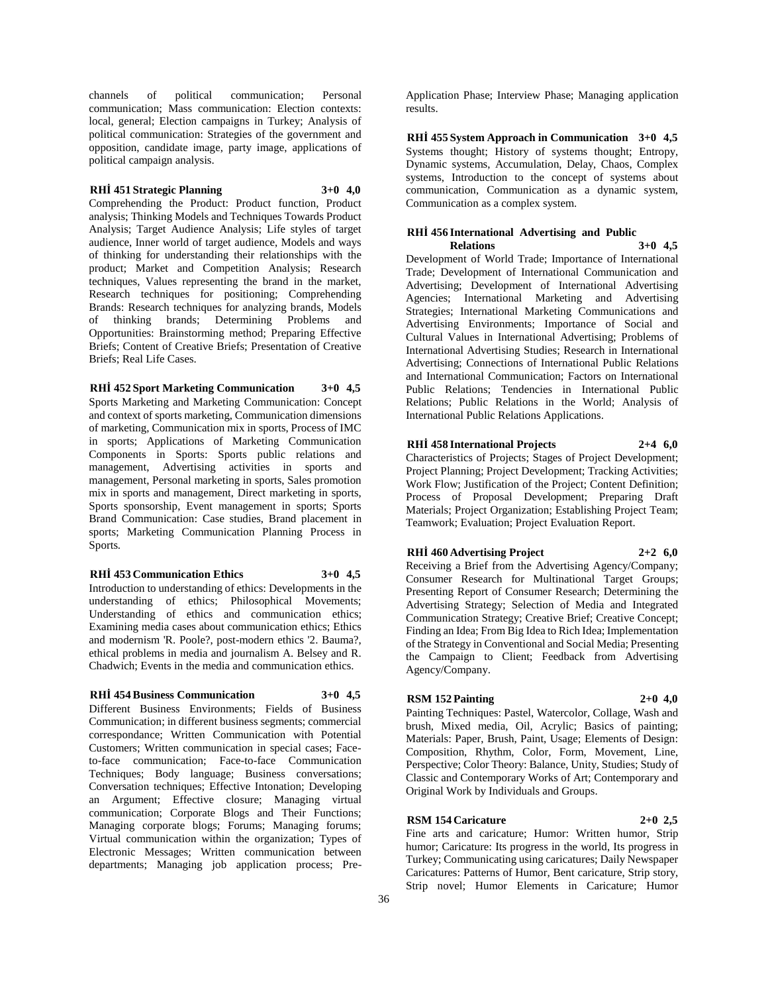channels of political communication; Personal communication; Mass communication: Election contexts: local, general; Election campaigns in Turkey; Analysis of political communication: Strategies of the government and opposition, candidate image, party image, applications of political campaign analysis.

# **RHİ 451 Strategic Planning 3+0 4,0**

Comprehending the Product: Product function, Product analysis; Thinking Models and Techniques Towards Product Analysis; Target Audience Analysis; Life styles of target audience, Inner world of target audience, Models and ways of thinking for understanding their relationships with the product; Market and Competition Analysis; Research techniques, Values representing the brand in the market, Research techniques for positioning; Comprehending Brands: Research techniques for analyzing brands, Models of thinking brands; Determining Problems and Opportunities: Brainstorming method; Preparing Effective Briefs; Content of Creative Briefs; Presentation of Creative Briefs; Real Life Cases.

**RHİ 452 Sport Marketing Communication 3+0 4,5** Sports Marketing and Marketing Communication: Concept and context of sports marketing, Communication dimensions of marketing, Communication mix in sports, Process of IMC in sports; Applications of Marketing Communication Components in Sports: Sports public relations and management, Advertising activities in sports and management, Personal marketing in sports, Sales promotion mix in sports and management, Direct marketing in sports, Sports sponsorship, Event management in sports; Sports Brand Communication: Case studies, Brand placement in sports; Marketing Communication Planning Process in Sports.

## **RHİ 453 Communication Ethics 3+0 4,5**

Introduction to understanding of ethics: Developments in the understanding of ethics; Philosophical Movements; Understanding of ethics and communication ethics; Examining media cases about communication ethics; Ethics and modernism 'R. Poole?, post-modern ethics '2. Bauma?, ethical problems in media and journalism A. Belsey and R. Chadwich; Events in the media and communication ethics.

## **RHİ 454 Business Communication 3+0 4,5**

Different Business Environments; Fields of Business Communication; in different business segments; commercial correspondance; Written Communication with Potential Customers; Written communication in special cases; Faceto-face communication; Face-to-face Communication Techniques; Body language; Business conversations; Conversation techniques; Effective Intonation; Developing an Argument; Effective closure; Managing virtual communication; Corporate Blogs and Their Functions; Managing corporate blogs; Forums; Managing forums; Virtual communication within the organization; Types of Electronic Messages; Written communication between departments; Managing job application process; Pre-

Application Phase; Interview Phase; Managing application results.

**RHİ 455 System Approach in Communication 3+0 4,5** Systems thought; History of systems thought; Entropy, Dynamic systems, Accumulation, Delay, Chaos, Complex systems, Introduction to the concept of systems about communication, Communication as a dynamic system, Communication as a complex system.

# **RHİ 456 International Advertising and Public**

**Relations 3+0 4,5** Development of World Trade; Importance of International Trade; Development of International Communication and Advertising; Development of International Advertising Agencies; International Marketing and Advertising Strategies; International Marketing Communications and Advertising Environments; Importance of Social and Cultural Values in International Advertising; Problems of International Advertising Studies; Research in International Advertising; Connections of International Public Relations and International Communication; Factors on International Public Relations; Tendencies in International Public Relations; Public Relations in the World; Analysis of International Public Relations Applications.

# **RHİ 458 International Projects 2+4 6,0**

Characteristics of Projects; Stages of Project Development; Project Planning; Project Development; Tracking Activities; Work Flow; Justification of the Project; Content Definition; Process of Proposal Development; Preparing Draft Materials; Project Organization; Establishing Project Team; Teamwork; Evaluation; Project Evaluation Report.

# **RHİ 460 Advertising Project 2+2 6,0**

Receiving a Brief from the Advertising Agency/Company; Consumer Research for Multinational Target Groups; Presenting Report of Consumer Research; Determining the Advertising Strategy; Selection of Media and Integrated Communication Strategy; Creative Brief; Creative Concept; Finding an Idea; From Big Idea to Rich Idea; Implementation of the Strategy in Conventional and Social Media; Presenting the Campaign to Client; Feedback from Advertising Agency/Company.

# **RSM 152 Painting 2+0 4,0**

Painting Techniques: Pastel, Watercolor, Collage, Wash and brush, Mixed media, Oil, Acrylic; Basics of painting; Materials: Paper, Brush, Paint, Usage; Elements of Design: Composition, Rhythm, Color, Form, Movement, Line, Perspective; Color Theory: Balance, Unity, Studies; Study of Classic and Contemporary Works of Art; Contemporary and Original Work by Individuals and Groups.

# **RSM 154 Caricature 2+0 2,5**

Fine arts and caricature; Humor: Written humor, Strip humor; Caricature: Its progress in the world, Its progress in Turkey; Communicating using caricatures; Daily Newspaper Caricatures: Patterns of Humor, Bent caricature, Strip story, Strip novel; Humor Elements in Caricature; Humor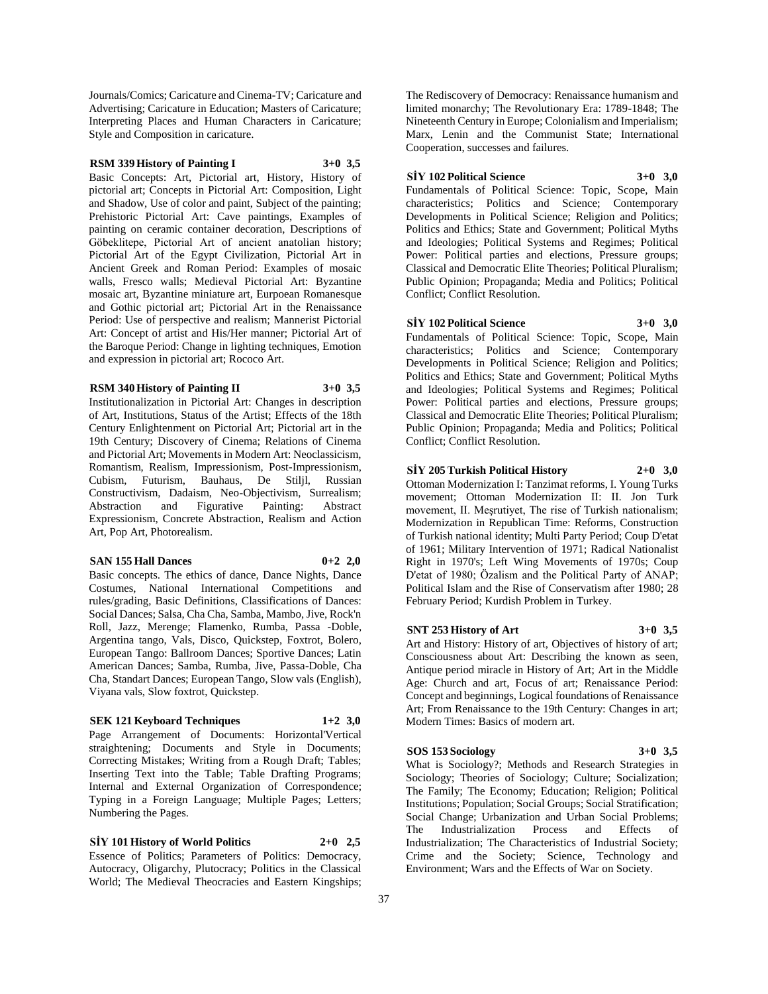Journals/Comics; Caricature and Cinema-TV; Caricature and Advertising; Caricature in Education; Masters of Caricature; Interpreting Places and Human Characters in Caricature; Style and Composition in caricature.

# **RSM 339 History of Painting I 3+0 3,5**

Basic Concepts: Art, Pictorial art, History, History of pictorial art; Concepts in Pictorial Art: Composition, Light and Shadow, Use of color and paint, Subject of the painting; Prehistoric Pictorial Art: Cave paintings, Examples of painting on ceramic container decoration, Descriptions of Göbeklitepe, Pictorial Art of ancient anatolian history; Pictorial Art of the Egypt Civilization, Pictorial Art in Ancient Greek and Roman Period: Examples of mosaic walls, Fresco walls; Medieval Pictorial Art: Byzantine mosaic art, Byzantine miniature art, Eurpoean Romanesque and Gothic pictorial art; Pictorial Art in the Renaissance Period: Use of perspective and realism; Mannerist Pictorial Art: Concept of artist and His/Her manner; Pictorial Art of the Baroque Period: Change in lighting techniques, Emotion and expression in pictorial art; Rococo Art.

## **RSM 340 History of Painting II 3+0 3,5**

Institutionalization in Pictorial Art: Changes in description of Art, Institutions, Status of the Artist; Effects of the 18th Century Enlightenment on Pictorial Art; Pictorial art in the 19th Century; Discovery of Cinema; Relations of Cinema and Pictorial Art; Movements in Modern Art: Neoclassicism, Romantism, Realism, Impressionism, Post-Impressionism, Cubism, Futurism, Bauhaus, De Stiljl, Russian Constructivism, Dadaism, Neo-Objectivism, Surrealism; Abstraction and Figurative Painting: Abstract Expressionism, Concrete Abstraction, Realism and Action Art, Pop Art, Photorealism.

# **SAN 155 Hall Dances 0+2 2,0**

Basic concepts. The ethics of dance, Dance Nights, Dance Costumes, National International Competitions and rules/grading, Basic Definitions, Classifications of Dances: Social Dances; Salsa, Cha Cha, Samba, Mambo, Jive, Rock'n Roll, Jazz, Merenge; Flamenko, Rumba, Passa -Doble, Argentina tango, Vals, Disco, Quickstep, Foxtrot, Bolero, European Tango: Ballroom Dances; Sportive Dances; Latin American Dances; Samba, Rumba, Jive, Passa-Doble, Cha Cha, Standart Dances; European Tango, Slow vals (English), Viyana vals, Slow foxtrot, Quickstep.

# **SEK 121 Keyboard Techniques 1+2 3,0**

Page Arrangement of Documents: Horizontal'Vertical straightening; Documents and Style in Documents; Correcting Mistakes; Writing from a Rough Draft; Tables; Inserting Text into the Table; Table Drafting Programs; Internal and External Organization of Correspondence; Typing in a Foreign Language; Multiple Pages; Letters; Numbering the Pages.

**SİY 101 History of World Politics 2+0 2,5** Essence of Politics; Parameters of Politics: Democracy, Autocracy, Oligarchy, Plutocracy; Politics in the Classical World; The Medieval Theocracies and Eastern Kingships; The Rediscovery of Democracy: Renaissance humanism and limited monarchy; The Revolutionary Era: 1789-1848; The Nineteenth Century in Europe; Colonialism and Imperialism; Marx, Lenin and the Communist State; International Cooperation, successes and failures.

**SİY 102 Political Science 3+0 3,0** Fundamentals of Political Science: Topic, Scope, Main characteristics; Politics and Science; Contemporary Developments in Political Science; Religion and Politics; Politics and Ethics; State and Government; Political Myths and Ideologies; Political Systems and Regimes; Political Power: Political parties and elections, Pressure groups; Classical and Democratic Elite Theories; Political Pluralism; Public Opinion; Propaganda; Media and Politics; Political Conflict; Conflict Resolution.

## **SİY 102 Political Science 3+0 3,0**

Fundamentals of Political Science: Topic, Scope, Main characteristics; Politics and Science; Contemporary Developments in Political Science; Religion and Politics; Politics and Ethics; State and Government; Political Myths and Ideologies; Political Systems and Regimes; Political Power: Political parties and elections, Pressure groups; Classical and Democratic Elite Theories; Political Pluralism; Public Opinion; Propaganda; Media and Politics; Political Conflict; Conflict Resolution.

**SİY 205 Turkish Political History 2+0 3,0**

Ottoman Modernization I: Tanzimat reforms, I. Young Turks movement; Ottoman Modernization II: II. Jon Turk movement, II. Meşrutiyet, The rise of Turkish nationalism; Modernization in Republican Time: Reforms, Construction of Turkish national identity; Multi Party Period; Coup D'etat of 1961; Military Intervention of 1971; Radical Nationalist Right in 1970's; Left Wing Movements of 1970s; Coup D'etat of 1980; Özalism and the Political Party of ANAP; Political Islam and the Rise of Conservatism after 1980; 28 February Period; Kurdish Problem in Turkey.

# **SNT 253 History of Art 3+0 3,5**

Art and History: History of art, Objectives of history of art; Consciousness about Art: Describing the known as seen, Antique period miracle in History of Art; Art in the Middle Age: Church and art, Focus of art; Renaissance Period: Concept and beginnings, Logical foundations of Renaissance Art; From Renaissance to the 19th Century: Changes in art; Modern Times: Basics of modern art.

# **SOS 153 Sociology 3+0 3,5**

What is Sociology?; Methods and Research Strategies in Sociology; Theories of Sociology; Culture; Socialization; The Family; The Economy; Education; Religion; Political Institutions; Population; Social Groups; Social Stratification; Social Change; Urbanization and Urban Social Problems; The Industrialization Process and Effects of Industrialization; The Characteristics of Industrial Society; Crime and the Society; Science, Technology and Environment; Wars and the Effects of War on Society.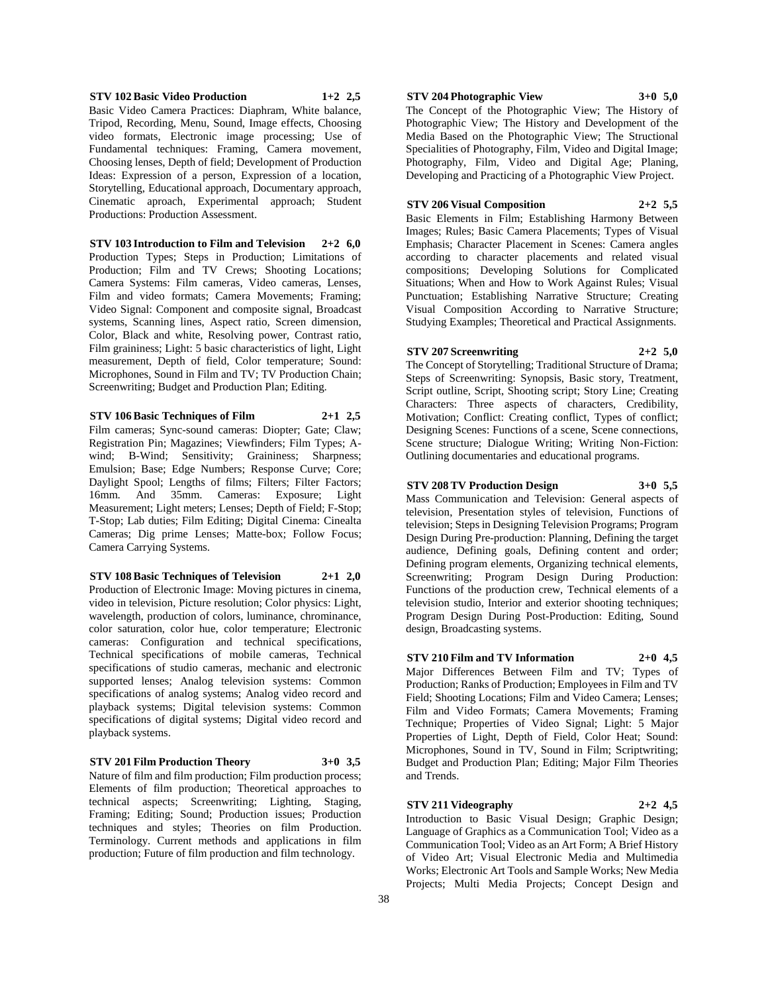# **STV 102 Basic Video Production 1+2 2,5**

Basic Video Camera Practices: Diaphram, White balance, Tripod, Recording, Menu, Sound, Image effects, Choosing video formats, Electronic image processing; Use of Fundamental techniques: Framing, Camera movement, Choosing lenses, Depth of field; Development of Production Ideas: Expression of a person, Expression of a location, Storytelling, Educational approach, Documentary approach, Cinematic aproach, Experimental approach; Student Productions: Production Assessment.

**STV 103 Introduction to Film and Television 2+2 6,0** Production Types; Steps in Production; Limitations of Production; Film and TV Crews; Shooting Locations; Camera Systems: Film cameras, Video cameras, Lenses, Film and video formats; Camera Movements; Framing; Video Signal: Component and composite signal, Broadcast systems, Scanning lines, Aspect ratio, Screen dimension, Color, Black and white, Resolving power, Contrast ratio, Film graininess; Light: 5 basic characteristics of light, Light measurement, Depth of field, Color temperature; Sound: Microphones, Sound in Film and TV; TV Production Chain; Screenwriting; Budget and Production Plan; Editing.

**STV 106 Basic Techniques of Film 2+1 2,5**

Film cameras; Sync-sound cameras: Diopter; Gate; Claw; Registration Pin; Magazines; Viewfinders; Film Types; Awind; B-Wind; Sensitivity; Graininess; Sharpness; Emulsion; Base; Edge Numbers; Response Curve; Core; Daylight Spool; Lengths of films; Filters; Filter Factors; 16mm. And 35mm. Cameras: Exposure; Light Measurement; Light meters; Lenses; Depth of Field; F-Stop; T-Stop; Lab duties; Film Editing; Digital Cinema: Cinealta Cameras; Dig prime Lenses; Matte-box; Follow Focus; Camera Carrying Systems.

**STV 108 Basic Techniques of Television 2+1 2,0** Production of Electronic Image: Moving pictures in cinema, video in television, Picture resolution; Color physics: Light, wavelength, production of colors, luminance, chrominance, color saturation, color hue, color temperature; Electronic cameras: Configuration and technical specifications, Technical specifications of mobile cameras, Technical specifications of studio cameras, mechanic and electronic supported lenses; Analog television systems: Common specifications of analog systems; Analog video record and playback systems; Digital television systems: Common specifications of digital systems; Digital video record and playback systems.

**STV 201 Film Production Theory 3+0 3,5** Nature of film and film production; Film production process; Elements of film production; Theoretical approaches to technical aspects; Screenwriting; Lighting, Staging, Framing; Editing; Sound; Production issues; Production techniques and styles; Theories on film Production. Terminology. Current methods and applications in film production; Future of film production and film technology.

### **STV 204 Photographic View 3+0 5,0**

The Concept of the Photographic View; The History of Photographic View; The History and Development of the Media Based on the Photographic View; The Structional Specialities of Photography, Film, Video and Digital Image; Photography, Film, Video and Digital Age; Planing, Developing and Practicing of a Photographic View Project.

#### **STV 206 Visual Composition 2+2 5,5**

Basic Elements in Film; Establishing Harmony Between Images; Rules; Basic Camera Placements; Types of Visual Emphasis; Character Placement in Scenes: Camera angles according to character placements and related visual compositions; Developing Solutions for Complicated Situations; When and How to Work Against Rules; Visual Punctuation; Establishing Narrative Structure; Creating Visual Composition According to Narrative Structure; Studying Examples; Theoretical and Practical Assignments.

# **STV 207 Screenwriting 2+2 5,0**

The Concept of Storytelling; Traditional Structure of Drama; Steps of Screenwriting: Synopsis, Basic story, Treatment, Script outline, Script, Shooting script; Story Line; Creating Characters: Three aspects of characters, Credibility, Motivation; Conflict: Creating conflict, Types of conflict; Designing Scenes: Functions of a scene, Scene connections, Scene structure; Dialogue Writing; Writing Non-Fiction: Outlining documentaries and educational programs.

# **STV 208 TV Production Design 3+0 5,5**

Mass Communication and Television: General aspects of television, Presentation styles of television, Functions of television; Steps in Designing Television Programs; Program Design During Pre-production: Planning, Defining the target audience, Defining goals, Defining content and order; Defining program elements, Organizing technical elements, Screenwriting; Program Design During Production: Functions of the production crew, Technical elements of a television studio, Interior and exterior shooting techniques; Program Design During Post-Production: Editing, Sound design, Broadcasting systems.

# **STV 210 Film and TV Information 2+0 4,5**

Major Differences Between Film and TV; Types of Production; Ranks of Production; Employees in Film and TV Field; Shooting Locations; Film and Video Camera; Lenses; Film and Video Formats; Camera Movements; Framing Technique; Properties of Video Signal; Light: 5 Major Properties of Light, Depth of Field, Color Heat; Sound: Microphones, Sound in TV, Sound in Film; Scriptwriting; Budget and Production Plan; Editing; Major Film Theories and Trends.

#### **STV 211 Videography 2+2 4,5**

Introduction to Basic Visual Design; Graphic Design; Language of Graphics as a Communication Tool; Video as a Communication Tool; Video as an Art Form; A Brief History of Video Art; Visual Electronic Media and Multimedia Works; Electronic Art Tools and Sample Works; New Media Projects; Multi Media Projects; Concept Design and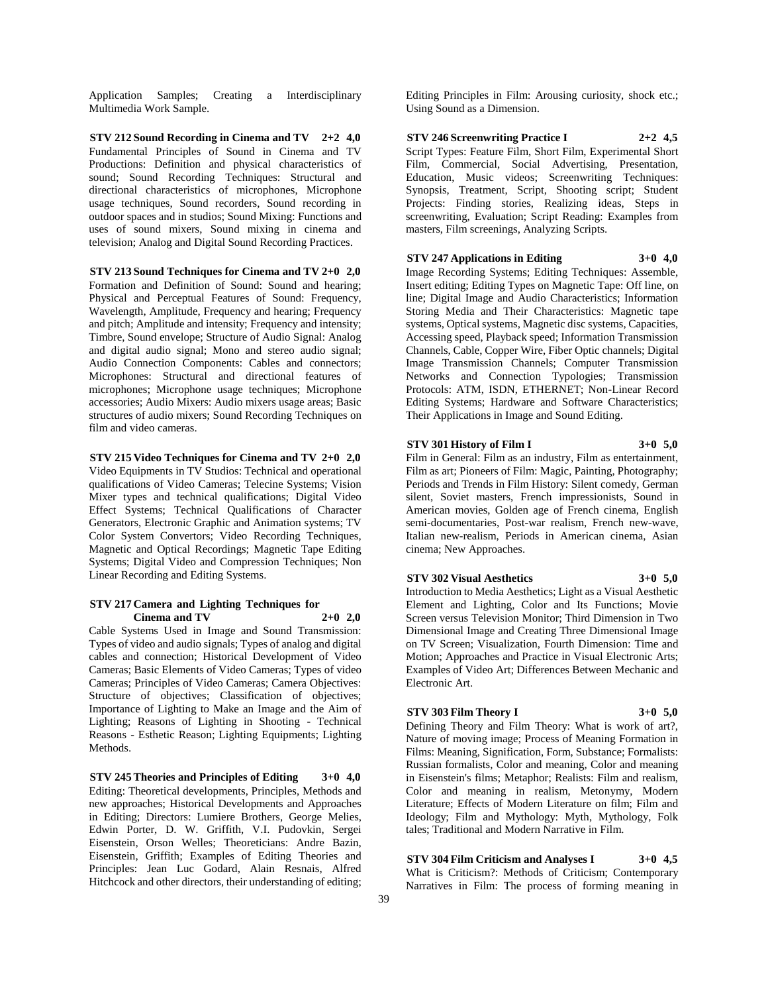Application Samples; Creating a Interdisciplinary Multimedia Work Sample.

**STV 212 Sound Recording in Cinema and TV 2+2 4,0** Fundamental Principles of Sound in Cinema and TV Productions: Definition and physical characteristics of sound; Sound Recording Techniques: Structural and directional characteristics of microphones, Microphone usage techniques, Sound recorders, Sound recording in outdoor spaces and in studios; Sound Mixing: Functions and uses of sound mixers, Sound mixing in cinema and television; Analog and Digital Sound Recording Practices.

**STV 213 Sound Techniques for Cinema and TV 2+0 2,0** Formation and Definition of Sound: Sound and hearing; Physical and Perceptual Features of Sound: Frequency, Wavelength, Amplitude, Frequency and hearing; Frequency and pitch; Amplitude and intensity; Frequency and intensity; Timbre, Sound envelope; Structure of Audio Signal: Analog and digital audio signal; Mono and stereo audio signal; Audio Connection Components: Cables and connectors; Microphones: Structural and directional features of microphones; Microphone usage techniques; Microphone accessories; Audio Mixers: Audio mixers usage areas; Basic structures of audio mixers; Sound Recording Techniques on film and video cameras.

**STV 215 Video Techniques for Cinema and TV 2+0 2,0** Video Equipments in TV Studios: Technical and operational qualifications of Video Cameras; Telecine Systems; Vision Mixer types and technical qualifications; Digital Video Effect Systems; Technical Qualifications of Character Generators, Electronic Graphic and Animation systems; TV Color System Convertors; Video Recording Techniques, Magnetic and Optical Recordings; Magnetic Tape Editing Systems; Digital Video and Compression Techniques; Non Linear Recording and Editing Systems.

#### **STV 217 Camera and Lighting Techniques for Cinema and TV 2+0 2,0**

Cable Systems Used in Image and Sound Transmission: Types of video and audio signals; Types of analog and digital cables and connection; Historical Development of Video Cameras; Basic Elements of Video Cameras; Types of video Cameras; Principles of Video Cameras; Camera Objectives: Structure of objectives; Classification of objectives; Importance of Lighting to Make an Image and the Aim of Lighting; Reasons of Lighting in Shooting - Technical Reasons - Esthetic Reason; Lighting Equipments; Lighting Methods.

**STV 245 Theories and Principles of Editing 3+0 4,0** Editing: Theoretical developments, Principles, Methods and new approaches; Historical Developments and Approaches in Editing; Directors: Lumiere Brothers, George Melies, Edwin Porter, D. W. Griffith, V.I. Pudovkin, Sergei Eisenstein, Orson Welles; Theoreticians: Andre Bazin, Eisenstein, Griffith; Examples of Editing Theories and Principles: Jean Luc Godard, Alain Resnais, Alfred Hitchcock and other directors, their understanding of editing;

Editing Principles in Film: Arousing curiosity, shock etc.; Using Sound as a Dimension.

**STV 246 Screenwriting Practice I 2+2 4,5** Script Types: Feature Film, Short Film, Experimental Short Film, Commercial, Social Advertising, Presentation, Education, Music videos; Screenwriting Techniques: Synopsis, Treatment, Script, Shooting script; Student Projects: Finding stories, Realizing ideas, Steps in screenwriting, Evaluation; Script Reading: Examples from masters, Film screenings, Analyzing Scripts.

# **STV 247 Applications in Editing 3+0 4,0**

Image Recording Systems; Editing Techniques: Assemble, Insert editing; Editing Types on Magnetic Tape: Off line, on line; Digital Image and Audio Characteristics; Information Storing Media and Their Characteristics: Magnetic tape systems, Optical systems, Magnetic disc systems, Capacities, Accessing speed, Playback speed; Information Transmission Channels, Cable, Copper Wire, Fiber Optic channels; Digital Image Transmission Channels; Computer Transmission Networks and Connection Typologies; Transmission Protocols: ATM, ISDN, ETHERNET; Non-Linear Record Editing Systems; Hardware and Software Characteristics; Their Applications in Image and Sound Editing.

# **STV 301 History of Film I 3+0 5,0**

Film in General: Film as an industry, Film as entertainment, Film as art; Pioneers of Film: Magic, Painting, Photography; Periods and Trends in Film History: Silent comedy, German silent, Soviet masters, French impressionists, Sound in American movies, Golden age of French cinema, English semi-documentaries, Post-war realism, French new-wave, Italian new-realism, Periods in American cinema, Asian cinema; New Approaches.

# **STV 302 Visual Aesthetics 3+0 5,0**

Introduction to Media Aesthetics; Light as a Visual Aesthetic Element and Lighting, Color and Its Functions; Movie Screen versus Television Monitor; Third Dimension in Two Dimensional Image and Creating Three Dimensional Image on TV Screen; Visualization, Fourth Dimension: Time and Motion; Approaches and Practice in Visual Electronic Arts; Examples of Video Art; Differences Between Mechanic and Electronic Art.

# **STV 303 Film Theory I 3+0 5,0**

Defining Theory and Film Theory: What is work of art?, Nature of moving image; Process of Meaning Formation in Films: Meaning, Signification, Form, Substance; Formalists: Russian formalists, Color and meaning, Color and meaning in Eisenstein's films; Metaphor; Realists: Film and realism, Color and meaning in realism, Metonymy, Modern Literature; Effects of Modern Literature on film; Film and Ideology; Film and Mythology: Myth, Mythology, Folk tales; Traditional and Modern Narrative in Film.

**STV 304 Film Criticism and Analyses I 3+0 4,5** What is Criticism?: Methods of Criticism; Contemporary Narratives in Film: The process of forming meaning in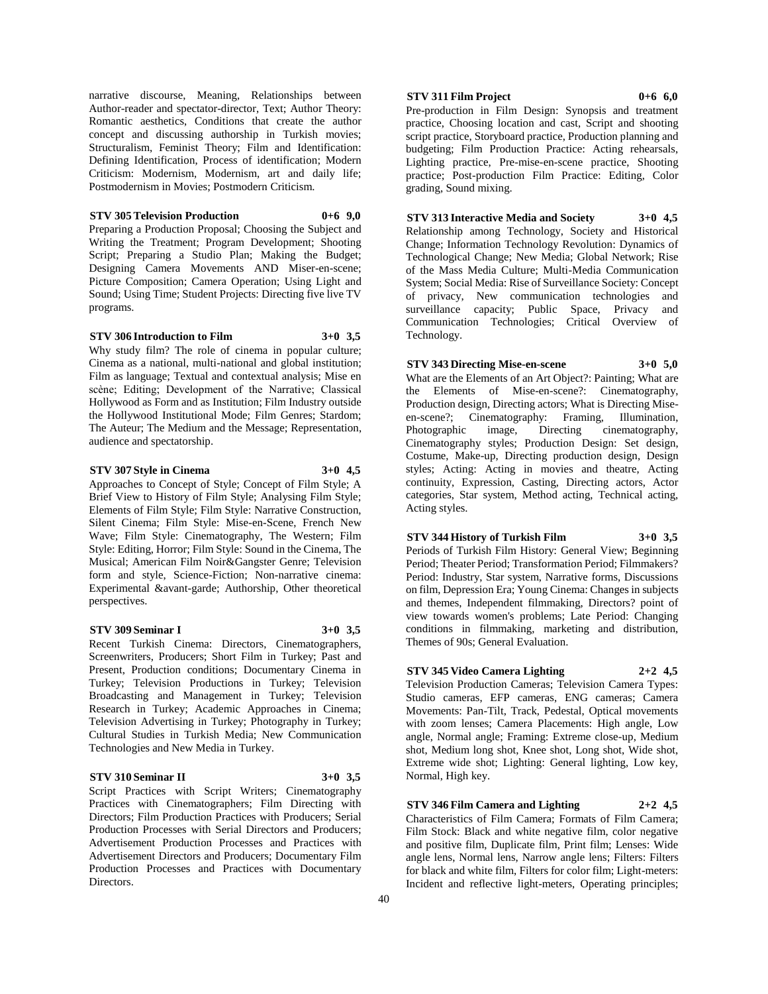narrative discourse, Meaning, Relationships between Author-reader and spectator-director, Text; Author Theory: Romantic aesthetics, Conditions that create the author concept and discussing authorship in Turkish movies; Structuralism, Feminist Theory; Film and Identification: Defining Identification, Process of identification; Modern Criticism: Modernism, Modernism, art and daily life; Postmodernism in Movies; Postmodern Criticism.

## **STV 305 Television Production 0+6 9,0**

Preparing a Production Proposal; Choosing the Subject and Writing the Treatment; Program Development; Shooting Script; Preparing a Studio Plan; Making the Budget; Designing Camera Movements AND Miser-en-scene; Picture Composition; Camera Operation; Using Light and Sound; Using Time; Student Projects: Directing five live TV programs.

## **STV 306 Introduction to Film 3+0 3,5**

Why study film? The role of cinema in popular culture; Cinema as a national, multi-national and global institution; Film as language; Textual and contextual analysis; Mise en scène; Editing; Development of the Narrative; Classical Hollywood as Form and as Institution; Film Industry outside the Hollywood Institutional Mode; Film Genres; Stardom; The Auteur; The Medium and the Message; Representation, audience and spectatorship.

## **STV 307 Style in Cinema 3+0 4,5**

Approaches to Concept of Style; Concept of Film Style; A Brief View to History of Film Style; Analysing Film Style; Elements of Film Style; Film Style: Narrative Construction, Silent Cinema; Film Style: Mise-en-Scene, French New Wave; Film Style: Cinematography, The Western; Film Style: Editing, Horror; Film Style: Sound in the Cinema, The Musical; American Film Noir&Gangster Genre; Television form and style, Science-Fiction; Non-narrative cinema: Experimental &avant-garde; Authorship, Other theoretical perspectives.

## **STV 309 Seminar I 3+0 3,5**

Recent Turkish Cinema: Directors, Cinematographers, Screenwriters, Producers; Short Film in Turkey; Past and Present, Production conditions; Documentary Cinema in Turkey; Television Productions in Turkey; Television Broadcasting and Management in Turkey; Television Research in Turkey; Academic Approaches in Cinema; Television Advertising in Turkey; Photography in Turkey; Cultural Studies in Turkish Media; New Communication Technologies and New Media in Turkey.

# **STV 310 Seminar II 3+0 3,5**

Script Practices with Script Writers; Cinematography Practices with Cinematographers; Film Directing with Directors; Film Production Practices with Producers; Serial Production Processes with Serial Directors and Producers; Advertisement Production Processes and Practices with Advertisement Directors and Producers; Documentary Film Production Processes and Practices with Documentary Directors.

# **STV 311 Film Project 0+6 6,0**

Pre-production in Film Design: Synopsis and treatment practice, Choosing location and cast, Script and shooting script practice, Storyboard practice, Production planning and budgeting; Film Production Practice: Acting rehearsals, Lighting practice, Pre-mise-en-scene practice, Shooting practice; Post-production Film Practice: Editing, Color grading, Sound mixing.

# **STV 313 Interactive Media and Society 3+0 4,5**

Relationship among Technology, Society and Historical Change; Information Technology Revolution: Dynamics of Technological Change; New Media; Global Network; Rise of the Mass Media Culture; Multi-Media Communication System; Social Media: Rise of Surveillance Society: Concept of privacy, New communication technologies and surveillance capacity; Public Space, Privacy and Communication Technologies; Critical Overview of Technology.

# **STV 343 Directing Mise-en-scene 3+0 5,0**

What are the Elements of an Art Object?: Painting; What are the Elements of Mise-en-scene?: Cinematography, Production design, Directing actors; What is Directing Miseen-scene?; Cinematography: Framing, Illumination, Photographic image, Directing cinematography, Cinematography styles; Production Design: Set design, Costume, Make-up, Directing production design, Design styles; Acting: Acting in movies and theatre, Acting continuity, Expression, Casting, Directing actors, Actor categories, Star system, Method acting, Technical acting, Acting styles.

# **STV 344 History of Turkish Film 3+0 3,5**

Periods of Turkish Film History: General View; Beginning Period; Theater Period; Transformation Period; Filmmakers? Period: Industry, Star system, Narrative forms, Discussions on film, Depression Era; Young Cinema: Changes in subjects and themes, Independent filmmaking, Directors? point of view towards women's problems; Late Period: Changing conditions in filmmaking, marketing and distribution, Themes of 90s; General Evaluation.

# **STV 345 Video Camera Lighting 2+2 4,5**

Television Production Cameras; Television Camera Types: Studio cameras, EFP cameras, ENG cameras; Camera Movements: Pan-Tilt, Track, Pedestal, Optical movements with zoom lenses; Camera Placements: High angle, Low angle, Normal angle; Framing: Extreme close-up, Medium shot, Medium long shot, Knee shot, Long shot, Wide shot, Extreme wide shot; Lighting: General lighting, Low key, Normal, High key.

# **STV 346 Film Camera and Lighting 2+2 4,5**

Characteristics of Film Camera; Formats of Film Camera; Film Stock: Black and white negative film, color negative and positive film, Duplicate film, Print film; Lenses: Wide angle lens, Normal lens, Narrow angle lens; Filters: Filters for black and white film, Filters for color film; Light-meters: Incident and reflective light-meters, Operating principles;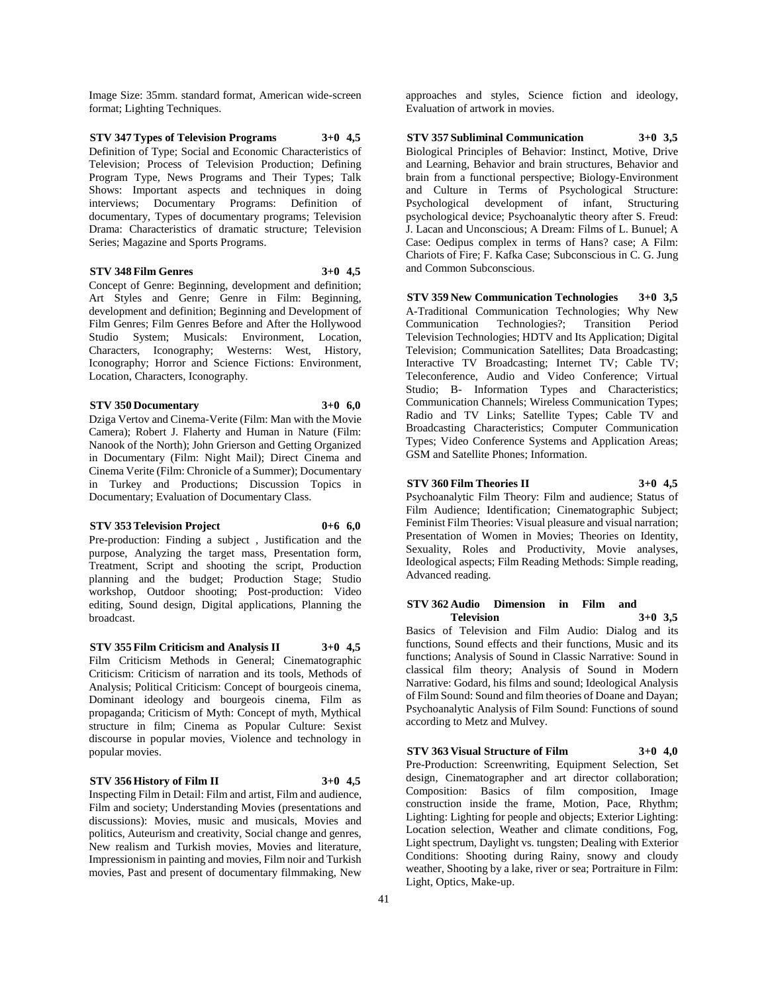Image Size: 35mm. standard format, American wide-screen format; Lighting Techniques.

**STV 347 Types of Television Programs 3+0 4,5** Definition of Type; Social and Economic Characteristics of Television; Process of Television Production; Defining Program Type, News Programs and Their Types; Talk Shows: Important aspects and techniques in doing interviews; Documentary Programs: Definition of documentary, Types of documentary programs; Television Drama: Characteristics of dramatic structure; Television Series; Magazine and Sports Programs.

# **STV 348 Film Genres 3+0 4,5**

Concept of Genre: Beginning, development and definition; Art Styles and Genre; Genre in Film: Beginning, development and definition; Beginning and Development of Film Genres; Film Genres Before and After the Hollywood Studio System; Musicals: Environment, Location, Characters, Iconography; Westerns: West, History, Iconography; Horror and Science Fictions: Environment, Location, Characters, Iconography.

# **STV 350 Documentary 3+0 6,0**

Dziga Vertov and Cinema-Verite (Film: Man with the Movie Camera); Robert J. Flaherty and Human in Nature (Film: Nanook of the North); John Grierson and Getting Organized in Documentary (Film: Night Mail); Direct Cinema and Cinema Verite (Film: Chronicle of a Summer); Documentary in Turkey and Productions; Discussion Topics in Documentary; Evaluation of Documentary Class.

#### **STV 353 Television Project 0+6 6,0**

Pre-production: Finding a subject , Justification and the purpose, Analyzing the target mass, Presentation form, Treatment, Script and shooting the script, Production planning and the budget; Production Stage; Studio workshop, Outdoor shooting; Post-production: Video editing, Sound design, Digital applications, Planning the broadcast.

**STV 355 Film Criticism and Analysis II 3+0 4,5**

Film Criticism Methods in General; Cinematographic Criticism: Criticism of narration and its tools, Methods of Analysis; Political Criticism: Concept of bourgeois cinema, Dominant ideology and bourgeois cinema, Film as propaganda; Criticism of Myth: Concept of myth, Mythical structure in film; Cinema as Popular Culture: Sexist discourse in popular movies, Violence and technology in popular movies.

# **STV 356 History of Film II 3+0 4,5**

Inspecting Film in Detail: Film and artist, Film and audience, Film and society; Understanding Movies (presentations and discussions): Movies, music and musicals, Movies and politics, Auteurism and creativity, Social change and genres, New realism and Turkish movies, Movies and literature, Impressionism in painting and movies, Film noir and Turkish movies, Past and present of documentary filmmaking, New

approaches and styles, Science fiction and ideology, Evaluation of artwork in movies.

**STV 357 Subliminal Communication 3+0 3,5** Biological Principles of Behavior: Instinct, Motive, Drive and Learning, Behavior and brain structures, Behavior and brain from a functional perspective; Biology-Environment and Culture in Terms of Psychological Structure: Psychological development of infant, Structuring psychological device; Psychoanalytic theory after S. Freud: J. Lacan and Unconscious; A Dream: Films of L. Bunuel; A Case: Oedipus complex in terms of Hans? case; A Film: Chariots of Fire; F. Kafka Case; Subconscious in C. G. Jung and Common Subconscious.

**STV 359 New Communication Technologies 3+0 3,5** A-Traditional Communication Technologies; Why New Communication Technologies?; Transition Period Television Technologies; HDTV and Its Application; Digital Television; Communication Satellites; Data Broadcasting; Interactive TV Broadcasting; Internet TV; Cable TV; Teleconference, Audio and Video Conference; Virtual Studio; B- Information Types and Characteristics; Communication Channels; Wireless Communication Types; Radio and TV Links; Satellite Types; Cable TV and Broadcasting Characteristics; Computer Communication Types; Video Conference Systems and Application Areas; GSM and Satellite Phones; Information.

**STV 360 Film Theories II 3+0 4,5** Psychoanalytic Film Theory: Film and audience; Status of Film Audience; Identification; Cinematographic Subject;

Feminist Film Theories: Visual pleasure and visual narration; Presentation of Women in Movies; Theories on Identity, Sexuality, Roles and Productivity, Movie analyses, Ideological aspects; Film Reading Methods: Simple reading, Advanced reading.

**STV 362 Audio Dimension in Film and Television 3+0 3,5** Basics of Television and Film Audio: Dialog and its

functions, Sound effects and their functions, Music and its functions; Analysis of Sound in Classic Narrative: Sound in classical film theory; Analysis of Sound in Modern Narrative: Godard, his films and sound; Ideological Analysis of Film Sound: Sound and film theories of Doane and Dayan; Psychoanalytic Analysis of Film Sound: Functions of sound according to Metz and Mulvey.

#### **STV 363 Visual Structure of Film 3+0 4,0**

Pre-Production: Screenwriting, Equipment Selection, Set design, Cinematographer and art director collaboration; Composition: Basics of film composition, Image construction inside the frame, Motion, Pace, Rhythm; Lighting: Lighting for people and objects; Exterior Lighting: Location selection, Weather and climate conditions, Fog, Light spectrum, Daylight vs. tungsten; Dealing with Exterior Conditions: Shooting during Rainy, snowy and cloudy weather, Shooting by a lake, river or sea; Portraiture in Film: Light, Optics, Make-up.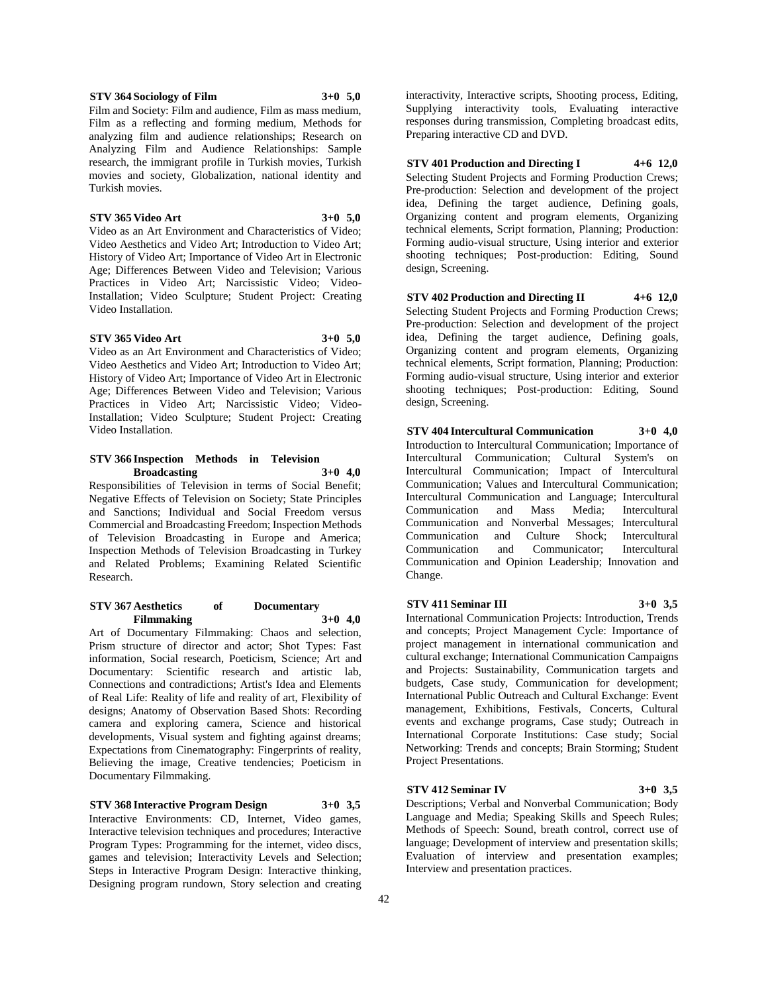42

Video Installation.

# **STV 366 Inspection Methods in Television Broadcasting 3+0 4,0**

Film as a reflecting and forming medium, Methods for analyzing film and audience relationships; Research on Analyzing Film and Audience Relationships: Sample research, the immigrant profile in Turkish movies, Turkish movies and society, Globalization, national identity and

**STV 365 Video Art 3+0 5,0** Video as an Art Environment and Characteristics of Video; Video Aesthetics and Video Art; Introduction to Video Art; History of Video Art; Importance of Video Art in Electronic Age; Differences Between Video and Television; Various Practices in Video Art; Narcissistic Video; Video-Installation; Video Sculpture; Student Project: Creating

**STV 365 Video Art 3+0 5,0** Video as an Art Environment and Characteristics of Video; Video Aesthetics and Video Art; Introduction to Video Art; History of Video Art; Importance of Video Art in Electronic Age; Differences Between Video and Television; Various Practices in Video Art; Narcissistic Video; Video-Installation; Video Sculpture; Student Project: Creating

Responsibilities of Television in terms of Social Benefit; Negative Effects of Television on Society; State Principles and Sanctions; Individual and Social Freedom versus Commercial and Broadcasting Freedom; Inspection Methods of Television Broadcasting in Europe and America; Inspection Methods of Television Broadcasting in Turkey and Related Problems; Examining Related Scientific Research.

# **STV 367 Aesthetics of Documentary Filmmaking 3+0 4,0**

Art of Documentary Filmmaking: Chaos and selection, Prism structure of director and actor; Shot Types: Fast information, Social research, Poeticism, Science; Art and Documentary: Scientific research and artistic lab, Connections and contradictions; Artist's Idea and Elements of Real Life: Reality of life and reality of art, Flexibility of designs; Anatomy of Observation Based Shots: Recording camera and exploring camera, Science and historical developments, Visual system and fighting against dreams; Expectations from Cinematography: Fingerprints of reality, Believing the image, Creative tendencies; Poeticism in Documentary Filmmaking.

# **STV 368 Interactive Program Design 3+0 3,5**

Interactive Environments: CD, Internet, Video games, Interactive television techniques and procedures; Interactive Program Types: Programming for the internet, video discs, games and television; Interactivity Levels and Selection; Steps in Interactive Program Design: Interactive thinking, Designing program rundown, Story selection and creating

interactivity, Interactive scripts, Shooting process, Editing, Supplying interactivity tools, Evaluating interactive responses during transmission, Completing broadcast edits, Preparing interactive CD and DVD.

# **STV 401 Production and Directing I 4+6 12,0**

Selecting Student Projects and Forming Production Crews; Pre-production: Selection and development of the project idea, Defining the target audience, Defining goals, Organizing content and program elements, Organizing technical elements, Script formation, Planning; Production: Forming audio-visual structure, Using interior and exterior shooting techniques; Post-production: Editing, Sound design, Screening.

# **STV 402 Production and Directing II 4+6 12,0**

Selecting Student Projects and Forming Production Crews; Pre-production: Selection and development of the project idea, Defining the target audience, Defining goals, Organizing content and program elements, Organizing technical elements, Script formation, Planning; Production: Forming audio-visual structure, Using interior and exterior shooting techniques; Post-production: Editing, Sound design, Screening.

# **STV 404 Intercultural Communication 3+0 4,0** Introduction to Intercultural Communication; Importance of

Intercultural Communication; Cultural System's on Intercultural Communication; Impact of Intercultural Communication; Values and Intercultural Communication; Intercultural Communication and Language; Intercultural Communication and Mass Media; Intercultural Communication and Nonverbal Messages; Intercultural Communication and Culture Shock; Intercultural Communication and Communicator; Intercultural Communication and Opinion Leadership; Innovation and Change.

# **STV 411 Seminar III 3+0 3,5**

International Communication Projects: Introduction, Trends and concepts; Project Management Cycle: Importance of project management in international communication and cultural exchange; International Communication Campaigns and Projects: Sustainability, Communication targets and budgets, Case study, Communication for development; International Public Outreach and Cultural Exchange: Event management, Exhibitions, Festivals, Concerts, Cultural events and exchange programs, Case study; Outreach in International Corporate Institutions: Case study; Social Networking: Trends and concepts; Brain Storming; Student Project Presentations.

# **STV 412 Seminar IV 3+0 3,5**

Descriptions; Verbal and Nonverbal Communication; Body Language and Media; Speaking Skills and Speech Rules; Methods of Speech: Sound, breath control, correct use of language; Development of interview and presentation skills; Evaluation of interview and presentation examples; Interview and presentation practices.

Turkish movies.

Video Installation.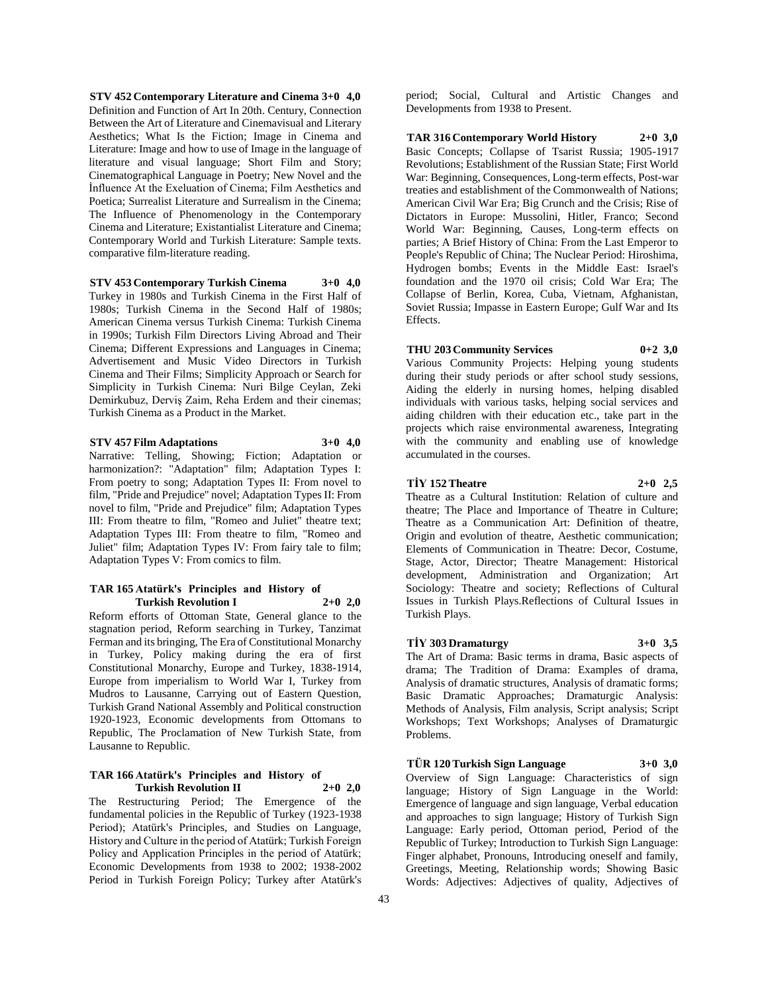**STV 452 Contemporary Literature and Cinema 3+0 4,0** Definition and Function of Art In 20th. Century, Connection Between the Art of Literature and Cinemavisual and Literary Aesthetics; What Is the Fiction; Image in Cinema and Literature: Image and how to use of Image in the language of literature and visual language; Short Film and Story; Cinematographical Language in Poetry; New Novel and the İnfluence At the Exeluation of Cinema; Film Aesthetics and Poetica; Surrealist Literature and Surrealism in the Cinema; The Influence of Phenomenology in the Contemporary Cinema and Literature; Existantialist Literature and Cinema; Contemporary World and Turkish Literature: Sample texts. comparative film-literature reading.

# **STV 453 Contemporary Turkish Cinema 3+0 4,0**

Turkey in 1980s and Turkish Cinema in the First Half of 1980s; Turkish Cinema in the Second Half of 1980s; American Cinema versus Turkish Cinema: Turkish Cinema in 1990s; Turkish Film Directors Living Abroad and Their Cinema; Different Expressions and Languages in Cinema; Advertisement and Music Video Directors in Turkish Cinema and Their Films; Simplicity Approach or Search for Simplicity in Turkish Cinema: Nuri Bilge Ceylan, Zeki Demirkubuz, Derviş Zaim, Reha Erdem and their cinemas; Turkish Cinema as a Product in the Market.

# **STV 457 Film Adaptations 3+0 4,0**

Narrative: Telling, Showing; Fiction; Adaptation or harmonization?: "Adaptation" film; Adaptation Types I: From poetry to song; Adaptation Types II: From novel to film, "Pride and Prejudice" novel; Adaptation Types II: From novel to film, "Pride and Prejudice" film; Adaptation Types III: From theatre to film, "Romeo and Juliet" theatre text; Adaptation Types III: From theatre to film, "Romeo and Juliet" film; Adaptation Types IV: From fairy tale to film; Adaptation Types V: From comics to film.

#### **TAR 165 Atatürk's Principles and History of Turkish Revolution I 2+0 2,0**

Reform efforts of Ottoman State, General glance to the stagnation period, Reform searching in Turkey, Tanzimat Ferman and its bringing, The Era of Constitutional Monarchy in Turkey, Policy making during the era of first Constitutional Monarchy, Europe and Turkey, 1838-1914, Europe from imperialism to World War I, Turkey from Mudros to Lausanne, Carrying out of Eastern Question, Turkish Grand National Assembly and Political construction 1920-1923, Economic developments from Ottomans to Republic, The Proclamation of New Turkish State, from Lausanne to Republic.

# **TAR 166 Atatürk's Principles and History of Turkish Revolution II 2+0 2,0**

The Restructuring Period; The Emergence of the fundamental policies in the Republic of Turkey (1923-1938 Period); Atatürk's Principles, and Studies on Language, History and Culture in the period of Atatürk; Turkish Foreign Policy and Application Principles in the period of Atatürk; Economic Developments from 1938 to 2002; 1938-2002 Period in Turkish Foreign Policy; Turkey after Atatürk's

period; Social, Cultural and Artistic Changes and Developments from 1938 to Present.

**TAR 316 Contemporary World History 2+0 3,0** Basic Concepts; Collapse of Tsarist Russia; 1905-1917 Revolutions; Establishment of the Russian State; First World War: Beginning, Consequences, Long-term effects, Post-war treaties and establishment of the Commonwealth of Nations; American Civil War Era; Big Crunch and the Crisis; Rise of Dictators in Europe: Mussolini, Hitler, Franco; Second World War: Beginning, Causes, Long-term effects on parties; A Brief History of China: From the Last Emperor to People's Republic of China; The Nuclear Period: Hiroshima, Hydrogen bombs; Events in the Middle East: Israel's foundation and the 1970 oil crisis; Cold War Era; The Collapse of Berlin, Korea, Cuba, Vietnam, Afghanistan, Soviet Russia; Impasse in Eastern Europe; Gulf War and Its Effects.

# **THU 203 Community Services 0+2 3,0**

Various Community Projects: Helping young students during their study periods or after school study sessions, Aiding the elderly in nursing homes, helping disabled individuals with various tasks, helping social services and aiding children with their education etc., take part in the projects which raise environmental awareness, Integrating with the community and enabling use of knowledge accumulated in the courses.

## **TİY 152 Theatre 2+0 2,5**

Theatre as a Cultural Institution: Relation of culture and theatre; The Place and Importance of Theatre in Culture; Theatre as a Communication Art: Definition of theatre, Origin and evolution of theatre, Aesthetic communication; Elements of Communication in Theatre: Decor, Costume, Stage, Actor, Director; Theatre Management: Historical development, Administration and Organization; Art Sociology: Theatre and society; Reflections of Cultural Issues in Turkish Plays.Reflections of Cultural Issues in

# **TİY 303 Dramaturgy 3+0 3,5**

Turkish Plays.

The Art of Drama: Basic terms in drama, Basic aspects of drama; The Tradition of Drama: Examples of drama, Analysis of dramatic structures, Analysis of dramatic forms;

Basic Dramatic Approaches; Dramaturgic Analysis: Methods of Analysis, Film analysis, Script analysis; Script Workshops; Text Workshops; Analyses of Dramaturgic Problems.

**TÜR 120 Turkish Sign Language 3+0 3,0** Overview of Sign Language: Characteristics of sign language; History of Sign Language in the World: Emergence of language and sign language, Verbal education and approaches to sign language; History of Turkish Sign Language: Early period, Ottoman period, Period of the Republic of Turkey; Introduction to Turkish Sign Language: Finger alphabet, Pronouns, Introducing oneself and family, Greetings, Meeting, Relationship words; Showing Basic Words: Adjectives: Adjectives of quality, Adjectives of